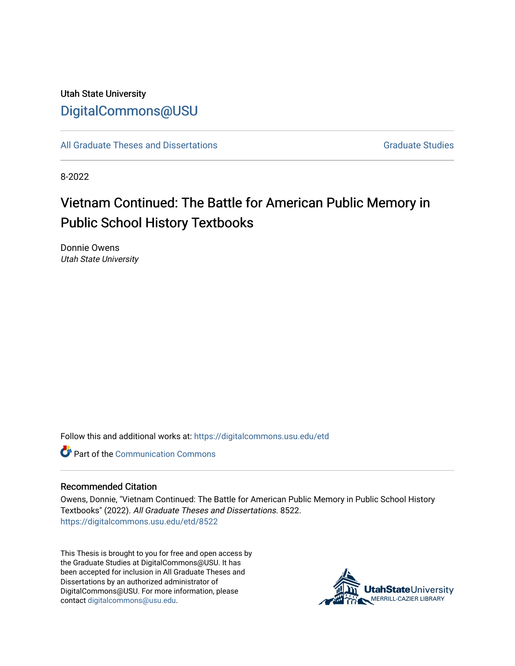## Utah State University [DigitalCommons@USU](https://digitalcommons.usu.edu/)

[All Graduate Theses and Dissertations](https://digitalcommons.usu.edu/etd) Contract Contract Contract Craduate Studies

8-2022

# Vietnam Continued: The Battle for American Public Memory in Public School History Textbooks

Donnie Owens Utah State University

Follow this and additional works at: [https://digitalcommons.usu.edu/etd](https://digitalcommons.usu.edu/etd?utm_source=digitalcommons.usu.edu%2Fetd%2F8522&utm_medium=PDF&utm_campaign=PDFCoverPages) 

**C** Part of the Communication Commons

#### Recommended Citation

Owens, Donnie, "Vietnam Continued: The Battle for American Public Memory in Public School History Textbooks" (2022). All Graduate Theses and Dissertations. 8522. [https://digitalcommons.usu.edu/etd/8522](https://digitalcommons.usu.edu/etd/8522?utm_source=digitalcommons.usu.edu%2Fetd%2F8522&utm_medium=PDF&utm_campaign=PDFCoverPages)

This Thesis is brought to you for free and open access by the Graduate Studies at DigitalCommons@USU. It has been accepted for inclusion in All Graduate Theses and Dissertations by an authorized administrator of DigitalCommons@USU. For more information, please contact [digitalcommons@usu.edu](mailto:digitalcommons@usu.edu).

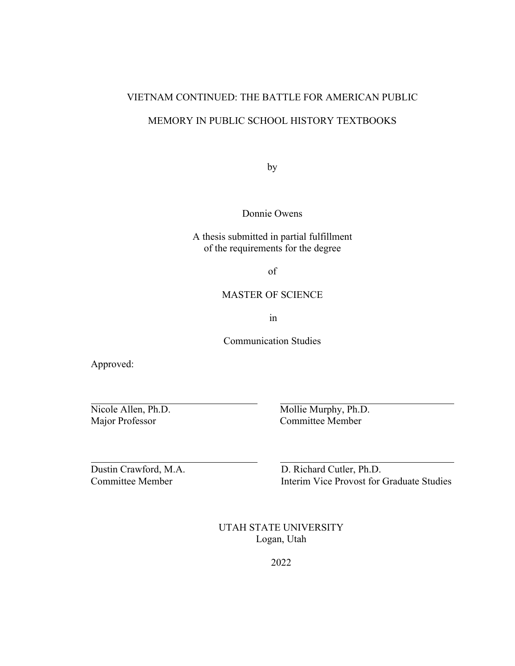## VIETNAM CONTINUED: THE BATTLE FOR AMERICAN PUBLIC

## MEMORY IN PUBLIC SCHOOL HISTORY TEXTBOOKS

by

Donnie Owens

A thesis submitted in partial fulfillment of the requirements for the degree

of

#### MASTER OF SCIENCE

in

Communication Studies

Approved:

Nicole Allen, Ph.D.<br>
Mollie Murphy, Ph.D.<br>
Mollie Murphy, Ph.D.<br>
Committee Member Committee Member

Dustin Crawford, M.A. D. Richard Cutler, Ph.D. Committee Member Interim Vice Provost for Graduate Studies

> UTAH STATE UNIVERSITY Logan, Utah

> > 2022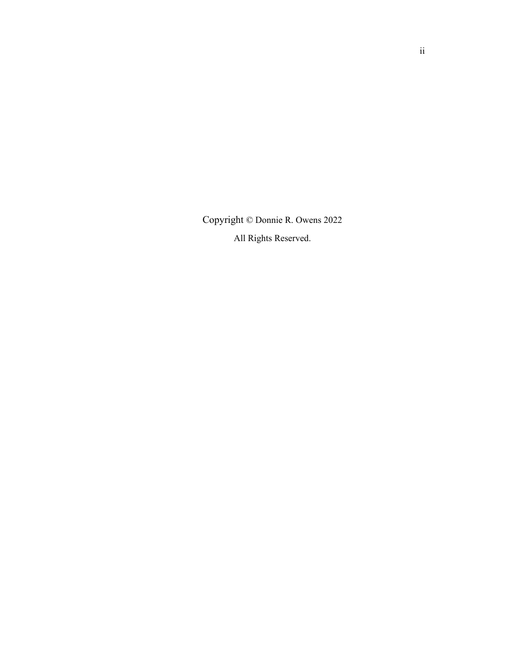<span id="page-2-0"></span>Copyright © Donnie R. Owens 2022 All Rights Reserved.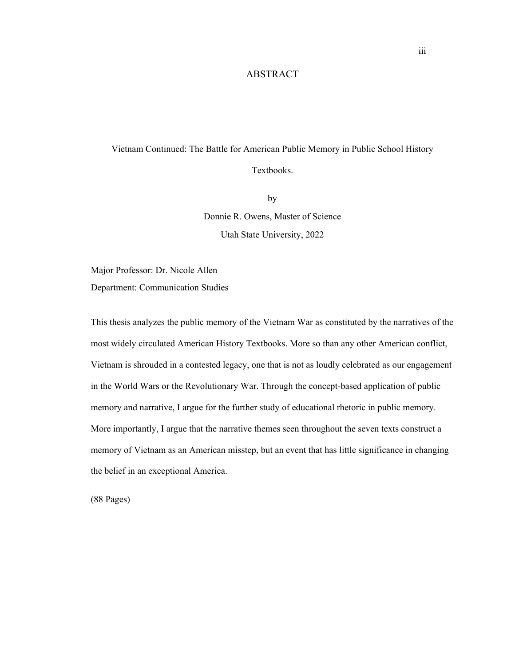#### ABSTRACT

## <span id="page-3-0"></span>Vietnam Continued: The Battle for American Public Memory in Public School History Textbooks.

by Donnie R. Owens, Master of Science Utah State University, 2022

Major Professor: Dr. Nicole Allen Department: Communication Studies

This thesis analyzes the public memory of the Vietnam War as constituted by the narratives of the most widely circulated American History Textbooks. More so than any other American conflict, Vietnam is shrouded in a contested legacy, one that is not as loudly celebrated as our engagement in the World Wars or the Revolutionary War. Through the concept-based application of public memory and narrative, I argue for the further study of educational rhetoric in public memory. More importantly, I argue that the narrative themes seen throughout the seven texts construct a memory of Vietnam as an American misstep, but an event that has little significance in changing the belief in an exceptional America.

(88 Pages)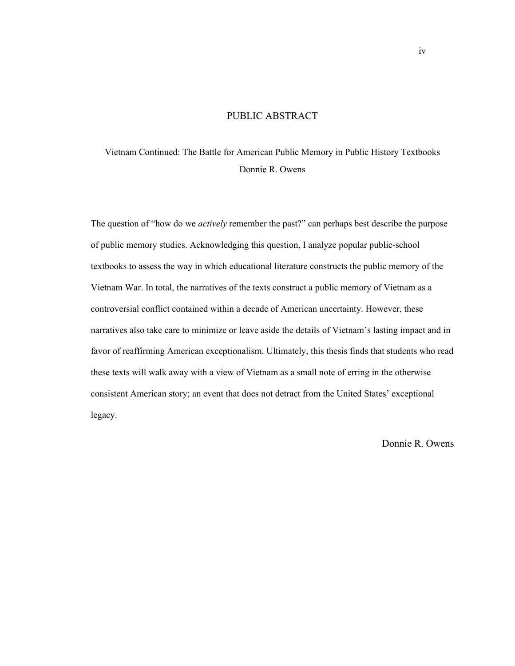#### PUBLIC ABSTRACT

## <span id="page-4-0"></span>Vietnam Continued: The Battle for American Public Memory in Public History Textbooks Donnie R. Owens

The question of "how do we *actively* remember the past?" can perhaps best describe the purpose of public memory studies. Acknowledging this question, I analyze popular public-school textbooks to assess the way in which educational literature constructs the public memory of the Vietnam War. In total, the narratives of the texts construct a public memory of Vietnam as a controversial conflict contained within a decade of American uncertainty. However, these narratives also take care to minimize or leave aside the details of Vietnam's lasting impact and in favor of reaffirming American exceptionalism. Ultimately, this thesis finds that students who read these texts will walk away with a view of Vietnam as a small note of erring in the otherwise consistent American story; an event that does not detract from the United States' exceptional legacy.

Donnie R. Owens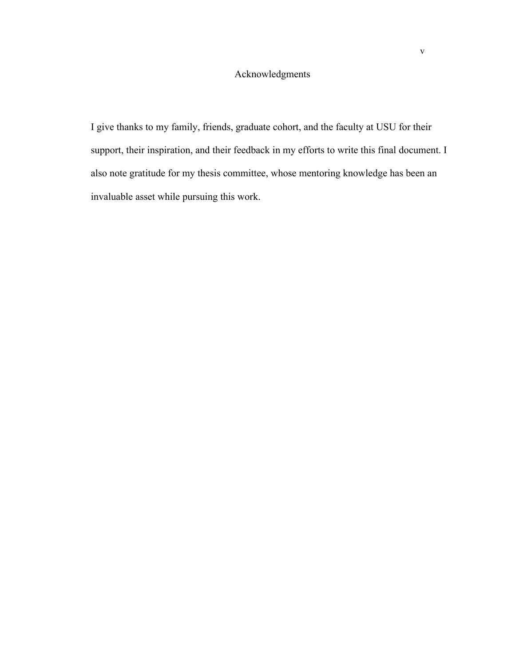## Acknowledgments

<span id="page-5-0"></span>I give thanks to my family, friends, graduate cohort, and the faculty at USU for their support, their inspiration, and their feedback in my efforts to write this final document. I also note gratitude for my thesis committee, whose mentoring knowledge has been an invaluable asset while pursuing this work.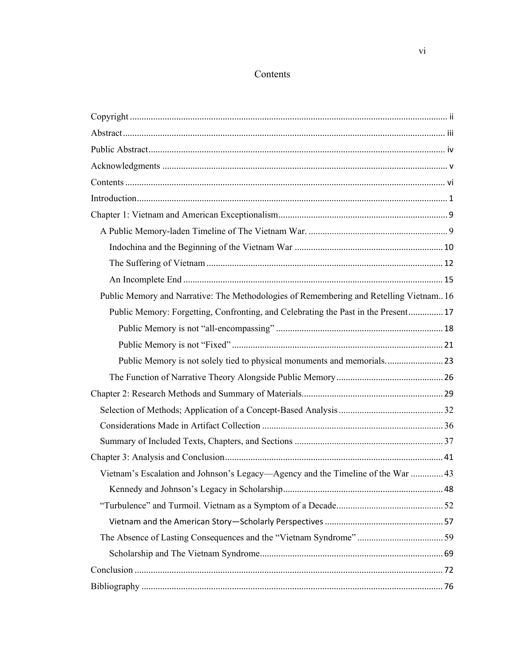### Contents

<span id="page-6-0"></span>

| Public Memory and Narrative: The Methodologies of Remembering and Retelling Vietnam 16 |  |
|----------------------------------------------------------------------------------------|--|
| Public Memory: Forgetting, Confronting, and Celebrating the Past in the Present 17     |  |
|                                                                                        |  |
|                                                                                        |  |
| Public Memory is not solely tied to physical monuments and memorials23                 |  |
|                                                                                        |  |
|                                                                                        |  |
|                                                                                        |  |
|                                                                                        |  |
|                                                                                        |  |
|                                                                                        |  |
| Vietnam's Escalation and Johnson's Legacy—Agency and the Timeline of the War  43       |  |
|                                                                                        |  |
|                                                                                        |  |
|                                                                                        |  |
|                                                                                        |  |
|                                                                                        |  |
|                                                                                        |  |
|                                                                                        |  |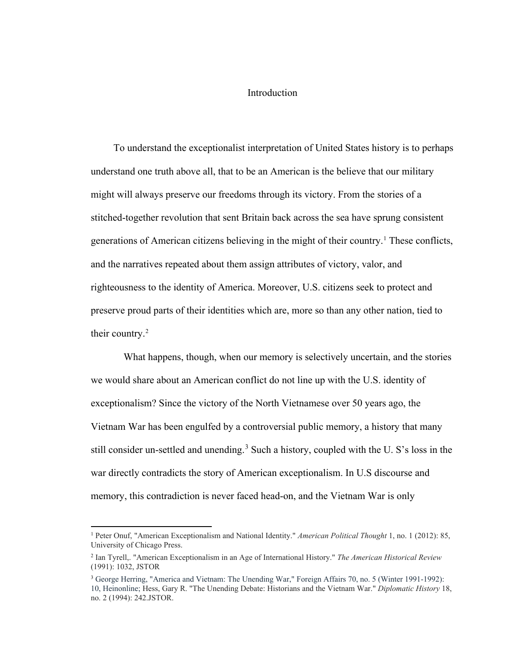#### <span id="page-7-0"></span>Introduction

 To understand the exceptionalist interpretation of United States history is to perhaps understand one truth above all, that to be an American is the believe that our military might will always preserve our freedoms through its victory. From the stories of a stitched-together revolution that sent Britain back across the sea have sprung consistent generations of American citizens believing in the might of their country.<sup>[1](#page-7-1)</sup> These conflicts, and the narratives repeated about them assign attributes of victory, valor, and righteousness to the identity of America. Moreover, U.S. citizens seek to protect and preserve proud parts of their identities which are, more so than any other nation, tied to their country.<sup>[2](#page-7-2)</sup>

What happens, though, when our memory is selectively uncertain, and the stories we would share about an American conflict do not line up with the U.S. identity of exceptionalism? Since the victory of the North Vietnamese over 50 years ago, the Vietnam War has been engulfed by a controversial public memory, a history that many still consider un-settled and unending.<sup>[3](#page-7-3)</sup> Such a history, coupled with the U. S's loss in the war directly contradicts the story of American exceptionalism. In U.S discourse and memory, this contradiction is never faced head-on, and the Vietnam War is only

<span id="page-7-1"></span><sup>1</sup> Peter Onuf, "American Exceptionalism and National Identity." *American Political Thought* 1, no. 1 (2012): 85, University of Chicago Press.

<span id="page-7-2"></span><sup>2</sup> Ian Tyrell,. "American Exceptionalism in an Age of International History." *The American Historical Review* (1991): 1032, JSTOR

<span id="page-7-3"></span><sup>&</sup>lt;sup>3</sup> George Herring, "America and Vietnam: The Unending War," Foreign Affairs 70, no. 5 (Winter 1991-1992): 10, Heinonline; Hess, Gary R. "The Unending Debate: Historians and the Vietnam War." *Diplomatic History* 18, no. 2 (1994): 242.JSTOR.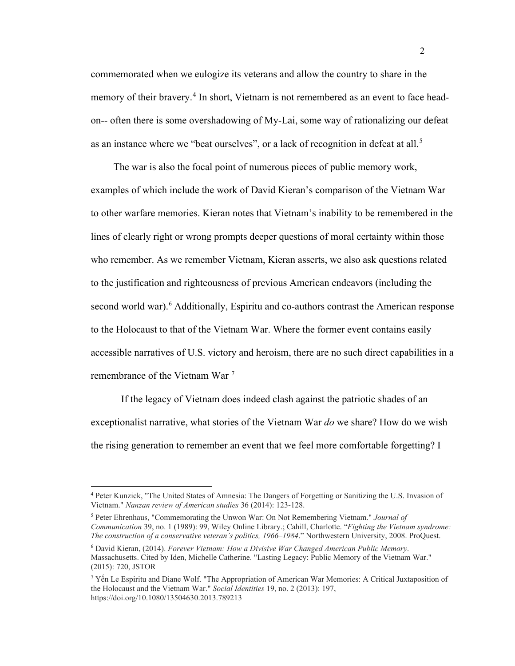commemorated when we eulogize its veterans and allow the country to share in the memory of their bravery.<sup>[4](#page-8-0)</sup> In short, Vietnam is not remembered as an event to face headon-- often there is some overshadowing of My-Lai, some way of rationalizing our defeat as an instance where we "beat ourselves", or a lack of recognition in defeat at all.<sup>[5](#page-8-1)</sup>

 The war is also the focal point of numerous pieces of public memory work, examples of which include the work of David Kieran's comparison of the Vietnam War to other warfare memories. Kieran notes that Vietnam's inability to be remembered in the lines of clearly right or wrong prompts deeper questions of moral certainty within those who remember. As we remember Vietnam, Kieran asserts, we also ask questions related to the justification and righteousness of previous American endeavors (including the second world war).<sup>[6](#page-8-2)</sup> Additionally, Espiritu and co-authors contrast the American response to the Holocaust to that of the Vietnam War. Where the former event contains easily accessible narratives of U.S. victory and heroism, there are no such direct capabilities in a remembrance of the Vietnam War [7](#page-8-3)

If the legacy of Vietnam does indeed clash against the patriotic shades of an exceptionalist narrative, what stories of the Vietnam War *do* we share? How do we wish the rising generation to remember an event that we feel more comfortable forgetting? I

<span id="page-8-1"></span><sup>5</sup> Peter Ehrenhaus, "Commemorating the Unwon War: On Not Remembering Vietnam." *Journal of Communication* 39, no. 1 (1989): 99, Wiley Online Library.; Cahill, Charlotte. "*Fighting the Vietnam syndrome: The construction of a conservative veteran's politics, 1966–1984*." Northwestern University, 2008. ProQuest.

<span id="page-8-0"></span><sup>4</sup> Peter Kunzick, "The United States of Amnesia: The Dangers of Forgetting or Sanitizing the U.S. Invasion of Vietnam." *Nanzan review of American studies* 36 (2014): 123-128.

<span id="page-8-2"></span><sup>6</sup> David Kieran, (2014). *Forever Vietnam: How a Divisive War Changed American Public Memory*. Massachusetts. Cited by Iden, Michelle Catherine. "Lasting Legacy: Public Memory of the Vietnam War." (2015): 720, JSTOR

<span id="page-8-3"></span><sup>&</sup>lt;sup>7</sup> Yến Le Espiritu and Diane Wolf. "The Appropriation of American War Memories: A Critical Juxtaposition of the Holocaust and the Vietnam War." *Social Identities* 19, no. 2 (2013): 197, https://doi.org/10.1080/13504630.2013.789213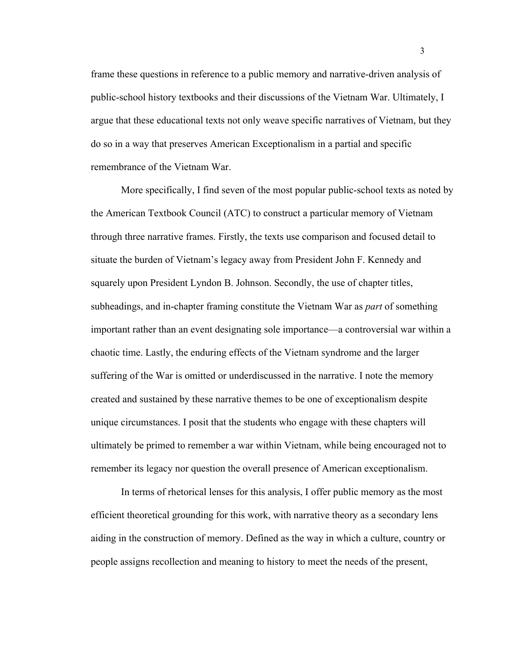frame these questions in reference to a public memory and narrative-driven analysis of public-school history textbooks and their discussions of the Vietnam War. Ultimately, I argue that these educational texts not only weave specific narratives of Vietnam, but they do so in a way that preserves American Exceptionalism in a partial and specific remembrance of the Vietnam War.

More specifically, I find seven of the most popular public-school texts as noted by the American Textbook Council (ATC) to construct a particular memory of Vietnam through three narrative frames. Firstly, the texts use comparison and focused detail to situate the burden of Vietnam's legacy away from President John F. Kennedy and squarely upon President Lyndon B. Johnson. Secondly, the use of chapter titles, subheadings, and in-chapter framing constitute the Vietnam War as *part* of something important rather than an event designating sole importance—a controversial war within a chaotic time. Lastly, the enduring effects of the Vietnam syndrome and the larger suffering of the War is omitted or underdiscussed in the narrative. I note the memory created and sustained by these narrative themes to be one of exceptionalism despite unique circumstances. I posit that the students who engage with these chapters will ultimately be primed to remember a war within Vietnam, while being encouraged not to remember its legacy nor question the overall presence of American exceptionalism.

In terms of rhetorical lenses for this analysis, I offer public memory as the most efficient theoretical grounding for this work, with narrative theory as a secondary lens aiding in the construction of memory. Defined as the way in which a culture, country or people assigns recollection and meaning to history to meet the needs of the present,

3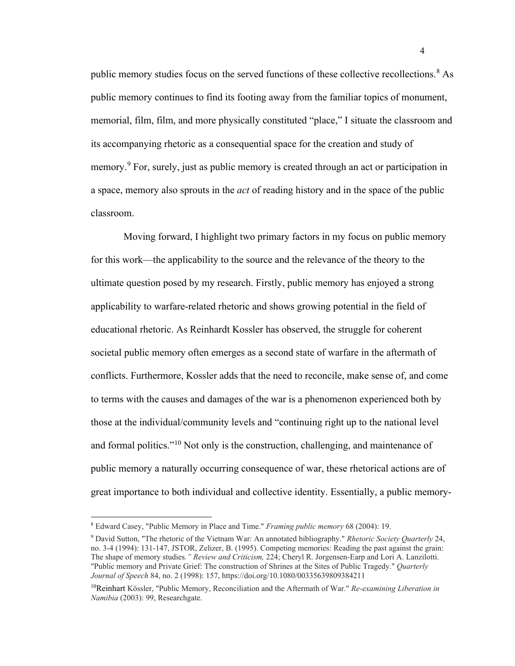public memory studies focus on the served functions of these collective recollections.[8](#page-10-0) As public memory continues to find its footing away from the familiar topics of monument, memorial, film, film, and more physically constituted "place," I situate the classroom and its accompanying rhetoric as a consequential space for the creation and study of memory.<sup>[9](#page-10-1)</sup> For, surely, just as public memory is created through an act or participation in a space, memory also sprouts in the *act* of reading history and in the space of the public classroom.

Moving forward, I highlight two primary factors in my focus on public memory for this work—the applicability to the source and the relevance of the theory to the ultimate question posed by my research. Firstly, public memory has enjoyed a strong applicability to warfare-related rhetoric and shows growing potential in the field of educational rhetoric. As Reinhardt Kossler has observed, the struggle for coherent societal public memory often emerges as a second state of warfare in the aftermath of conflicts. Furthermore, Kossler adds that the need to reconcile, make sense of, and come to terms with the causes and damages of the war is a phenomenon experienced both by those at the individual/community levels and "continuing right up to the national level and formal politics."<sup>[10](#page-10-2)</sup> Not only is the construction, challenging, and maintenance of public memory a naturally occurring consequence of war, these rhetorical actions are of great importance to both individual and collective identity. Essentially, a public memory-

<span id="page-10-0"></span><sup>8</sup> Edward Casey, "Public Memory in Place and Time." *Framing public memory* 68 (2004): 19.

<span id="page-10-1"></span><sup>9</sup> David Sutton, "The rhetoric of the Vietnam War: An annotated bibliography." *Rhetoric Society Quarterly* 24, no. 3-4 (1994): 131-147, JSTOR, Zelizer, B. (1995). Competing memories: Reading the past against the grain: The shape of memory studies*." Review and Criticism,* 224; Cheryl R. Jorgensen-Earp and Lori A. Lanzilotti. "Public memory and Private Grief: The construction of Shrines at the Sites of Public Tragedy." *Quarterly Journal of Speech* 84, no. 2 (1998): 157, https://doi.org/10.1080/00335639809384211

<span id="page-10-2"></span><sup>10</sup>Reinhart Kössler, "Public Memory, Reconciliation and the Aftermath of War." *Re-examining Liberation in Namibia* (2003): 99, Researchgate.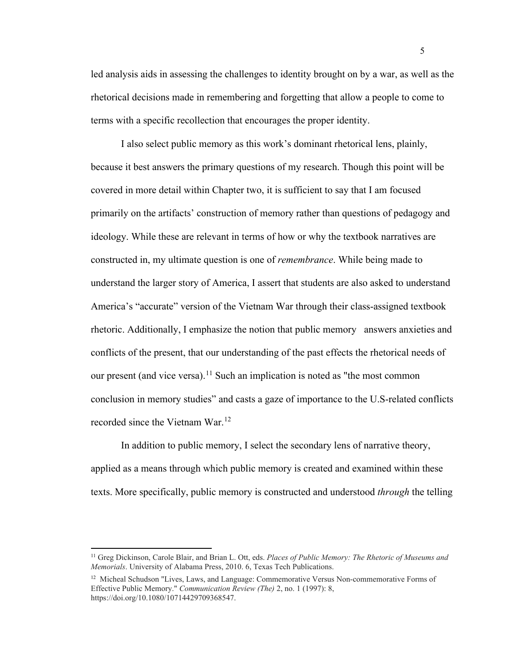led analysis aids in assessing the challenges to identity brought on by a war, as well as the rhetorical decisions made in remembering and forgetting that allow a people to come to terms with a specific recollection that encourages the proper identity.

I also select public memory as this work's dominant rhetorical lens, plainly, because it best answers the primary questions of my research. Though this point will be covered in more detail within Chapter two, it is sufficient to say that I am focused primarily on the artifacts' construction of memory rather than questions of pedagogy and ideology. While these are relevant in terms of how or why the textbook narratives are constructed in, my ultimate question is one of *remembrance*. While being made to understand the larger story of America, I assert that students are also asked to understand America's "accurate" version of the Vietnam War through their class-assigned textbook rhetoric. Additionally, I emphasize the notion that public memory answers anxieties and conflicts of the present, that our understanding of the past effects the rhetorical needs of our present (and vice versa).<sup>[11](#page-11-0)</sup> Such an implication is noted as "the most common conclusion in memory studies" and casts a gaze of importance to the U.S-related conflicts recorded since the Vietnam War.<sup>[12](#page-11-1)</sup>

In addition to public memory, I select the secondary lens of narrative theory, applied as a means through which public memory is created and examined within these texts. More specifically, public memory is constructed and understood *through* the telling

<span id="page-11-0"></span><sup>11</sup> Greg Dickinson, Carole Blair, and Brian L. Ott, eds. *Places of Public Memory: The Rhetoric of Museums and Memorials*. University of Alabama Press, 2010. 6, Texas Tech Publications.

<span id="page-11-1"></span><sup>&</sup>lt;sup>12</sup> Micheal Schudson "Lives, Laws, and Language: Commemorative Versus Non-commemorative Forms of Effective Public Memory." *Communication Review (The)* 2, no. 1 (1997): 8, https://doi.org/10.1080/10714429709368547.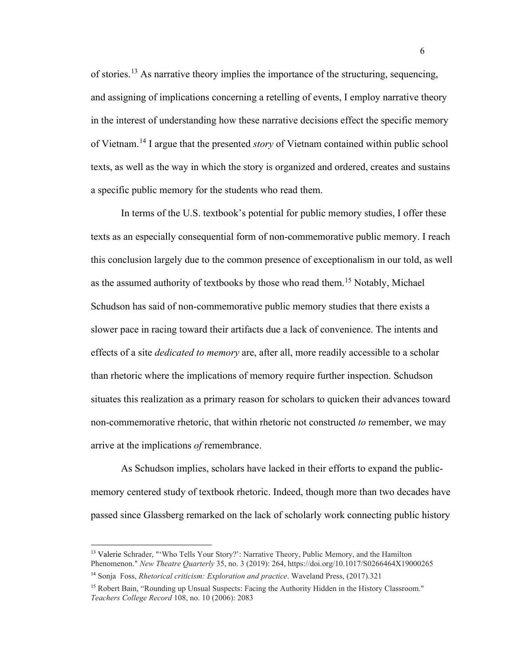of stories.<sup>[13](#page-12-0)</sup> As narrative theory implies the importance of the structuring, sequencing, and assigning of implications concerning a retelling of events, I employ narrative theory in the interest of understanding how these narrative decisions effect the specific memory of Vietnam.[14](#page-12-1) I argue that the presented *story* of Vietnam contained within public school texts, as well as the way in which the story is organized and ordered, creates and sustains a specific public memory for the students who read them.

In terms of the U.S. textbook's potential for public memory studies, I offer these texts as an especially consequential form of non-commemorative public memory. I reach this conclusion largely due to the common presence of exceptionalism in our told, as well as the assumed authority of textbooks by those who read them.[15](#page-12-2) Notably, Michael Schudson has said of non-commemorative public memory studies that there exists a slower pace in racing toward their artifacts due a lack of convenience. The intents and effects of a site *dedicated to memory* are, after all, more readily accessible to a scholar than rhetoric where the implications of memory require further inspection. Schudson situates this realization as a primary reason for scholars to quicken their advances toward non-commemorative rhetoric, that within rhetoric not constructed *to* remember, we may arrive at the implications *of* remembrance.

As Schudson implies, scholars have lacked in their efforts to expand the publicmemory centered study of textbook rhetoric. Indeed, though more than two decades have passed since Glassberg remarked on the lack of scholarly work connecting public history

<span id="page-12-0"></span><sup>&</sup>lt;sup>13</sup> Valerie Schrader, "'Who Tells Your Story?': Narrative Theory, Public Memory, and the Hamilton Phenomenon." *New Theatre Quarterly* 35, no. 3 (2019): 264, https://doi.org/10.1017/S0266464X19000265 <sup>14</sup> Sonja Foss, *Rhetorical criticism: Exploration and practice*. Waveland Press, (2017).321

<span id="page-12-2"></span><span id="page-12-1"></span><sup>&</sup>lt;sup>15</sup> Robert Bain, "Rounding up Unsual Suspects: Facing the Authority Hidden in the History Classroom." *Teachers College Record* 108, no. 10 (2006): 2083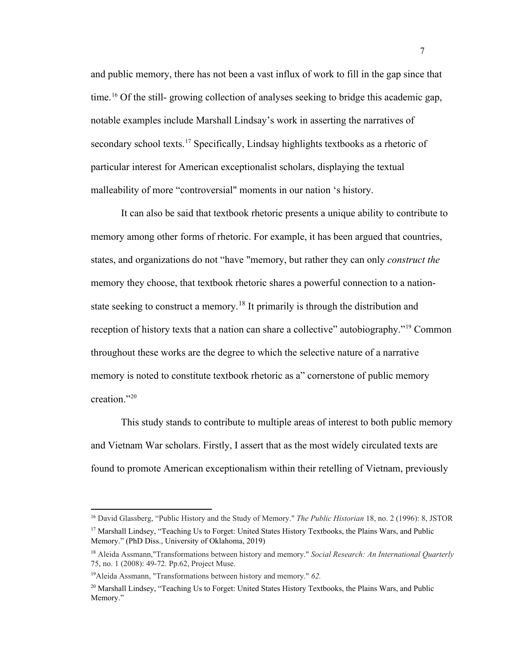and public memory, there has not been a vast influx of work to fill in the gap since that time.[16](#page-13-0) Of the still- growing collection of analyses seeking to bridge this academic gap, notable examples include Marshall Lindsay's work in asserting the narratives of secondary school texts.<sup>[17](#page-13-1)</sup> Specifically, Lindsay highlights textbooks as a rhetoric of particular interest for American exceptionalist scholars, displaying the textual malleability of more "controversial" moments in our nation 's history.

It can also be said that textbook rhetoric presents a unique ability to contribute to memory among other forms of rhetoric. For example, it has been argued that countries, states, and organizations do not "have "memory, but rather they can only *construct the* memory they choose, that textbook rhetoric shares a powerful connection to a nation-state seeking to construct a memory.<sup>[18](#page-13-2)</sup> It primarily is through the distribution and reception of history texts that a nation can share a collective" autobiography."<sup>[19](#page-13-3)</sup> Common throughout these works are the degree to which the selective nature of a narrative memory is noted to constitute textbook rhetoric as a" cornerstone of public memory creation.["20](#page-13-4)

This study stands to contribute to multiple areas of interest to both public memory and Vietnam War scholars. Firstly, I assert that as the most widely circulated texts are found to promote American exceptionalism within their retelling of Vietnam, previously

Memory." (PhD Diss., University of Oklahoma, 2019)

<span id="page-13-1"></span><span id="page-13-0"></span><sup>16</sup> David Glassberg, "Public History and the Study of Memory." *The Public Historian* 18, no. 2 (1996): 8, JSTOR <sup>17</sup> Marshall Lindsey, "Teaching Us to Forget: United States History Textbooks, the Plains Wars, and Public

<span id="page-13-2"></span><sup>18</sup> Aleida Assmann,"Transformations between history and memory." *Social Research: An International Quarterly* 75, no. 1 (2008): 49-72. Pp.62, Project Muse.

<span id="page-13-3"></span><sup>19</sup>Aleida Assmann, "Transformations between history and memory." *62.*

<span id="page-13-4"></span> $^{20}$  Marshall Lindsey, "Teaching Us to Forget: United States History Textbooks, the Plains Wars, and Public Memory."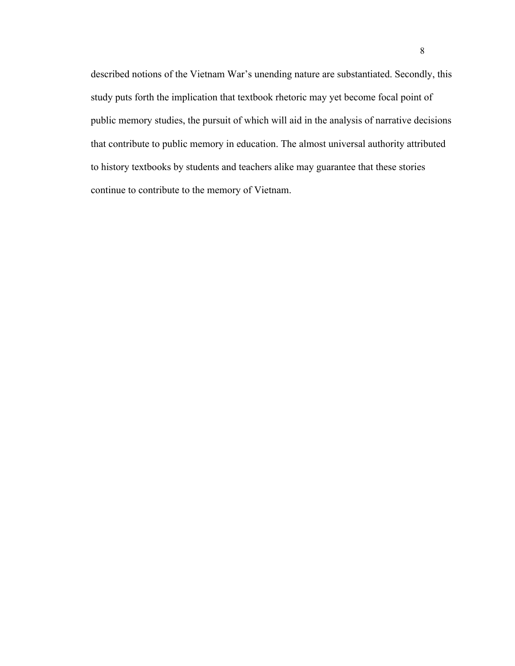described notions of the Vietnam War's unending nature are substantiated. Secondly, this study puts forth the implication that textbook rhetoric may yet become focal point of public memory studies, the pursuit of which will aid in the analysis of narrative decisions that contribute to public memory in education. The almost universal authority attributed to history textbooks by students and teachers alike may guarantee that these stories continue to contribute to the memory of Vietnam.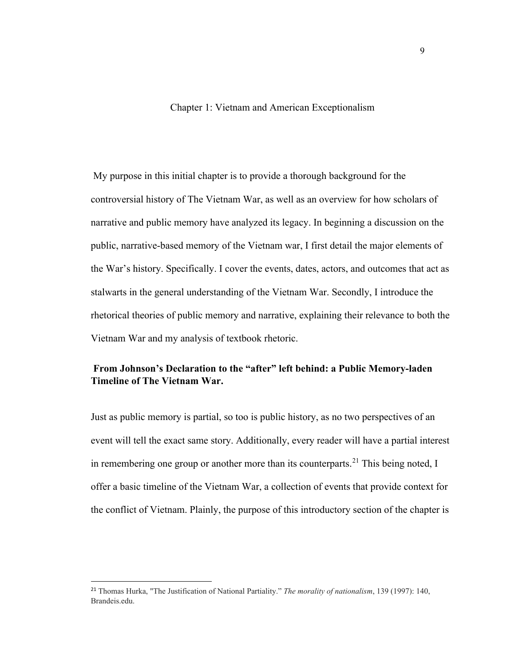#### Chapter 1: Vietnam and American Exceptionalism

<span id="page-15-0"></span>My purpose in this initial chapter is to provide a thorough background for the controversial history of The Vietnam War, as well as an overview for how scholars of narrative and public memory have analyzed its legacy. In beginning a discussion on the public, narrative-based memory of the Vietnam war, I first detail the major elements of the War's history. Specifically. I cover the events, dates, actors, and outcomes that act as stalwarts in the general understanding of the Vietnam War. Secondly, I introduce the rhetorical theories of public memory and narrative, explaining their relevance to both the Vietnam War and my analysis of textbook rhetoric.

## <span id="page-15-1"></span>**From Johnson's Declaration to the "after" left behind: a Public Memory-laden Timeline of The Vietnam War.**

Just as public memory is partial, so too is public history, as no two perspectives of an event will tell the exact same story. Additionally, every reader will have a partial interest in remembering one group or another more than its counterparts.<sup>[21](#page-15-2)</sup> This being noted, I offer a basic timeline of the Vietnam War, a collection of events that provide context for the conflict of Vietnam. Plainly, the purpose of this introductory section of the chapter is

<span id="page-15-2"></span><sup>21</sup> Thomas Hurka, "The Justification of National Partiality." *The morality of nationalism*, 139 (1997): 140, Brandeis.edu.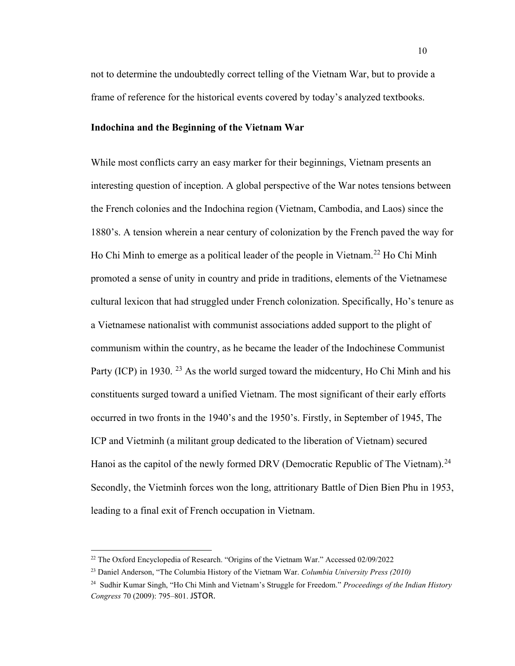not to determine the undoubtedly correct telling of the Vietnam War, but to provide a frame of reference for the historical events covered by today's analyzed textbooks.

#### <span id="page-16-0"></span>**Indochina and the Beginning of the Vietnam War**

While most conflicts carry an easy marker for their beginnings, Vietnam presents an interesting question of inception. A global perspective of the War notes tensions between the French colonies and the Indochina region (Vietnam, Cambodia, and Laos) since the 1880's. A tension wherein a near century of colonization by the French paved the way for Ho Chi Minh to emerge as a political leader of the people in Vietnam.<sup>[22](#page-16-1)</sup> Ho Chi Minh promoted a sense of unity in country and pride in traditions, elements of the Vietnamese cultural lexicon that had struggled under French colonization. Specifically, Ho's tenure as a Vietnamese nationalist with communist associations added support to the plight of communism within the country, as he became the leader of the Indochinese Communist Party (ICP) in 1930. <sup>[23](#page-16-2)</sup> As the world surged toward the midcentury, Ho Chi Minh and his constituents surged toward a unified Vietnam. The most significant of their early efforts occurred in two fronts in the 1940's and the 1950's. Firstly, in September of 1945, The ICP and Vietminh (a militant group dedicated to the liberation of Vietnam) secured Hanoi as the capitol of the newly formed DRV (Democratic Republic of The Vietnam).<sup>[24](#page-16-3)</sup> Secondly, the Vietminh forces won the long, attritionary Battle of Dien Bien Phu in 1953, leading to a final exit of French occupation in Vietnam.

<span id="page-16-1"></span><sup>22</sup> The Oxford Encyclopedia of Research. "Origins of the Vietnam War." Accessed 02/09/2022

<span id="page-16-2"></span><sup>23</sup> Daniel Anderson, "The Columbia History of the Vietnam War. *Columbia University Press (2010)*

<span id="page-16-3"></span><sup>24</sup> Sudhir Kumar Singh, "Ho Chi Minh and Vietnam's Struggle for Freedom." *Proceedings of the Indian History Congress* 70 (2009): 795–801. JSTOR.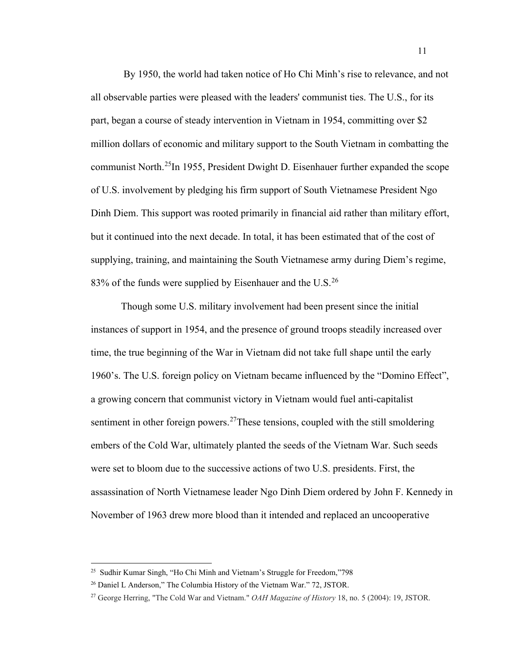By 1950, the world had taken notice of Ho Chi Minh's rise to relevance, and not all observable parties were pleased with the leaders' communist ties. The U.S., for its part, began a course of steady intervention in Vietnam in 1954, committing over \$2 million dollars of economic and military support to the South Vietnam in combatting the communist North.[25I](#page-17-0)n 1955, President Dwight D. Eisenhauer further expanded the scope of U.S. involvement by pledging his firm support of South Vietnamese President Ngo Dinh Diem. This support was rooted primarily in financial aid rather than military effort, but it continued into the next decade. In total, it has been estimated that of the cost of supplying, training, and maintaining the South Vietnamese army during Diem's regime, 83% of the funds were supplied by Eisenhauer and the U.S. $^{26}$  $^{26}$  $^{26}$ 

Though some U.S. military involvement had been present since the initial instances of support in 1954, and the presence of ground troops steadily increased over time, the true beginning of the War in Vietnam did not take full shape until the early 1960's. The U.S. foreign policy on Vietnam became influenced by the "Domino Effect", a growing concern that communist victory in Vietnam would fuel anti-capitalist sentiment in other foreign powers.<sup>[27](#page-17-2)</sup>These tensions, coupled with the still smoldering embers of the Cold War, ultimately planted the seeds of the Vietnam War. Such seeds were set to bloom due to the successive actions of two U.S. presidents. First, the assassination of North Vietnamese leader Ngo Dinh Diem ordered by John F. Kennedy in November of 1963 drew more blood than it intended and replaced an uncooperative

<span id="page-17-0"></span><sup>25</sup> Sudhir Kumar Singh, "Ho Chi Minh and Vietnam's Struggle for Freedom,"798

<span id="page-17-1"></span><sup>26</sup> Daniel L Anderson," The Columbia History of the Vietnam War." 72, JSTOR.

<span id="page-17-2"></span><sup>27</sup> George Herring, "The Cold War and Vietnam." *OAH Magazine of History* 18, no. 5 (2004): 19, JSTOR.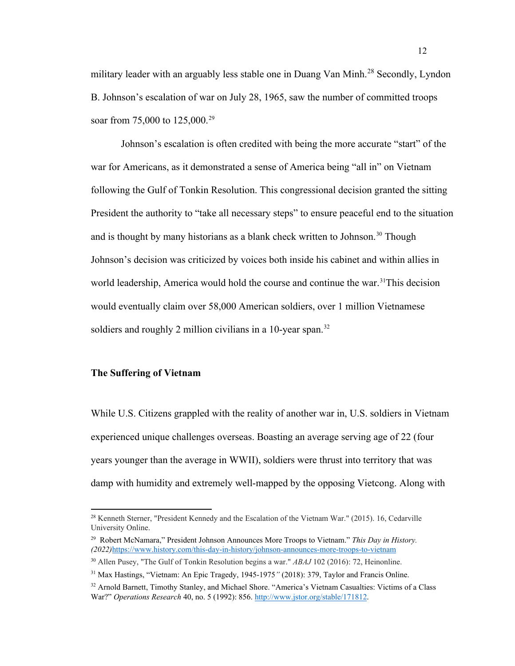military leader with an arguably less stable one in Duang Van Minh.<sup>[28](#page-18-1)</sup> Secondly, Lyndon B. Johnson's escalation of war on July 28, 1965, saw the number of committed troops soar from 75,000 to 125,000.<sup>[29](#page-18-2)</sup>

Johnson's escalation is often credited with being the more accurate "start" of the war for Americans, as it demonstrated a sense of America being "all in" on Vietnam following the Gulf of Tonkin Resolution. This congressional decision granted the sitting President the authority to "take all necessary steps" to ensure peaceful end to the situation and is thought by many historians as a blank check written to Johnson.<sup>30</sup> Though Johnson's decision was criticized by voices both inside his cabinet and within allies in world leadership, America would hold the course and continue the war.<sup>31</sup>This decision would eventually claim over 58,000 American soldiers, over 1 million Vietnamese soldiers and roughly 2 million civilians in a 10-year span.<sup>[32](#page-18-5)</sup>

#### <span id="page-18-0"></span>**The Suffering of Vietnam**

While U.S. Citizens grappled with the reality of another war in, U.S. soldiers in Vietnam experienced unique challenges overseas. Boasting an average serving age of 22 (four years younger than the average in WWII), soldiers were thrust into territory that was damp with humidity and extremely well-mapped by the opposing Vietcong. Along with

<span id="page-18-1"></span><sup>&</sup>lt;sup>28</sup> Kenneth Sterner, "President Kennedy and the Escalation of the Vietnam War." (2015). 16, Cedarville University Online.

<span id="page-18-2"></span><sup>29</sup> Robert McNamara," President Johnson Announces More Troops to Vietnam." *This Day in History. (2022)*<https://www.history.com/this-day-in-history/johnson-announces-more-troops-to-vietnam>

<span id="page-18-3"></span><sup>30</sup> Allen Pusey, "The Gulf of Tonkin Resolution begins a war." *ABAJ* 102 (2016): 72, Heinonline.

<span id="page-18-4"></span><sup>31</sup> Max Hastings, "Vietnam: An Epic Tragedy, 1945-1975*"* (2018): 379, Taylor and Francis Online.

<span id="page-18-5"></span><sup>32</sup> Arnold Barnett, Timothy Stanley, and Michael Shore. "America's Vietnam Casualties: Victims of a Class War?" *Operations Research* 40, no. 5 (1992): 856. [http://www.jstor.org/stable/171812.](http://www.jstor.org/stable/171812)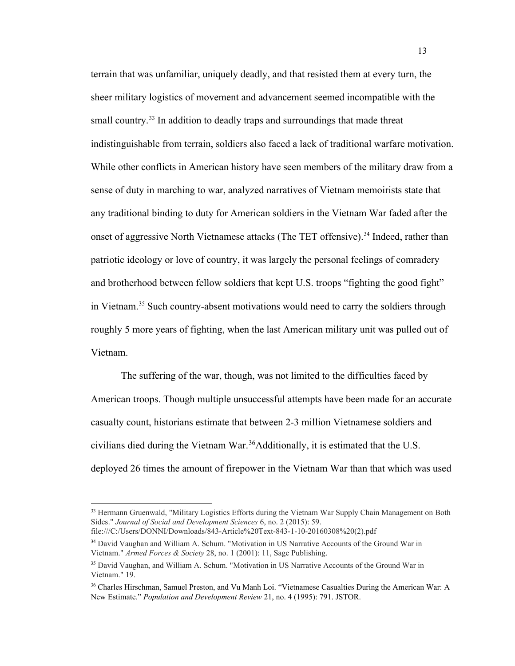terrain that was unfamiliar, uniquely deadly, and that resisted them at every turn, the sheer military logistics of movement and advancement seemed incompatible with the small country.<sup>[33](#page-19-0)</sup> In addition to deadly traps and surroundings that made threat indistinguishable from terrain, soldiers also faced a lack of traditional warfare motivation. While other conflicts in American history have seen members of the military draw from a sense of duty in marching to war, analyzed narratives of Vietnam memoirists state that any traditional binding to duty for American soldiers in the Vietnam War faded after the onset of aggressive North Vietnamese attacks (The TET offensive).<sup>[34](#page-19-1)</sup> Indeed, rather than patriotic ideology or love of country, it was largely the personal feelings of comradery and brotherhood between fellow soldiers that kept U.S. troops "fighting the good fight" in Vietnam.<sup>[35](#page-19-2)</sup> Such country-absent motivations would need to carry the soldiers through roughly 5 more years of fighting, when the last American military unit was pulled out of Vietnam.

The suffering of the war, though, was not limited to the difficulties faced by American troops. Though multiple unsuccessful attempts have been made for an accurate casualty count, historians estimate that between 2-3 million Vietnamese soldiers and civilians died during the Vietnam War.<sup>36</sup>Additionally, it is estimated that the U.S. deployed 26 times the amount of firepower in the Vietnam War than that which was used

<span id="page-19-0"></span><sup>&</sup>lt;sup>33</sup> Hermann Gruenwald, "Military Logistics Efforts during the Vietnam War Supply Chain Management on Both Sides." *Journal of Social and Development Sciences* 6, no. 2 (2015): 59. file:///C:/Users/DONNI/Downloads/843-Article%20Text-843-1-10-20160308%20(2).pdf

<span id="page-19-1"></span><sup>&</sup>lt;sup>34</sup> David Vaughan and William A. Schum. "Motivation in US Narrative Accounts of the Ground War in Vietnam." *Armed Forces & Society* 28, no. 1 (2001): 11, Sage Publishing.

<span id="page-19-2"></span><sup>&</sup>lt;sup>35</sup> David Vaughan, and William A. Schum. "Motivation in US Narrative Accounts of the Ground War in Vietnam." 19.

<span id="page-19-3"></span><sup>36</sup> Charles Hirschman, Samuel Preston, and Vu Manh Loi. "Vietnamese Casualties During the American War: A New Estimate." *Population and Development Review* 21, no. 4 (1995): 791. JSTOR.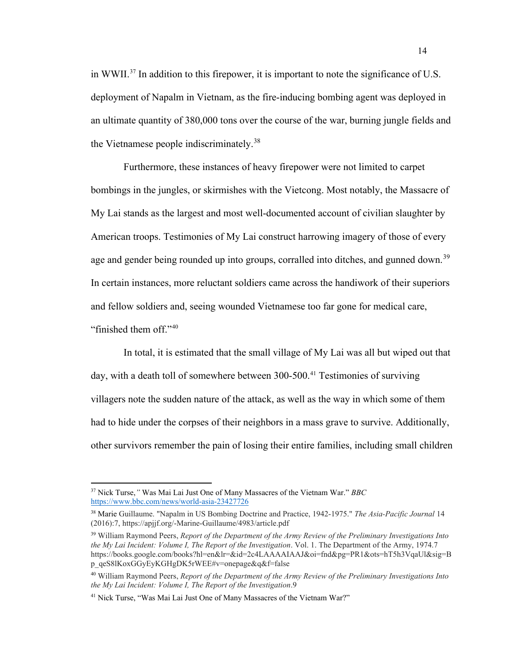in WWII[.37](#page-20-0) In addition to this firepower, it is important to note the significance of U.S. deployment of Napalm in Vietnam, as the fire-inducing bombing agent was deployed in an ultimate quantity of 380,000 tons over the course of the war, burning jungle fields and the Vietnamese people indiscriminately.<sup>[38](#page-20-1)</sup>

Furthermore, these instances of heavy firepower were not limited to carpet bombings in the jungles, or skirmishes with the Vietcong. Most notably, the Massacre of My Lai stands as the largest and most well-documented account of civilian slaughter by American troops. Testimonies of My Lai construct harrowing imagery of those of every age and gender being rounded up into groups, corralled into ditches, and gunned down.<sup>[39](#page-20-2)</sup> In certain instances, more reluctant soldiers came across the handiwork of their superiors and fellow soldiers and, seeing wounded Vietnamese too far gone for medical care, "finished them off."[40](#page-20-3)

In total, it is estimated that the small village of My Lai was all but wiped out that day, with a death toll of somewhere between  $300-500$ .<sup>[41](#page-20-4)</sup> Testimonies of surviving villagers note the sudden nature of the attack, as well as the way in which some of them had to hide under the corpses of their neighbors in a mass grave to survive. Additionally, other survivors remember the pain of losing their entire families, including small children

<span id="page-20-0"></span><sup>37</sup> Nick Turse,*"* Was Mai Lai Just One of Many Massacres of the Vietnam War." *BBC* <https://www.bbc.com/news/world-asia-23427726>

<span id="page-20-1"></span><sup>38</sup> Marie Guillaume. "Napalm in US Bombing Doctrine and Practice, 1942-1975." *The Asia-Pacific Journal* 14 (2016):7, https://apjjf.org/-Marine-Guillaume/4983/article.pdf

<span id="page-20-2"></span><sup>39</sup> William Raymond Peers, *Report of the Department of the Army Review of the Preliminary Investigations Into the My Lai Incident: Volume I, The Report of the Investigation*. Vol. 1. The Department of the Army, 1974.7 https://books.google.com/books?hl=en&lr=&id=2c4LAAAAIAAJ&oi=fnd&pg=PR1&ots=hT5h3VqaUl&sig=B p\_qeS8lKoxGGyEyKGHgDK5rWEE#v=onepage&q&f=false

<span id="page-20-3"></span><sup>40</sup> William Raymond Peers, *Report of the Department of the Army Review of the Preliminary Investigations Into the My Lai Incident: Volume I, The Report of the Investigation*.9

<span id="page-20-4"></span><sup>41</sup> Nick Turse, "Was Mai Lai Just One of Many Massacres of the Vietnam War?"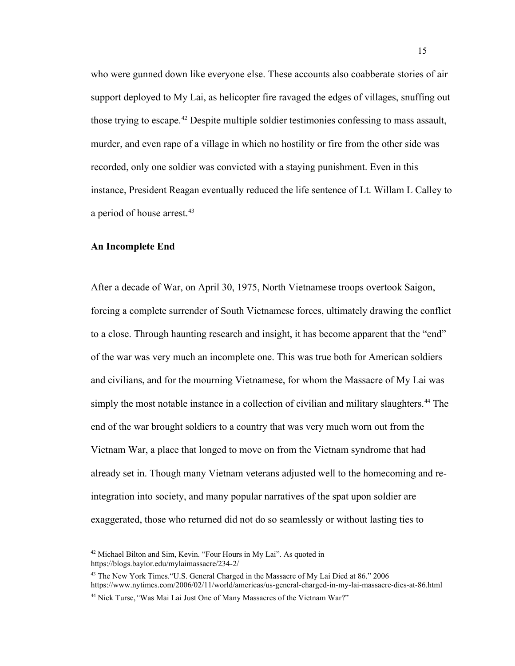who were gunned down like everyone else. These accounts also coabberate stories of air support deployed to My Lai, as helicopter fire ravaged the edges of villages, snuffing out those trying to escape.<sup>[42](#page-21-1)</sup> Despite multiple soldier testimonies confessing to mass assault, murder, and even rape of a village in which no hostility or fire from the other side was recorded, only one soldier was convicted with a staying punishment. Even in this instance, President Reagan eventually reduced the life sentence of Lt. Willam L Calley to a period of house arrest.<sup>[43](#page-21-2)</sup>

#### <span id="page-21-0"></span>**An Incomplete End**

After a decade of War, on April 30, 1975, North Vietnamese troops overtook Saigon, forcing a complete surrender of South Vietnamese forces, ultimately drawing the conflict to a close. Through haunting research and insight, it has become apparent that the "end" of the war was very much an incomplete one. This was true both for American soldiers and civilians, and for the mourning Vietnamese, for whom the Massacre of My Lai was simply the most notable instance in a collection of civilian and military slaughters.<sup>[44](#page-21-3)</sup> The end of the war brought soldiers to a country that was very much worn out from the Vietnam War, a place that longed to move on from the Vietnam syndrome that had already set in. Though many Vietnam veterans adjusted well to the homecoming and reintegration into society, and many popular narratives of the spat upon soldier are exaggerated, those who returned did not do so seamlessly or without lasting ties to

<span id="page-21-1"></span><sup>42</sup> Michael Bilton and Sim, Kevin. "Four Hours in My Lai". As quoted in https://blogs.baylor.edu/mylaimassacre/234-2/

<span id="page-21-2"></span><sup>&</sup>lt;sup>43</sup> The New York Times. "U.S. General Charged in the Massacre of My Lai Died at 86." 2006 https://www.nytimes.com/2006/02/11/world/americas/us-general-charged-in-my-lai-massacre-dies-at-86.html

<span id="page-21-3"></span><sup>44</sup> Nick Turse,*"*Was Mai Lai Just One of Many Massacres of the Vietnam War?"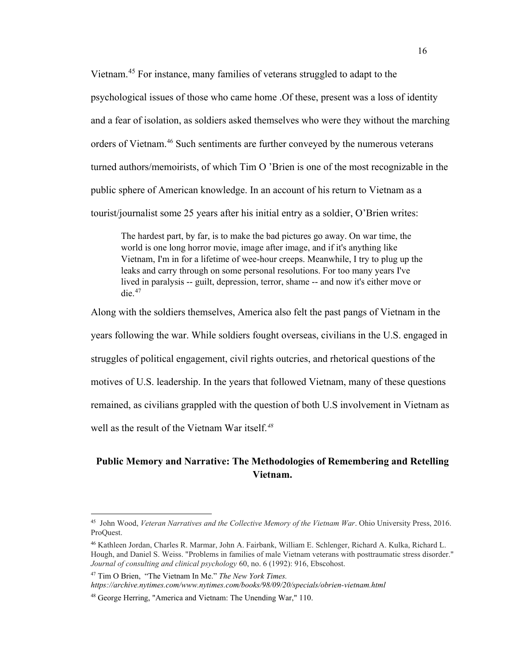Vietnam.[45](#page-22-1) For instance, many families of veterans struggled to adapt to the psychological issues of those who came home .Of these, present was a loss of identity and a fear of isolation, as soldiers asked themselves who were they without the marching orders of Vietnam.<sup>[46](#page-22-2)</sup> Such sentiments are further conveyed by the numerous veterans turned authors/memoirists, of which Tim O 'Brien is one of the most recognizable in the public sphere of American knowledge. In an account of his return to Vietnam as a tourist/journalist some 25 years after his initial entry as a soldier, O'Brien writes:

The hardest part, by far, is to make the bad pictures go away. On war time, the world is one long horror movie, image after image, and if it's anything like Vietnam, I'm in for a lifetime of wee-hour creeps. Meanwhile, I try to plug up the leaks and carry through on some personal resolutions. For too many years I've lived in paralysis -- guilt, depression, terror, shame -- and now it's either move or  $die<sup>47</sup>$  $die<sup>47</sup>$  $die<sup>47</sup>$ 

Along with the soldiers themselves, America also felt the past pangs of Vietnam in the years following the war. While soldiers fought overseas, civilians in the U.S. engaged in struggles of political engagement, civil rights outcries, and rhetorical questions of the motives of U.S. leadership. In the years that followed Vietnam, many of these questions remained, as civilians grappled with the question of both U.S involvement in Vietnam as well as the result of the Vietnam War itself.*[48](#page-22-4)*

## <span id="page-22-0"></span>**Public Memory and Narrative: The Methodologies of Remembering and Retelling Vietnam.**

*https://archive.nytimes.com/www.nytimes.com/books/98/09/20/specials/obrien-vietnam.html*

<span id="page-22-1"></span><sup>45</sup> John Wood, *Veteran Narratives and the Collective Memory of the Vietnam War*. Ohio University Press, 2016. ProQuest.

<span id="page-22-2"></span><sup>46</sup> Kathleen Jordan, Charles R. Marmar, John A. Fairbank, William E. Schlenger, Richard A. Kulka, Richard L. Hough, and Daniel S. Weiss. "Problems in families of male Vietnam veterans with posttraumatic stress disorder." *Journal of consulting and clinical psychology* 60, no. 6 (1992): 916, Ebscohost.

<span id="page-22-3"></span><sup>47</sup> Tim O Brien, "The Vietnam In Me." *The New York Times.* 

<span id="page-22-4"></span><sup>48</sup> George Herring, "America and Vietnam: The Unending War," 110.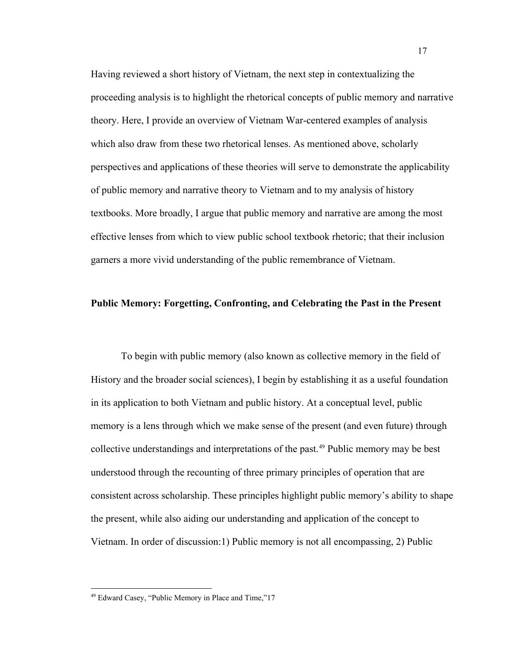Having reviewed a short history of Vietnam, the next step in contextualizing the proceeding analysis is to highlight the rhetorical concepts of public memory and narrative theory. Here, I provide an overview of Vietnam War-centered examples of analysis which also draw from these two rhetorical lenses. As mentioned above, scholarly perspectives and applications of these theories will serve to demonstrate the applicability of public memory and narrative theory to Vietnam and to my analysis of history textbooks. More broadly, I argue that public memory and narrative are among the most effective lenses from which to view public school textbook rhetoric; that their inclusion garners a more vivid understanding of the public remembrance of Vietnam.

#### <span id="page-23-0"></span>**Public Memory: Forgetting, Confronting, and Celebrating the Past in the Present**

To begin with public memory (also known as collective memory in the field of History and the broader social sciences), I begin by establishing it as a useful foundation in its application to both Vietnam and public history. At a conceptual level, public memory is a lens through which we make sense of the present (and even future) through collective understandings and interpretations of the past. [49](#page-23-1) Public memory may be best understood through the recounting of three primary principles of operation that are consistent across scholarship. These principles highlight public memory's ability to shape the present, while also aiding our understanding and application of the concept to Vietnam. In order of discussion:1) Public memory is not all encompassing, 2) Public

<span id="page-23-1"></span><sup>49</sup> Edward Casey, "Public Memory in Place and Time,"17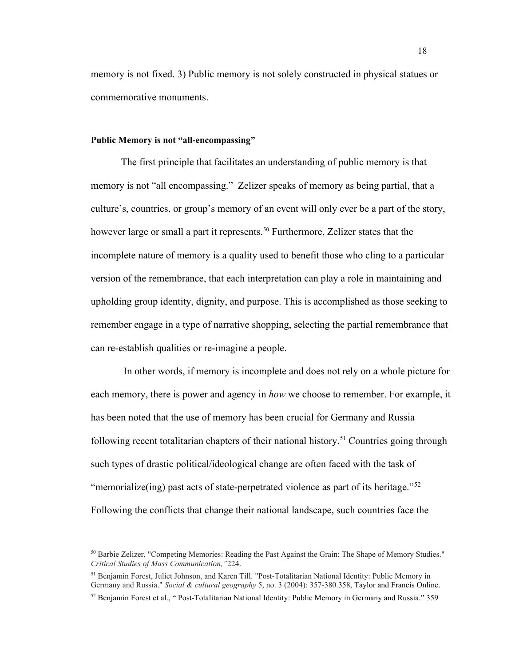memory is not fixed. 3) Public memory is not solely constructed in physical statues or commemorative monuments.

#### <span id="page-24-0"></span>**Public Memory is not "all-encompassing"**

The first principle that facilitates an understanding of public memory is that memory is not "all encompassing." Zelizer speaks of memory as being partial, that a culture's, countries, or group's memory of an event will only ever be a part of the story, however large or small a part it represents.<sup>[50](#page-24-1)</sup> Furthermore, Zelizer states that the incomplete nature of memory is a quality used to benefit those who cling to a particular version of the remembrance, that each interpretation can play a role in maintaining and upholding group identity, dignity, and purpose. This is accomplished as those seeking to remember engage in a type of narrative shopping, selecting the partial remembrance that can re-establish qualities or re-imagine a people.

In other words, if memory is incomplete and does not rely on a whole picture for each memory, there is power and agency in *how* we choose to remember. For example, it has been noted that the use of memory has been crucial for Germany and Russia following recent totalitarian chapters of their national history.<sup>[51](#page-24-2)</sup> Countries going through such types of drastic political/ideological change are often faced with the task of "memorialize(ing) past acts of state-perpetrated violence as part of its heritage."<sup>[52](#page-24-3)</sup> Following the conflicts that change their national landscape, such countries face the

<span id="page-24-1"></span><sup>&</sup>lt;sup>50</sup> Barbie Zelizer, "Competing Memories: Reading the Past Against the Grain: The Shape of Memory Studies." *Critical Studies of Mass Communication,"*224.

<span id="page-24-2"></span><sup>51</sup> Benjamin Forest, Juliet Johnson, and Karen Till. "Post‐Totalitarian National Identity: Public Memory in Germany and Russia." *Social & cultural geography* 5, no. 3 (2004): 357-380.358, Taylor and Francis Online.

<span id="page-24-3"></span> $52$  Benjamin Forest et al., "Post-Totalitarian National Identity: Public Memory in Germany and Russia." 359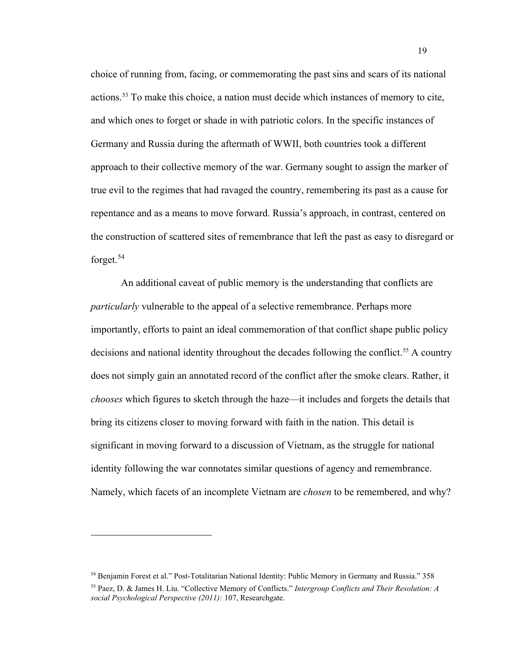choice of running from, facing, or commemorating the past sins and scars of its national actions.[53](#page-25-0) To make this choice, a nation must decide which instances of memory to cite, and which ones to forget or shade in with patriotic colors. In the specific instances of Germany and Russia during the aftermath of WWII, both countries took a different approach to their collective memory of the war. Germany sought to assign the marker of true evil to the regimes that had ravaged the country, remembering its past as a cause for repentance and as a means to move forward. Russia's approach, in contrast, centered on the construction of scattered sites of remembrance that left the past as easy to disregard or forget.[54](#page-25-1)

An additional caveat of public memory is the understanding that conflicts are *particularly* vulnerable to the appeal of a selective remembrance. Perhaps more importantly, efforts to paint an ideal commemoration of that conflict shape public policy decisions and national identity throughout the decades following the conflict.<sup>[55](#page-25-2)</sup> A country does not simply gain an annotated record of the conflict after the smoke clears. Rather, it *chooses* which figures to sketch through the haze—it includes and forgets the details that bring its citizens closer to moving forward with faith in the nation. This detail is significant in moving forward to a discussion of Vietnam, as the struggle for national identity following the war connotates similar questions of agency and remembrance. Namely, which facets of an incomplete Vietnam are *chosen* to be remembered, and why?

<span id="page-25-1"></span><span id="page-25-0"></span><sup>54</sup> Benjamin Forest et al." Post-Totalitarian National Identity: Public Memory in Germany and Russia." 358

<span id="page-25-2"></span><sup>55</sup> Paez, D. & James H. Liu. "Collective Memory of Conflicts." *Intergroup Conflicts and Their Resolution: A social Psychological Perspective (2011):* 107, Researchgate.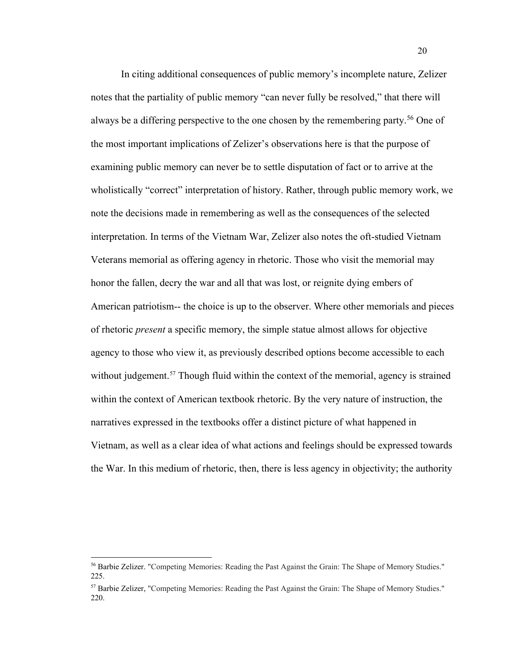In citing additional consequences of public memory's incomplete nature, Zelizer notes that the partiality of public memory "can never fully be resolved," that there will always be a differing perspective to the one chosen by the remembering party.<sup>[56](#page-26-0)</sup> One of the most important implications of Zelizer's observations here is that the purpose of examining public memory can never be to settle disputation of fact or to arrive at the wholistically "correct" interpretation of history. Rather, through public memory work, we note the decisions made in remembering as well as the consequences of the selected interpretation. In terms of the Vietnam War, Zelizer also notes the oft-studied Vietnam Veterans memorial as offering agency in rhetoric. Those who visit the memorial may honor the fallen, decry the war and all that was lost, or reignite dying embers of American patriotism-- the choice is up to the observer. Where other memorials and pieces of rhetoric *present* a specific memory, the simple statue almost allows for objective agency to those who view it, as previously described options become accessible to each without judgement.<sup>[57](#page-26-1)</sup> Though fluid within the context of the memorial, agency is strained within the context of American textbook rhetoric. By the very nature of instruction, the narratives expressed in the textbooks offer a distinct picture of what happened in Vietnam, as well as a clear idea of what actions and feelings should be expressed towards the War. In this medium of rhetoric, then, there is less agency in objectivity; the authority

<span id="page-26-0"></span><sup>&</sup>lt;sup>56</sup> Barbie Zelizer. "Competing Memories: Reading the Past Against the Grain: The Shape of Memory Studies." 225.

<span id="page-26-1"></span><sup>57</sup> Barbie Zelizer, "Competing Memories: Reading the Past Against the Grain: The Shape of Memory Studies." 220.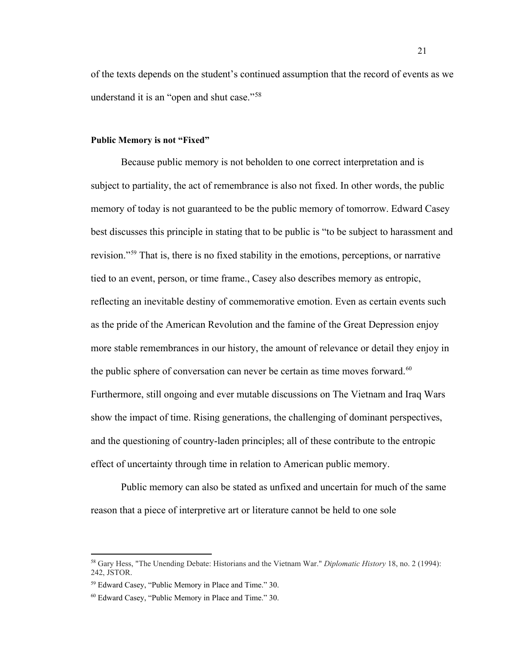of the texts depends on the student's continued assumption that the record of events as we understand it is an "open and shut case."<sup>[58](#page-27-1)</sup>

#### <span id="page-27-0"></span>**Public Memory is not "Fixed"**

Because public memory is not beholden to one correct interpretation and is subject to partiality, the act of remembrance is also not fixed. In other words, the public memory of today is not guaranteed to be the public memory of tomorrow. Edward Casey best discusses this principle in stating that to be public is "to be subject to harassment and revision."[59](#page-27-2) That is, there is no fixed stability in the emotions, perceptions, or narrative tied to an event, person, or time frame., Casey also describes memory as entropic, reflecting an inevitable destiny of commemorative emotion. Even as certain events such as the pride of the American Revolution and the famine of the Great Depression enjoy more stable remembrances in our history, the amount of relevance or detail they enjoy in the public sphere of conversation can never be certain as time moves forward. $60$ Furthermore, still ongoing and ever mutable discussions on The Vietnam and Iraq Wars show the impact of time. Rising generations, the challenging of dominant perspectives, and the questioning of country-laden principles; all of these contribute to the entropic effect of uncertainty through time in relation to American public memory.

Public memory can also be stated as unfixed and uncertain for much of the same reason that a piece of interpretive art or literature cannot be held to one sole

<span id="page-27-1"></span><sup>58</sup> Gary Hess, "The Unending Debate: Historians and the Vietnam War." *Diplomatic History* 18, no. 2 (1994): 242, JSTOR.

<span id="page-27-2"></span><sup>59</sup> Edward Casey, "Public Memory in Place and Time." 30.

<span id="page-27-3"></span><sup>60</sup> Edward Casey, "Public Memory in Place and Time." 30.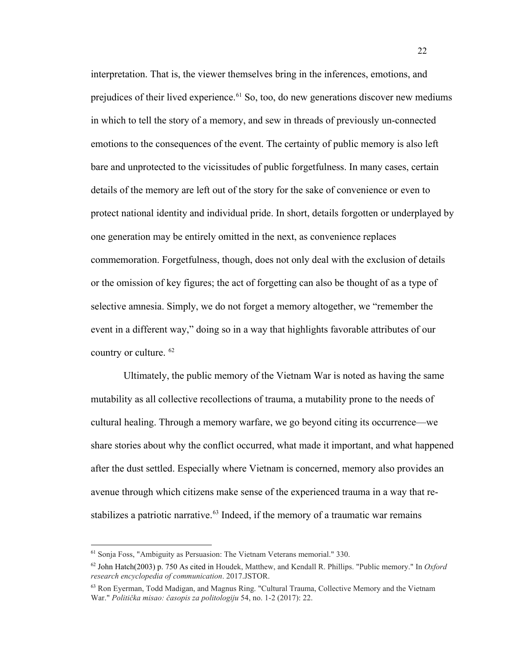interpretation. That is, the viewer themselves bring in the inferences, emotions, and prejudices of their lived experience.<sup>[61](#page-28-0)</sup> So, too, do new generations discover new mediums in which to tell the story of a memory, and sew in threads of previously un-connected emotions to the consequences of the event. The certainty of public memory is also left bare and unprotected to the vicissitudes of public forgetfulness. In many cases, certain details of the memory are left out of the story for the sake of convenience or even to protect national identity and individual pride. In short, details forgotten or underplayed by one generation may be entirely omitted in the next, as convenience replaces commemoration. Forgetfulness, though, does not only deal with the exclusion of details or the omission of key figures; the act of forgetting can also be thought of as a type of selective amnesia. Simply, we do not forget a memory altogether, we "remember the event in a different way," doing so in a way that highlights favorable attributes of our country or culture. [62](#page-28-1)

Ultimately, the public memory of the Vietnam War is noted as having the same mutability as all collective recollections of trauma, a mutability prone to the needs of cultural healing. Through a memory warfare, we go beyond citing its occurrence—we share stories about why the conflict occurred, what made it important, and what happened after the dust settled. Especially where Vietnam is concerned, memory also provides an avenue through which citizens make sense of the experienced trauma in a way that restabilizes a patriotic narrative. $63$  Indeed, if the memory of a traumatic war remains

<span id="page-28-0"></span><sup>61</sup> Sonja Foss, "Ambiguity as Persuasion: The Vietnam Veterans memorial." 330.

<span id="page-28-1"></span><sup>62</sup> John Hatch(2003) p. 750 As cited in Houdek, Matthew, and Kendall R. Phillips. "Public memory." In *Oxford research encyclopedia of communication*. 2017.JSTOR.

<span id="page-28-2"></span><sup>63</sup> Ron Eyerman, Todd Madigan, and Magnus Ring. "Cultural Trauma, Collective Memory and the Vietnam War." *Politička misao: časopis za politologiju* 54, no. 1-2 (2017): 22.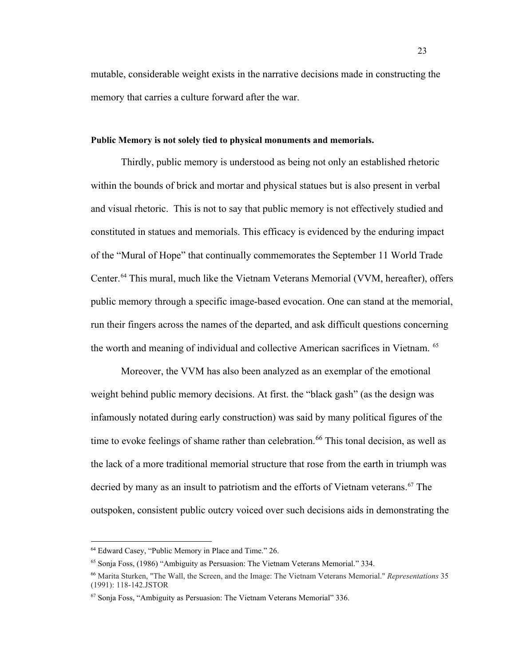mutable, considerable weight exists in the narrative decisions made in constructing the memory that carries a culture forward after the war.

#### <span id="page-29-0"></span>**Public Memory is not solely tied to physical monuments and memorials.**

Thirdly, public memory is understood as being not only an established rhetoric within the bounds of brick and mortar and physical statues but is also present in verbal and visual rhetoric. This is not to say that public memory is not effectively studied and constituted in statues and memorials. This efficacy is evidenced by the enduring impact of the "Mural of Hope" that continually commemorates the September 11 World Trade Center.[64](#page-29-1) This mural, much like the Vietnam Veterans Memorial (VVM, hereafter), offers public memory through a specific image-based evocation. One can stand at the memorial, run their fingers across the names of the departed, and ask difficult questions concerning the worth and meaning of individual and collective American sacrifices in Vietnam. [65](#page-29-2)

Moreover, the VVM has also been analyzed as an exemplar of the emotional weight behind public memory decisions. At first. the "black gash" (as the design was infamously notated during early construction) was said by many political figures of the time to evoke feelings of shame rather than celebration.<sup>[66](#page-29-3)</sup> This tonal decision, as well as the lack of a more traditional memorial structure that rose from the earth in triumph was decried by many as an insult to patriotism and the efforts of Vietnam veterans.<sup>[67](#page-29-4)</sup> The outspoken, consistent public outcry voiced over such decisions aids in demonstrating the

<span id="page-29-1"></span><sup>64</sup> Edward Casey, "Public Memory in Place and Time." 26.

<span id="page-29-2"></span><sup>65</sup> Sonja Foss, (1986) "Ambiguity as Persuasion: The Vietnam Veterans Memorial." 334.

<span id="page-29-3"></span><sup>66</sup> Marita Sturken, "The Wall, the Screen, and the Image: The Vietnam Veterans Memorial." *Representations* 35 (1991): 118-142.JSTOR

<span id="page-29-4"></span><sup>67</sup> Sonja Foss, "Ambiguity as Persuasion: The Vietnam Veterans Memorial" 336.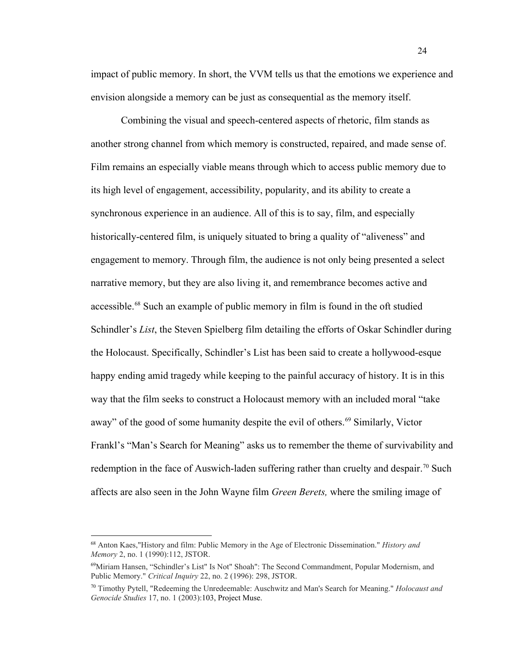impact of public memory. In short, the VVM tells us that the emotions we experience and envision alongside a memory can be just as consequential as the memory itself.

Combining the visual and speech-centered aspects of rhetoric, film stands as another strong channel from which memory is constructed, repaired, and made sense of. Film remains an especially viable means through which to access public memory due to its high level of engagement, accessibility, popularity, and its ability to create a synchronous experience in an audience. All of this is to say, film, and especially historically-centered film, is uniquely situated to bring a quality of "aliveness" and engagement to memory. Through film, the audience is not only being presented a select narrative memory, but they are also living it, and remembrance becomes active and accessible.[68](#page-30-0) Such an example of public memory in film is found in the oft studied Schindler's *List*, the Steven Spielberg film detailing the efforts of Oskar Schindler during the Holocaust. Specifically, Schindler's List has been said to create a hollywood-esque happy ending amid tragedy while keeping to the painful accuracy of history. It is in this way that the film seeks to construct a Holocaust memory with an included moral "take away" of the good of some humanity despite the evil of others.<sup>[69](#page-30-1)</sup> Similarly, Victor Frankl's "Man's Search for Meaning" asks us to remember the theme of survivability and redemption in the face of Auswich-laden suffering rather than cruelty and despair.<sup>[70](#page-30-2)</sup> Such affects are also seen in the John Wayne film *Green Berets,* where the smiling image of

<span id="page-30-0"></span><sup>68</sup> Anton Kaes,"History and film: Public Memory in the Age of Electronic Dissemination." *History and Memory* 2, no. 1 (1990):112, JSTOR.

<span id="page-30-1"></span><sup>69</sup>Miriam Hansen, "Schindler's List" Is Not" Shoah": The Second Commandment, Popular Modernism, and Public Memory." *Critical Inquiry* 22, no. 2 (1996): 298, JSTOR.

<span id="page-30-2"></span><sup>70</sup> Timothy Pytell, "Redeeming the Unredeemable: Auschwitz and Man's Search for Meaning." *Holocaust and Genocide Studies* 17, no. 1 (2003):103, Project Muse.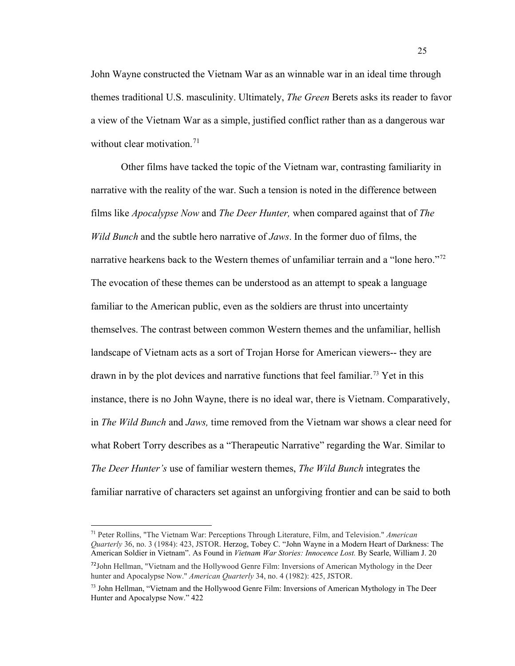John Wayne constructed the Vietnam War as an winnable war in an ideal time through themes traditional U.S. masculinity. Ultimately, *The Green* Berets asks its reader to favor a view of the Vietnam War as a simple, justified conflict rather than as a dangerous war without clear motivation.<sup>[71](#page-31-0)</sup>

Other films have tacked the topic of the Vietnam war, contrasting familiarity in narrative with the reality of the war. Such a tension is noted in the difference between films like *Apocalypse Now* and *The Deer Hunter,* when compared against that of *The Wild Bunch* and the subtle hero narrative of *Jaws*. In the former duo of films, the narrative hearkens back to the Western themes of unfamiliar terrain and a "lone hero."<sup>[72](#page-31-1)</sup> The evocation of these themes can be understood as an attempt to speak a language familiar to the American public, even as the soldiers are thrust into uncertainty themselves. The contrast between common Western themes and the unfamiliar, hellish landscape of Vietnam acts as a sort of Trojan Horse for American viewers-- they are drawn in by the plot devices and narrative functions that feel familiar.<sup>[73](#page-31-2)</sup> Yet in this instance, there is no John Wayne, there is no ideal war, there is Vietnam. Comparatively, in *The Wild Bunch* and *Jaws,* time removed from the Vietnam war shows a clear need for what Robert Torry describes as a "Therapeutic Narrative" regarding the War. Similar to *The Deer Hunter's* use of familiar western themes, *The Wild Bunch* integrates the familiar narrative of characters set against an unforgiving frontier and can be said to both

<span id="page-31-0"></span><sup>71</sup> Peter Rollins, "The Vietnam War: Perceptions Through Literature, Film, and Television." *American Quarterly* 36, no. 3 (1984): 423, JSTOR. Herzog, Tobey C. "John Wayne in a Modern Heart of Darkness: The American Soldier in Vietnam". As Found in *Vietnam War Stories: Innocence Lost.* By Searle, William J. 20

<span id="page-31-1"></span><sup>&</sup>lt;sup>72</sup>John Hellman, "Vietnam and the Hollywood Genre Film: Inversions of American Mythology in the Deer hunter and Apocalypse Now." *American Quarterly* 34, no. 4 (1982): 425, JSTOR.

<span id="page-31-2"></span> $73$  John Hellman, "Vietnam and the Hollywood Genre Film: Inversions of American Mythology in The Deer Hunter and Apocalypse Now." 422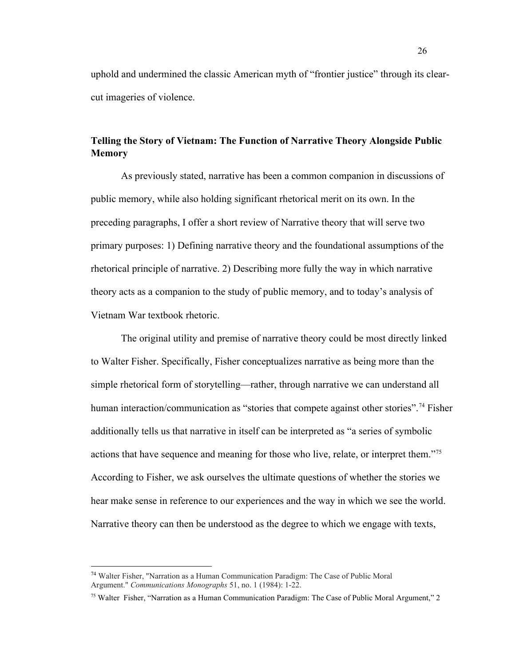uphold and undermined the classic American myth of "frontier justice" through its clearcut imageries of violence.

## <span id="page-32-0"></span>**Telling the Story of Vietnam: The Function of Narrative Theory Alongside Public Memory**

As previously stated, narrative has been a common companion in discussions of public memory, while also holding significant rhetorical merit on its own. In the preceding paragraphs, I offer a short review of Narrative theory that will serve two primary purposes: 1) Defining narrative theory and the foundational assumptions of the rhetorical principle of narrative. 2) Describing more fully the way in which narrative theory acts as a companion to the study of public memory, and to today's analysis of Vietnam War textbook rhetoric.

The original utility and premise of narrative theory could be most directly linked to Walter Fisher. Specifically, Fisher conceptualizes narrative as being more than the simple rhetorical form of storytelling—rather, through narrative we can understand all human interaction/communication as "stories that compete against other stories".<sup>[74](#page-32-1)</sup> Fisher additionally tells us that narrative in itself can be interpreted as "a series of symbolic actions that have sequence and meaning for those who live, relate, or interpret them."[75](#page-32-2) According to Fisher, we ask ourselves the ultimate questions of whether the stories we hear make sense in reference to our experiences and the way in which we see the world. Narrative theory can then be understood as the degree to which we engage with texts,

<span id="page-32-1"></span><sup>74</sup> Walter Fisher, "Narration as a Human Communication Paradigm: The Case of Public Moral Argument." *Communications Monographs* 51, no. 1 (1984): 1-22.

<span id="page-32-2"></span><sup>75</sup> Walter Fisher, "Narration as a Human Communication Paradigm: The Case of Public Moral Argument," 2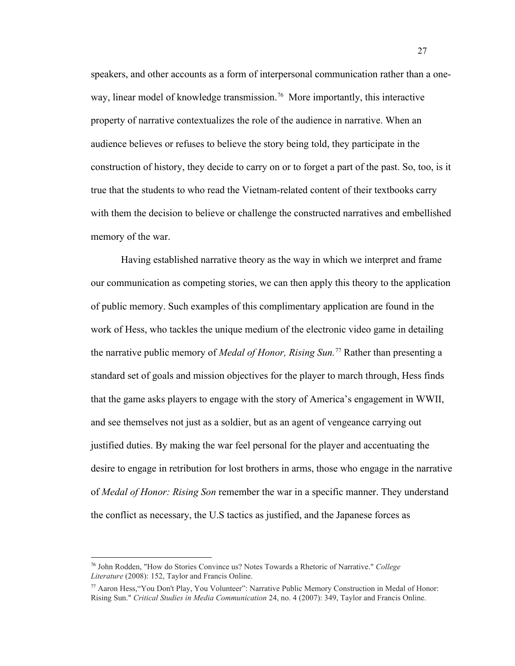speakers, and other accounts as a form of interpersonal communication rather than a one-way, linear model of knowledge transmission.<sup>[76](#page-33-0)</sup> More importantly, this interactive property of narrative contextualizes the role of the audience in narrative. When an audience believes or refuses to believe the story being told, they participate in the construction of history, they decide to carry on or to forget a part of the past. So, too, is it true that the students to who read the Vietnam-related content of their textbooks carry with them the decision to believe or challenge the constructed narratives and embellished memory of the war.

Having established narrative theory as the way in which we interpret and frame our communication as competing stories, we can then apply this theory to the application of public memory. Such examples of this complimentary application are found in the work of Hess, who tackles the unique medium of the electronic video game in detailing the narrative public memory of *Medal of Honor, Rising Sun.*[77](#page-33-1) Rather than presenting a standard set of goals and mission objectives for the player to march through, Hess finds that the game asks players to engage with the story of America's engagement in WWII, and see themselves not just as a soldier, but as an agent of vengeance carrying out justified duties. By making the war feel personal for the player and accentuating the desire to engage in retribution for lost brothers in arms, those who engage in the narrative of *Medal of Honor: Rising Son* remember the war in a specific manner. They understand the conflict as necessary, the U.S tactics as justified, and the Japanese forces as

<span id="page-33-0"></span><sup>76</sup> John Rodden, "How do Stories Convince us? Notes Towards a Rhetoric of Narrative." *College Literature* (2008): 152, Taylor and Francis Online.

<span id="page-33-1"></span><sup>77</sup> Aaron Hess,"You Don't Play, You Volunteer": Narrative Public Memory Construction in Medal of Honor: Rising Sun." *Critical Studies in Media Communication* 24, no. 4 (2007): 349, Taylor and Francis Online.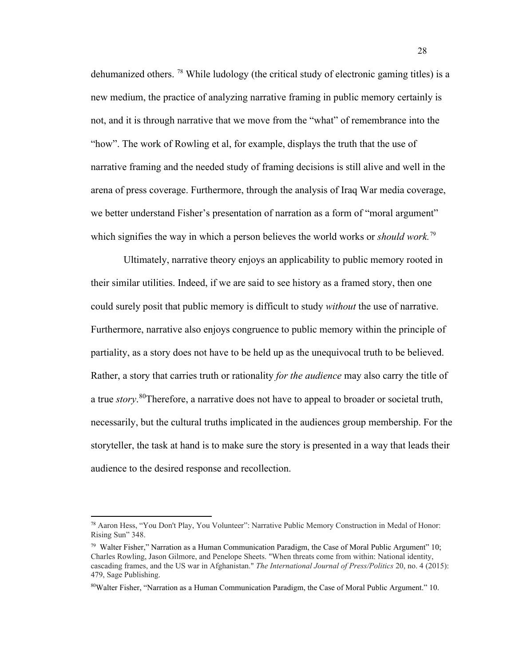dehumanized others. [78](#page-34-0) While ludology (the critical study of electronic gaming titles) is a new medium, the practice of analyzing narrative framing in public memory certainly is not, and it is through narrative that we move from the "what" of remembrance into the "how". The work of Rowling et al, for example, displays the truth that the use of narrative framing and the needed study of framing decisions is still alive and well in the arena of press coverage. Furthermore, through the analysis of Iraq War media coverage, we better understand Fisher's presentation of narration as a form of "moral argument" which signifies the way in which a person believes the world works or *should work*.<sup>[79](#page-34-1)</sup>

Ultimately, narrative theory enjoys an applicability to public memory rooted in their similar utilities. Indeed, if we are said to see history as a framed story, then one could surely posit that public memory is difficult to study *without* the use of narrative. Furthermore, narrative also enjoys congruence to public memory within the principle of partiality, as a story does not have to be held up as the unequivocal truth to be believed. Rather, a story that carries truth or rationality *for the audience* may also carry the title of a true *story*. [80T](#page-34-2)herefore, a narrative does not have to appeal to broader or societal truth, necessarily, but the cultural truths implicated in the audiences group membership. For the storyteller, the task at hand is to make sure the story is presented in a way that leads their audience to the desired response and recollection.

<span id="page-34-0"></span><sup>78</sup> Aaron Hess, "You Don't Play, You Volunteer": Narrative Public Memory Construction in Medal of Honor: Rising Sun" 348.

<span id="page-34-1"></span><sup>&</sup>lt;sup>79</sup> Walter Fisher," Narration as a Human Communication Paradigm, the Case of Moral Public Argument" 10; Charles Rowling, Jason Gilmore, and Penelope Sheets. "When threats come from within: National identity, cascading frames, and the US war in Afghanistan." *The International Journal of Press/Politics* 20, no. 4 (2015): 479, Sage Publishing.

<span id="page-34-2"></span><sup>80</sup>Walter Fisher, "Narration as a Human Communication Paradigm, the Case of Moral Public Argument." 10.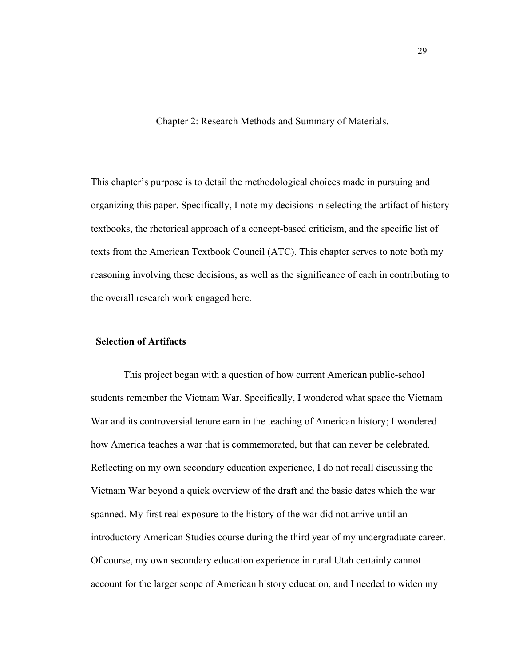Chapter 2: Research Methods and Summary of Materials.

<span id="page-35-0"></span>This chapter's purpose is to detail the methodological choices made in pursuing and organizing this paper. Specifically, I note my decisions in selecting the artifact of history textbooks, the rhetorical approach of a concept-based criticism, and the specific list of texts from the American Textbook Council (ATC). This chapter serves to note both my reasoning involving these decisions, as well as the significance of each in contributing to the overall research work engaged here.

#### **Selection of Artifacts**

This project began with a question of how current American public-school students remember the Vietnam War. Specifically, I wondered what space the Vietnam War and its controversial tenure earn in the teaching of American history; I wondered how America teaches a war that is commemorated, but that can never be celebrated. Reflecting on my own secondary education experience, I do not recall discussing the Vietnam War beyond a quick overview of the draft and the basic dates which the war spanned. My first real exposure to the history of the war did not arrive until an introductory American Studies course during the third year of my undergraduate career. Of course, my own secondary education experience in rural Utah certainly cannot account for the larger scope of American history education, and I needed to widen my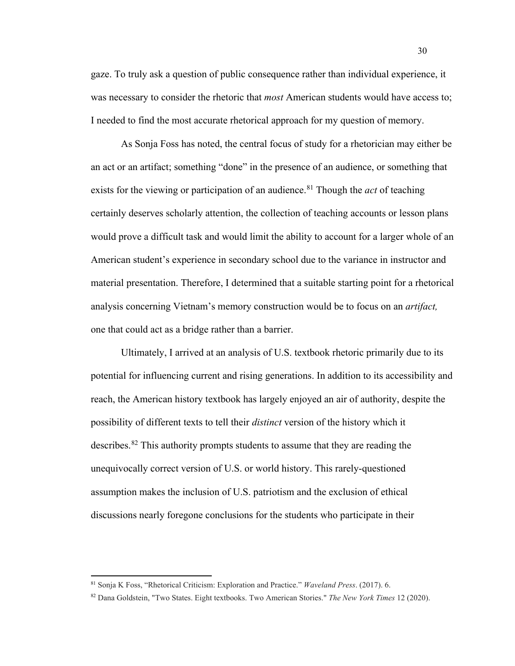gaze. To truly ask a question of public consequence rather than individual experience, it was necessary to consider the rhetoric that *most* American students would have access to; I needed to find the most accurate rhetorical approach for my question of memory.

As Sonja Foss has noted, the central focus of study for a rhetorician may either be an act or an artifact; something "done" in the presence of an audience, or something that exists for the viewing or participation of an audience.<sup>[81](#page-36-0)</sup> Though the *act* of teaching certainly deserves scholarly attention, the collection of teaching accounts or lesson plans would prove a difficult task and would limit the ability to account for a larger whole of an American student's experience in secondary school due to the variance in instructor and material presentation. Therefore, I determined that a suitable starting point for a rhetorical analysis concerning Vietnam's memory construction would be to focus on an *artifact,* one that could act as a bridge rather than a barrier.

Ultimately, I arrived at an analysis of U.S. textbook rhetoric primarily due to its potential for influencing current and rising generations. In addition to its accessibility and reach, the American history textbook has largely enjoyed an air of authority, despite the possibility of different texts to tell their *distinct* version of the history which it describes.<sup>[82](#page-36-1)</sup> This authority prompts students to assume that they are reading the unequivocally correct version of U.S. or world history. This rarely-questioned assumption makes the inclusion of U.S. patriotism and the exclusion of ethical discussions nearly foregone conclusions for the students who participate in their

<span id="page-36-0"></span><sup>81</sup> Sonja K Foss, "Rhetorical Criticism: Exploration and Practice." *Waveland Press*. (2017). 6.

<span id="page-36-1"></span><sup>82</sup> Dana Goldstein, "Two States. Eight textbooks. Two American Stories." *The New York Times* 12 (2020).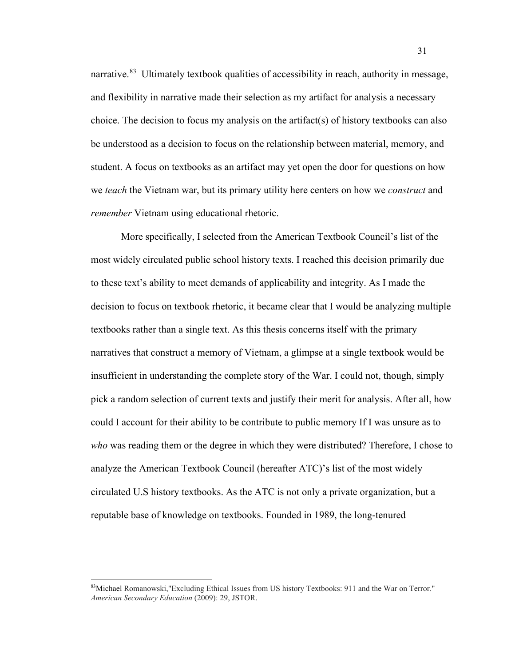narrative.<sup>[83](#page-37-0)</sup> Ultimately textbook qualities of accessibility in reach, authority in message, and flexibility in narrative made their selection as my artifact for analysis a necessary choice. The decision to focus my analysis on the artifact(s) of history textbooks can also be understood as a decision to focus on the relationship between material, memory, and student. A focus on textbooks as an artifact may yet open the door for questions on how we *teach* the Vietnam war, but its primary utility here centers on how we *construct* and *remember* Vietnam using educational rhetoric.

More specifically, I selected from the American Textbook Council's list of the most widely circulated public school history texts. I reached this decision primarily due to these text's ability to meet demands of applicability and integrity. As I made the decision to focus on textbook rhetoric, it became clear that I would be analyzing multiple textbooks rather than a single text. As this thesis concerns itself with the primary narratives that construct a memory of Vietnam, a glimpse at a single textbook would be insufficient in understanding the complete story of the War. I could not, though, simply pick a random selection of current texts and justify their merit for analysis. After all, how could I account for their ability to be contribute to public memory If I was unsure as to *who* was reading them or the degree in which they were distributed? Therefore, I chose to analyze the American Textbook Council (hereafter ATC)'s list of the most widely circulated U.S history textbooks. As the ATC is not only a private organization, but a reputable base of knowledge on textbooks. Founded in 1989, the long-tenured

<span id="page-37-0"></span><sup>83</sup>Michael Romanowski,"Excluding Ethical Issues from US history Textbooks: 911 and the War on Terror." *American Secondary Education* (2009): 29, JSTOR.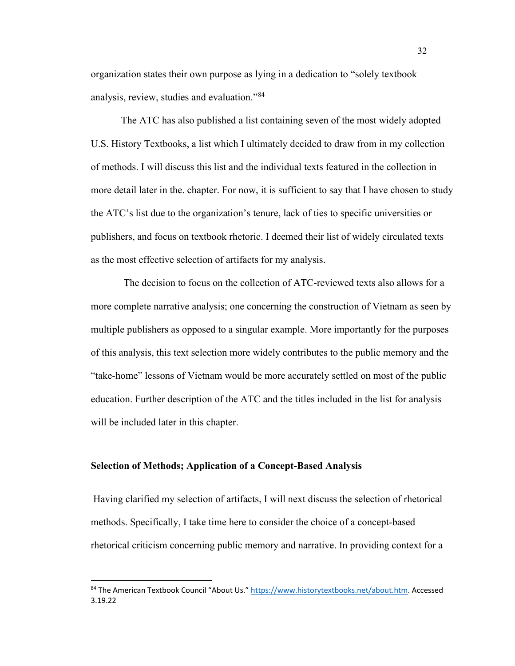organization states their own purpose as lying in a dedication to "solely textbook analysis, review, studies and evaluation."[84](#page-38-0)

The ATC has also published a list containing seven of the most widely adopted U.S. History Textbooks, a list which I ultimately decided to draw from in my collection of methods. I will discuss this list and the individual texts featured in the collection in more detail later in the. chapter. For now, it is sufficient to say that I have chosen to study the ATC's list due to the organization's tenure, lack of ties to specific universities or publishers, and focus on textbook rhetoric. I deemed their list of widely circulated texts as the most effective selection of artifacts for my analysis.

The decision to focus on the collection of ATC-reviewed texts also allows for a more complete narrative analysis; one concerning the construction of Vietnam as seen by multiple publishers as opposed to a singular example. More importantly for the purposes of this analysis, this text selection more widely contributes to the public memory and the "take-home" lessons of Vietnam would be more accurately settled on most of the public education. Further description of the ATC and the titles included in the list for analysis will be included later in this chapter.

#### **Selection of Methods; Application of a Concept-Based Analysis**

Having clarified my selection of artifacts, I will next discuss the selection of rhetorical methods. Specifically, I take time here to consider the choice of a concept-based rhetorical criticism concerning public memory and narrative. In providing context for a

<span id="page-38-0"></span><sup>84</sup> The American Textbook Council "About Us.[" https://www.historytextbooks.net/about.htm.](https://www.historytextbooks.net/about.htm) Accessed 3.19.22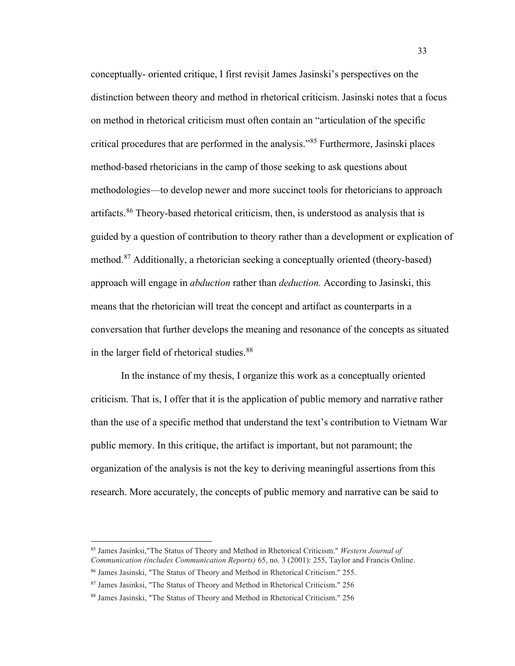conceptually- oriented critique, I first revisit James Jasinski's perspectives on the distinction between theory and method in rhetorical criticism. Jasinski notes that a focus on method in rhetorical criticism must often contain an "articulation of the specific critical procedures that are performed in the analysis."[85](#page-39-0) Furthermore, Jasinski places method-based rhetoricians in the camp of those seeking to ask questions about methodologies—to develop newer and more succinct tools for rhetoricians to approach artifacts.<sup>[86](#page-39-1)</sup> Theory-based rhetorical criticism, then, is understood as analysis that is guided by a question of contribution to theory rather than a development or explication of method.[87](#page-39-2) Additionally, a rhetorician seeking a conceptually oriented (theory-based) approach will engage in *abduction* rather than *deduction.* According to Jasinski, this means that the rhetorician will treat the concept and artifact as counterparts in a conversation that further develops the meaning and resonance of the concepts as situated in the larger field of rhetorical studies.<sup>[88](#page-39-3)</sup>

In the instance of my thesis, I organize this work as a conceptually oriented criticism. That is, I offer that it is the application of public memory and narrative rather than the use of a specific method that understand the text's contribution to Vietnam War public memory. In this critique, the artifact is important, but not paramount; the organization of the analysis is not the key to deriving meaningful assertions from this research. More accurately, the concepts of public memory and narrative can be said to

<span id="page-39-0"></span><sup>85</sup> James Jasinksi,"The Status of Theory and Method in Rhetorical Criticism." *Western Journal of Communication (includes Communication Reports)* 65, no. 3 (2001): 255, Taylor and Francis Online.

<span id="page-39-1"></span><sup>86</sup> James Jasinski, "The Status of Theory and Method in Rhetorical Criticism." 255.

<span id="page-39-2"></span><sup>87</sup> James Jasinksi, "The Status of Theory and Method in Rhetorical Criticism." 256

<span id="page-39-3"></span><sup>88</sup> James Jasinski, "The Status of Theory and Method in Rhetorical Criticism." 256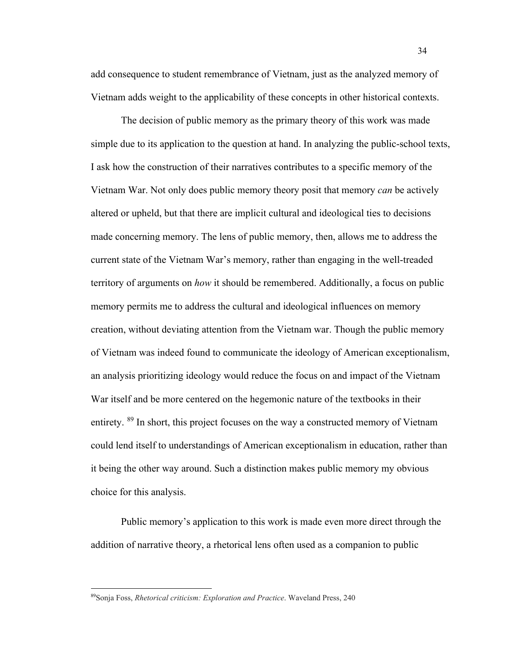add consequence to student remembrance of Vietnam, just as the analyzed memory of Vietnam adds weight to the applicability of these concepts in other historical contexts.

The decision of public memory as the primary theory of this work was made simple due to its application to the question at hand. In analyzing the public-school texts, I ask how the construction of their narratives contributes to a specific memory of the Vietnam War. Not only does public memory theory posit that memory *can* be actively altered or upheld, but that there are implicit cultural and ideological ties to decisions made concerning memory. The lens of public memory, then, allows me to address the current state of the Vietnam War's memory, rather than engaging in the well-treaded territory of arguments on *how* it should be remembered. Additionally, a focus on public memory permits me to address the cultural and ideological influences on memory creation, without deviating attention from the Vietnam war. Though the public memory of Vietnam was indeed found to communicate the ideology of American exceptionalism, an analysis prioritizing ideology would reduce the focus on and impact of the Vietnam War itself and be more centered on the hegemonic nature of the textbooks in their entirety. <sup>[89](#page-40-0)</sup> In short, this project focuses on the way a constructed memory of Vietnam could lend itself to understandings of American exceptionalism in education, rather than it being the other way around. Such a distinction makes public memory my obvious choice for this analysis.

Public memory's application to this work is made even more direct through the addition of narrative theory, a rhetorical lens often used as a companion to public

<span id="page-40-0"></span><sup>89</sup>Sonja Foss, *Rhetorical criticism: Exploration and Practice*. Waveland Press, 240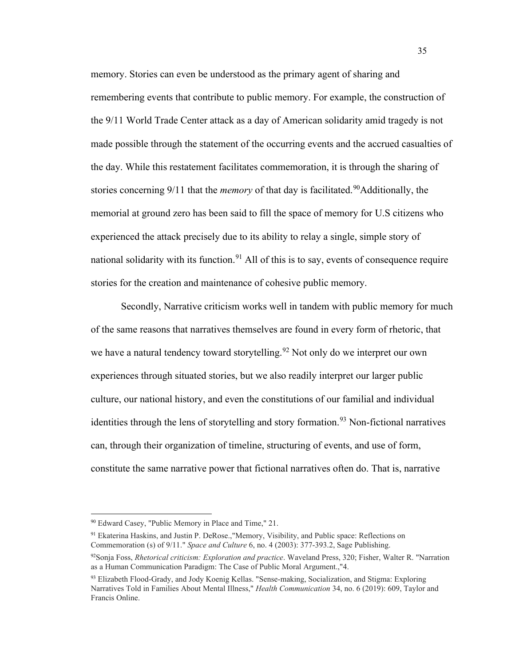memory. Stories can even be understood as the primary agent of sharing and remembering events that contribute to public memory. For example, the construction of the 9/11 World Trade Center attack as a day of American solidarity amid tragedy is not made possible through the statement of the occurring events and the accrued casualties of the day. While this restatement facilitates commemoration, it is through the sharing of stories concerning 9/11 that the *memory* of that day is facilitated.<sup>[90](#page-41-0)</sup>Additionally, the memorial at ground zero has been said to fill the space of memory for U.S citizens who experienced the attack precisely due to its ability to relay a single, simple story of national solidarity with its function.<sup>[91](#page-41-1)</sup> All of this is to say, events of consequence require stories for the creation and maintenance of cohesive public memory.

Secondly, Narrative criticism works well in tandem with public memory for much of the same reasons that narratives themselves are found in every form of rhetoric, that we have a natural tendency toward storytelling.<sup>[92](#page-41-2)</sup> Not only do we interpret our own experiences through situated stories, but we also readily interpret our larger public culture, our national history, and even the constitutions of our familial and individual identities through the lens of storytelling and story formation.<sup>[93](#page-41-3)</sup> Non-fictional narratives can, through their organization of timeline, structuring of events, and use of form, constitute the same narrative power that fictional narratives often do. That is, narrative

<span id="page-41-0"></span><sup>90</sup> Edward Casey, "Public Memory in Place and Time," 21.

<span id="page-41-1"></span><sup>91</sup> Ekaterina Haskins, and Justin P. DeRose.,"Memory, Visibility, and Public space: Reflections on Commemoration (s) of 9/11." *Space and Culture* 6, no. 4 (2003): 377-393.2, Sage Publishing.

<span id="page-41-2"></span><sup>92</sup>Sonja Foss, *Rhetorical criticism: Exploration and practice*. Waveland Press, 320; Fisher, Walter R. "Narration as a Human Communication Paradigm: The Case of Public Moral Argument.,"4.

<span id="page-41-3"></span><sup>&</sup>lt;sup>93</sup> Elizabeth Flood-Grady, and Jody Koenig Kellas. "Sense-making, Socialization, and Stigma: Exploring Narratives Told in Families About Mental Illness," *Health Communication* 34, no. 6 (2019): 609, Taylor and Francis Online.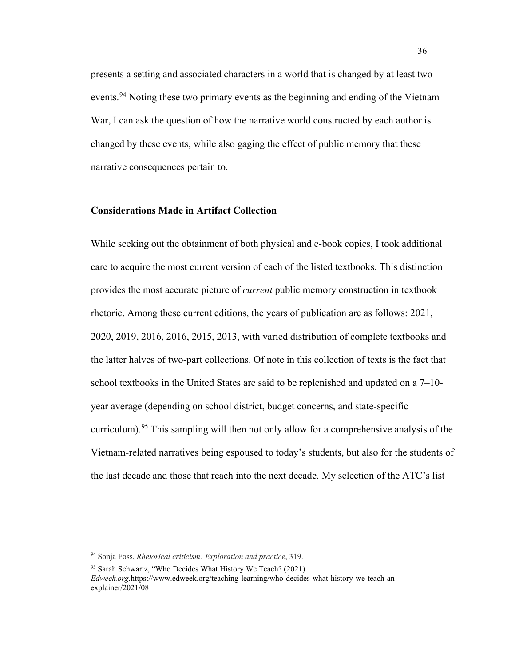presents a setting and associated characters in a world that is changed by at least two events.<sup>[94](#page-42-0)</sup> Noting these two primary events as the beginning and ending of the Vietnam War, I can ask the question of how the narrative world constructed by each author is changed by these events, while also gaging the effect of public memory that these narrative consequences pertain to.

#### **Considerations Made in Artifact Collection**

While seeking out the obtainment of both physical and e-book copies, I took additional care to acquire the most current version of each of the listed textbooks. This distinction provides the most accurate picture of *current* public memory construction in textbook rhetoric. Among these current editions, the years of publication are as follows: 2021, 2020, 2019, 2016, 2016, 2015, 2013, with varied distribution of complete textbooks and the latter halves of two-part collections. Of note in this collection of texts is the fact that school textbooks in the United States are said to be replenished and updated on a 7–10 year average (depending on school district, budget concerns, and state-specific curriculum).<sup>[95](#page-42-1)</sup> This sampling will then not only allow for a comprehensive analysis of the Vietnam-related narratives being espoused to today's students, but also for the students of the last decade and those that reach into the next decade. My selection of the ATC's list

<span id="page-42-0"></span><sup>94</sup> Sonja Foss, *Rhetorical criticism: Exploration and practice*, 319.

<span id="page-42-1"></span><sup>95</sup> Sarah Schwartz, "Who Decides What History We Teach? (2021) *Edweek.org.*https://www.edweek.org/teaching-learning/who-decides-what-history-we-teach-anexplainer/ $2021/08$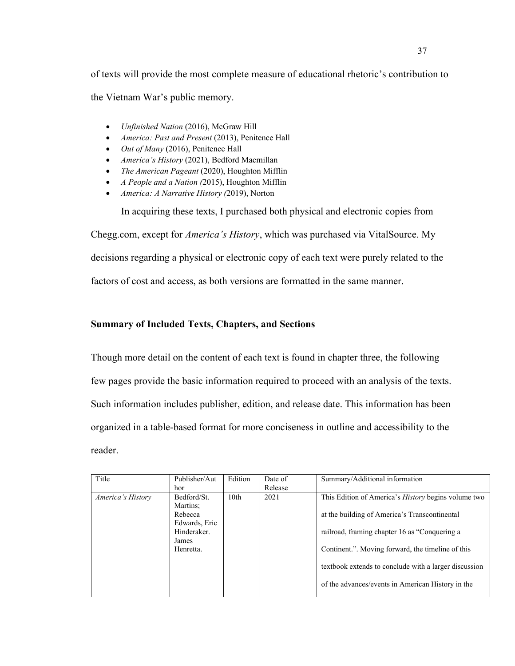of texts will provide the most complete measure of educational rhetoric's contribution to the Vietnam War's public memory.

- *Unfinished Nation* (2016), McGraw Hill
- *America: Past and Present* (2013), Penitence Hall
- *Out of Many* (2016), Penitence Hall
- *America's History* (2021), Bedford Macmillan
- *The American Pageant* (2020), Houghton Mifflin
- *A People and a Nation (*2015), Houghton Mifflin
- *America: A Narrative History (*2019), Norton

In acquiring these texts, I purchased both physical and electronic copies from

Chegg.com, except for *America's History*, which was purchased via VitalSource. My decisions regarding a physical or electronic copy of each text were purely related to the factors of cost and access, as both versions are formatted in the same manner.

## **Summary of Included Texts, Chapters, and Sections**

Though more detail on the content of each text is found in chapter three, the following few pages provide the basic information required to proceed with an analysis of the texts. Such information includes publisher, edition, and release date. This information has been organized in a table-based format for more conciseness in outline and accessibility to the reader.

| Title             | Publisher/Aut<br>hor                 | Edition          | Date of<br>Release | Summary/Additional information                             |
|-------------------|--------------------------------------|------------------|--------------------|------------------------------------------------------------|
| America's History | Bedford/St.                          | 10 <sub>th</sub> | 2021               | This Edition of America's <i>History</i> begins volume two |
|                   | Martins;<br>Rebecca<br>Edwards, Eric |                  |                    | at the building of America's Transcontinental              |
|                   | Hinderaker.                          |                  |                    | railroad, framing chapter 16 as "Conquering a              |
|                   | James<br>Henretta.                   |                  |                    | Continent.". Moving forward, the timeline of this          |
|                   |                                      |                  |                    | textbook extends to conclude with a larger discussion      |
|                   |                                      |                  |                    | of the advances/events in American History in the          |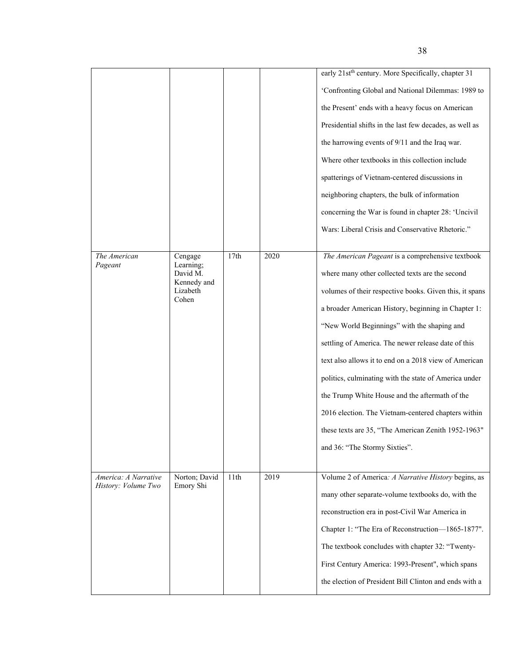|                                             |                            |      |      | early 21st <sup>th</sup> century. More Specifically, chapter 31 |
|---------------------------------------------|----------------------------|------|------|-----------------------------------------------------------------|
|                                             |                            |      |      | 'Confronting Global and National Dilemmas: 1989 to              |
|                                             |                            |      |      | the Present' ends with a heavy focus on American                |
|                                             |                            |      |      | Presidential shifts in the last few decades, as well as         |
|                                             |                            |      |      | the harrowing events of 9/11 and the Iraq war.                  |
|                                             |                            |      |      | Where other textbooks in this collection include                |
|                                             |                            |      |      | spatterings of Vietnam-centered discussions in                  |
|                                             |                            |      |      | neighboring chapters, the bulk of information                   |
|                                             |                            |      |      | concerning the War is found in chapter 28: 'Uncivil             |
|                                             |                            |      |      | Wars: Liberal Crisis and Conservative Rhetoric."                |
|                                             |                            |      |      |                                                                 |
| The American<br>Pageant                     | Cengage<br>Learning;       | 17th | 2020 | The American Pageant is a comprehensive textbook                |
|                                             | David M.<br>Kennedy and    |      |      | where many other collected texts are the second                 |
|                                             | Lizabeth<br>Cohen          |      |      | volumes of their respective books. Given this, it spans         |
|                                             |                            |      |      | a broader American History, beginning in Chapter 1:             |
|                                             |                            |      |      | "New World Beginnings" with the shaping and                     |
|                                             |                            |      |      | settling of America. The newer release date of this             |
|                                             |                            |      |      | text also allows it to end on a 2018 view of American           |
|                                             |                            |      |      | politics, culminating with the state of America under           |
|                                             |                            |      |      | the Trump White House and the aftermath of the                  |
|                                             |                            |      |      | 2016 election. The Vietnam-centered chapters within             |
|                                             |                            |      |      | these texts are 35, "The American Zenith 1952-1963"             |
|                                             |                            |      |      | and 36: "The Stormy Sixties".                                   |
|                                             |                            |      |      |                                                                 |
| America: A Narrative<br>History: Volume Two | Norton; David<br>Emory Shi | 11th | 2019 | Volume 2 of America: A Narrative History begins, as             |
|                                             |                            |      |      | many other separate-volume textbooks do, with the               |
|                                             |                            |      |      | reconstruction era in post-Civil War America in                 |
|                                             |                            |      |      | Chapter 1: "The Era of Reconstruction-1865-1877".               |
|                                             |                            |      |      | The textbook concludes with chapter 32: "Twenty-                |
|                                             |                            |      |      | First Century America: 1993-Present", which spans               |
|                                             |                            |      |      | the election of President Bill Clinton and ends with a          |
|                                             |                            |      |      |                                                                 |

38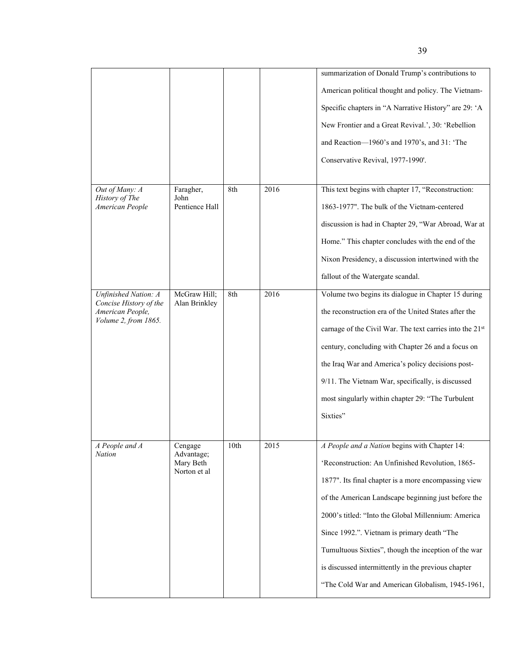|  |                                            |                                                    |      |      | summarization of Donald Trump's contributions to         |
|--|--------------------------------------------|----------------------------------------------------|------|------|----------------------------------------------------------|
|  |                                            |                                                    |      |      | American political thought and policy. The Vietnam-      |
|  |                                            |                                                    |      |      | Specific chapters in "A Narrative History" are 29: 'A    |
|  |                                            |                                                    |      |      | New Frontier and a Great Revival.', 30: 'Rebellion       |
|  |                                            |                                                    |      |      | and Reaction-1960's and 1970's, and 31: 'The             |
|  |                                            |                                                    |      |      | Conservative Revival, 1977-1990'.                        |
|  |                                            |                                                    |      |      |                                                          |
|  | Out of Many: A<br>History of The           | Faragher,<br>John                                  | 8th  | 2016 | This text begins with chapter 17, "Reconstruction:       |
|  | American People                            | Pentience Hall                                     |      |      | 1863-1977". The bulk of the Vietnam-centered             |
|  |                                            |                                                    |      |      | discussion is had in Chapter 29, "War Abroad, War at     |
|  |                                            |                                                    |      |      | Home." This chapter concludes with the end of the        |
|  |                                            |                                                    |      |      | Nixon Presidency, a discussion intertwined with the      |
|  |                                            |                                                    |      |      | fallout of the Watergate scandal.                        |
|  | <b>Unfinished Nation: A</b>                | McGraw Hill;<br>Alan Brinkley                      | 8th  | 2016 | Volume two begins its dialogue in Chapter 15 during      |
|  | Concise History of the<br>American People, |                                                    |      |      | the reconstruction era of the United States after the    |
|  | Volume 2, from 1865.                       |                                                    |      |      | carnage of the Civil War. The text carries into the 21st |
|  |                                            |                                                    |      |      | century, concluding with Chapter 26 and a focus on       |
|  |                                            |                                                    |      |      | the Iraq War and America's policy decisions post-        |
|  |                                            |                                                    |      |      | 9/11. The Vietnam War, specifically, is discussed        |
|  |                                            |                                                    |      |      | most singularly within chapter 29: "The Turbulent        |
|  |                                            |                                                    |      |      | Sixties"                                                 |
|  |                                            |                                                    |      |      |                                                          |
|  | A People and A<br><b>Nation</b>            | Cengage<br>Advantage;<br>Mary Beth<br>Norton et al | 10th | 2015 | A People and a Nation begins with Chapter 14:            |
|  |                                            |                                                    |      |      | 'Reconstruction: An Unfinished Revolution, 1865-         |
|  |                                            |                                                    |      |      | 1877". Its final chapter is a more encompassing view     |
|  |                                            |                                                    |      |      | of the American Landscape beginning just before the      |
|  |                                            |                                                    |      |      | 2000's titled: "Into the Global Millennium: America      |
|  |                                            |                                                    |      |      | Since 1992.". Vietnam is primary death "The              |
|  |                                            |                                                    |      |      | Tumultuous Sixties", though the inception of the war     |
|  |                                            |                                                    |      |      | is discussed intermittently in the previous chapter      |
|  |                                            |                                                    |      |      | "The Cold War and American Globalism, 1945-1961,         |
|  |                                            |                                                    |      |      |                                                          |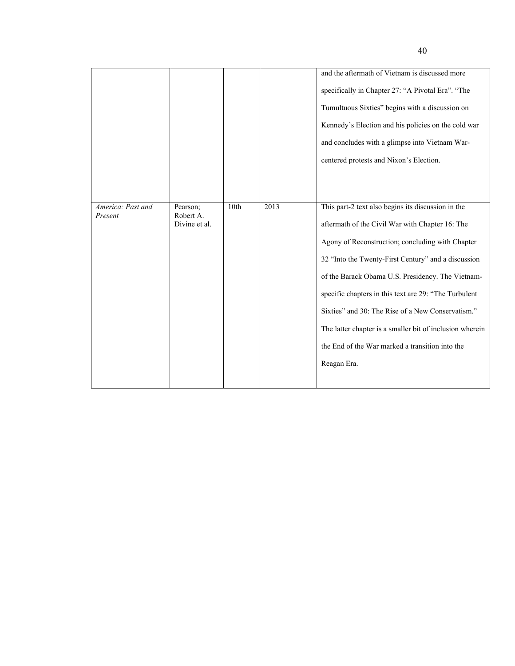| America: Past and<br>Present | Pearson;<br>Robert A. | 10th | 2013 | and the aftermath of Vietnam is discussed more<br>specifically in Chapter 27: "A Pivotal Era". "The<br>Tumultuous Sixties" begins with a discussion on<br>Kennedy's Election and his policies on the cold war<br>and concludes with a glimpse into Vietnam War-<br>centered protests and Nixon's Election.<br>This part-2 text also begins its discussion in the |
|------------------------------|-----------------------|------|------|------------------------------------------------------------------------------------------------------------------------------------------------------------------------------------------------------------------------------------------------------------------------------------------------------------------------------------------------------------------|
|                              |                       |      |      |                                                                                                                                                                                                                                                                                                                                                                  |
|                              |                       |      |      |                                                                                                                                                                                                                                                                                                                                                                  |
|                              |                       |      |      |                                                                                                                                                                                                                                                                                                                                                                  |
|                              |                       |      |      |                                                                                                                                                                                                                                                                                                                                                                  |
|                              |                       |      |      |                                                                                                                                                                                                                                                                                                                                                                  |
|                              |                       |      |      |                                                                                                                                                                                                                                                                                                                                                                  |
|                              | Divine et al.         |      |      | aftermath of the Civil War with Chapter 16: The                                                                                                                                                                                                                                                                                                                  |
|                              |                       |      |      | Agony of Reconstruction; concluding with Chapter                                                                                                                                                                                                                                                                                                                 |
|                              |                       |      |      | 32 "Into the Twenty-First Century" and a discussion                                                                                                                                                                                                                                                                                                              |
|                              |                       |      |      | of the Barack Obama U.S. Presidency. The Vietnam-                                                                                                                                                                                                                                                                                                                |
|                              |                       |      |      | specific chapters in this text are 29: "The Turbulent                                                                                                                                                                                                                                                                                                            |
|                              |                       |      |      | Sixties" and 30: The Rise of a New Conservatism."                                                                                                                                                                                                                                                                                                                |
|                              |                       |      |      | The latter chapter is a smaller bit of inclusion wherein                                                                                                                                                                                                                                                                                                         |
|                              |                       |      |      | the End of the War marked a transition into the                                                                                                                                                                                                                                                                                                                  |
|                              |                       |      |      | Reagan Era.                                                                                                                                                                                                                                                                                                                                                      |
|                              |                       |      |      |                                                                                                                                                                                                                                                                                                                                                                  |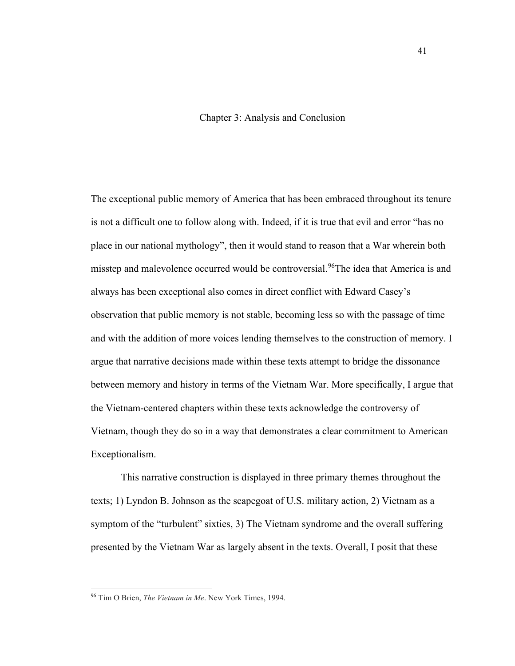## Chapter 3: Analysis and Conclusion

The exceptional public memory of America that has been embraced throughout its tenure is not a difficult one to follow along with. Indeed, if it is true that evil and error "has no place in our national mythology", then it would stand to reason that a War wherein both misstep and malevolence occurred would be controversial.<sup>[96](#page-47-0)</sup>The idea that America is and always has been exceptional also comes in direct conflict with Edward Casey's observation that public memory is not stable, becoming less so with the passage of time and with the addition of more voices lending themselves to the construction of memory. I argue that narrative decisions made within these texts attempt to bridge the dissonance between memory and history in terms of the Vietnam War. More specifically, I argue that the Vietnam-centered chapters within these texts acknowledge the controversy of Vietnam, though they do so in a way that demonstrates a clear commitment to American Exceptionalism.

This narrative construction is displayed in three primary themes throughout the texts; 1) Lyndon B. Johnson as the scapegoat of U.S. military action, 2) Vietnam as a symptom of the "turbulent" sixties, 3) The Vietnam syndrome and the overall suffering presented by the Vietnam War as largely absent in the texts. Overall, I posit that these

<span id="page-47-0"></span><sup>96</sup> Tim O Brien, *The Vietnam in Me*. New York Times, 1994.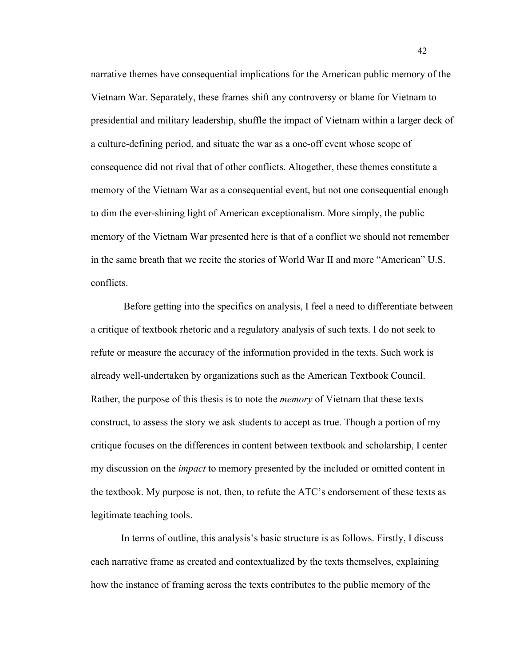narrative themes have consequential implications for the American public memory of the Vietnam War. Separately, these frames shift any controversy or blame for Vietnam to presidential and military leadership, shuffle the impact of Vietnam within a larger deck of a culture-defining period, and situate the war as a one-off event whose scope of consequence did not rival that of other conflicts. Altogether, these themes constitute a memory of the Vietnam War as a consequential event, but not one consequential enough to dim the ever-shining light of American exceptionalism. More simply, the public memory of the Vietnam War presented here is that of a conflict we should not remember in the same breath that we recite the stories of World War II and more "American" U.S. conflicts.

Before getting into the specifics on analysis, I feel a need to differentiate between a critique of textbook rhetoric and a regulatory analysis of such texts. I do not seek to refute or measure the accuracy of the information provided in the texts. Such work is already well-undertaken by organizations such as the American Textbook Council. Rather, the purpose of this thesis is to note the *memory* of Vietnam that these texts construct, to assess the story we ask students to accept as true. Though a portion of my critique focuses on the differences in content between textbook and scholarship, I center my discussion on the *impact* to memory presented by the included or omitted content in the textbook. My purpose is not, then, to refute the ATC's endorsement of these texts as legitimate teaching tools.

In terms of outline, this analysis's basic structure is as follows. Firstly, I discuss each narrative frame as created and contextualized by the texts themselves, explaining how the instance of framing across the texts contributes to the public memory of the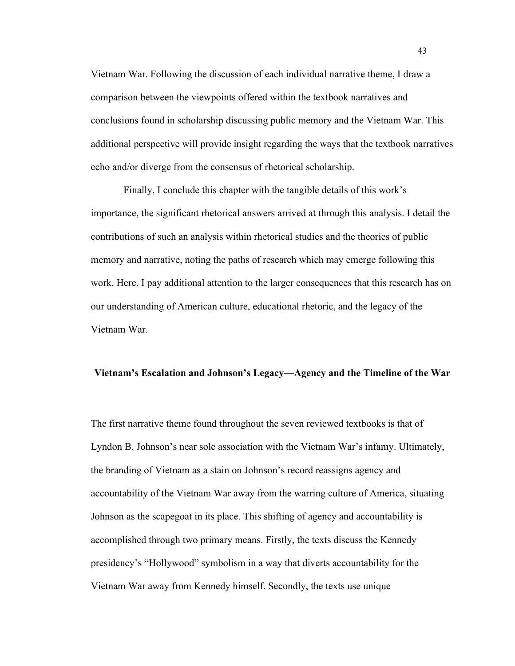Vietnam War. Following the discussion of each individual narrative theme, I draw a comparison between the viewpoints offered within the textbook narratives and conclusions found in scholarship discussing public memory and the Vietnam War. This additional perspective will provide insight regarding the ways that the textbook narratives echo and/or diverge from the consensus of rhetorical scholarship.

Finally, I conclude this chapter with the tangible details of this work's importance, the significant rhetorical answers arrived at through this analysis. I detail the contributions of such an analysis within rhetorical studies and the theories of public memory and narrative, noting the paths of research which may emerge following this work. Here, I pay additional attention to the larger consequences that this research has on our understanding of American culture, educational rhetoric, and the legacy of the Vietnam War.

#### **Vietnam's Escalation and Johnson's Legacy—Agency and the Timeline of the War**

The first narrative theme found throughout the seven reviewed textbooks is that of Lyndon B. Johnson's near sole association with the Vietnam War's infamy. Ultimately, the branding of Vietnam as a stain on Johnson's record reassigns agency and accountability of the Vietnam War away from the warring culture of America, situating Johnson as the scapegoat in its place. This shifting of agency and accountability is accomplished through two primary means. Firstly, the texts discuss the Kennedy presidency's "Hollywood" symbolism in a way that diverts accountability for the Vietnam War away from Kennedy himself. Secondly, the texts use unique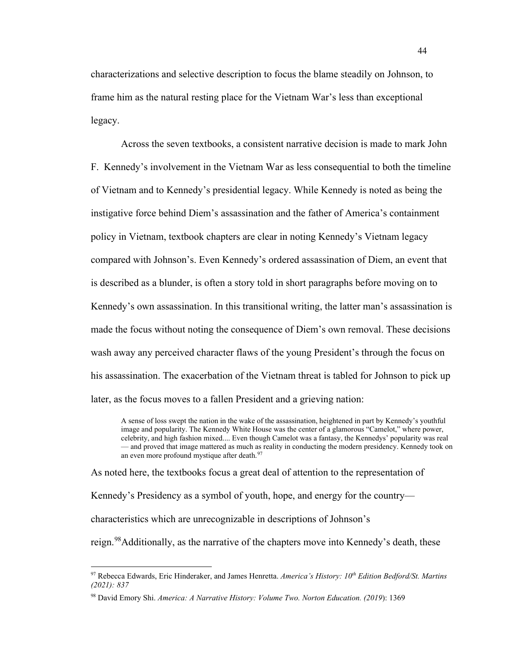characterizations and selective description to focus the blame steadily on Johnson, to frame him as the natural resting place for the Vietnam War's less than exceptional legacy.

Across the seven textbooks, a consistent narrative decision is made to mark John F. Kennedy's involvement in the Vietnam War as less consequential to both the timeline of Vietnam and to Kennedy's presidential legacy. While Kennedy is noted as being the instigative force behind Diem's assassination and the father of America's containment policy in Vietnam, textbook chapters are clear in noting Kennedy's Vietnam legacy compared with Johnson's. Even Kennedy's ordered assassination of Diem, an event that is described as a blunder, is often a story told in short paragraphs before moving on to Kennedy's own assassination. In this transitional writing, the latter man's assassination is made the focus without noting the consequence of Diem's own removal. These decisions wash away any perceived character flaws of the young President's through the focus on his assassination. The exacerbation of the Vietnam threat is tabled for Johnson to pick up later, as the focus moves to a fallen President and a grieving nation:

A sense of loss swept the nation in the wake of the assassination, heightened in part by Kennedy's youthful image and popularity. The Kennedy White House was the center of a glamorous "Camelot," where power, celebrity, and high fashion mixed.... Even though Camelot was a fantasy, the Kennedys' popularity was real — and proved that image mattered as much as reality in conducting the modern presidency. Kennedy took on an even more profound mystique after death.<sup>[97](#page-50-0)</sup>

As noted here, the textbooks focus a great deal of attention to the representation of

Kennedy's Presidency as a symbol of youth, hope, and energy for the country—

characteristics which are unrecognizable in descriptions of Johnson's

reign.<sup>[98](#page-50-1)</sup>Additionally, as the narrative of the chapters move into Kennedy's death, these

<span id="page-50-0"></span><sup>97</sup> Rebecca Edwards, Eric Hinderaker, and James Henretta. *America's History: 10th Edition Bedford/St. Martins (2021): 837*

<span id="page-50-1"></span><sup>98</sup> David Emory Shi. *America: A Narrative History: Volume Two. Norton Education. (2019*): 1369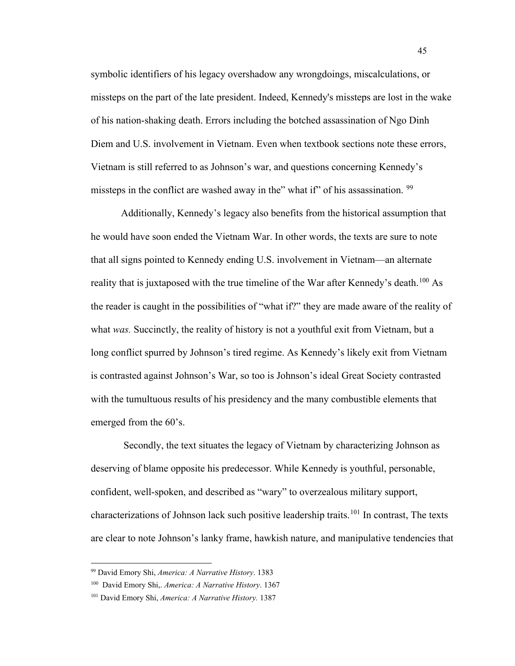symbolic identifiers of his legacy overshadow any wrongdoings, miscalculations, or missteps on the part of the late president. Indeed, Kennedy's missteps are lost in the wake of his nation-shaking death. Errors including the botched assassination of Ngo Dinh Diem and U.S. involvement in Vietnam. Even when textbook sections note these errors, Vietnam is still referred to as Johnson's war, and questions concerning Kennedy's missteps in the conflict are washed away in the" what if" of his assassination. <sup>[99](#page-51-0)</sup>

Additionally, Kennedy's legacy also benefits from the historical assumption that he would have soon ended the Vietnam War. In other words, the texts are sure to note that all signs pointed to Kennedy ending U.S. involvement in Vietnam—an alternate reality that is juxtaposed with the true timeline of the War after Kennedy's death.<sup>[100](#page-51-1)</sup> As the reader is caught in the possibilities of "what if?" they are made aware of the reality of what *was.* Succinctly, the reality of history is not a youthful exit from Vietnam, but a long conflict spurred by Johnson's tired regime. As Kennedy's likely exit from Vietnam is contrasted against Johnson's War, so too is Johnson's ideal Great Society contrasted with the tumultuous results of his presidency and the many combustible elements that emerged from the 60's.

Secondly, the text situates the legacy of Vietnam by characterizing Johnson as deserving of blame opposite his predecessor. While Kennedy is youthful, personable, confident, well-spoken, and described as "wary" to overzealous military support, characterizations of Johnson lack such positive leadership traits.<sup>[101](#page-51-2)</sup> In contrast, The texts are clear to note Johnson's lanky frame, hawkish nature, and manipulative tendencies that

<span id="page-51-0"></span><sup>99</sup> David Emory Shi, *America: A Narrative History*. 1383

<span id="page-51-1"></span><sup>100</sup> David Emory Shi,. *America: A Narrative History*. 1367

<span id="page-51-2"></span><sup>101</sup> David Emory Shi, *America: A Narrative History.* 1387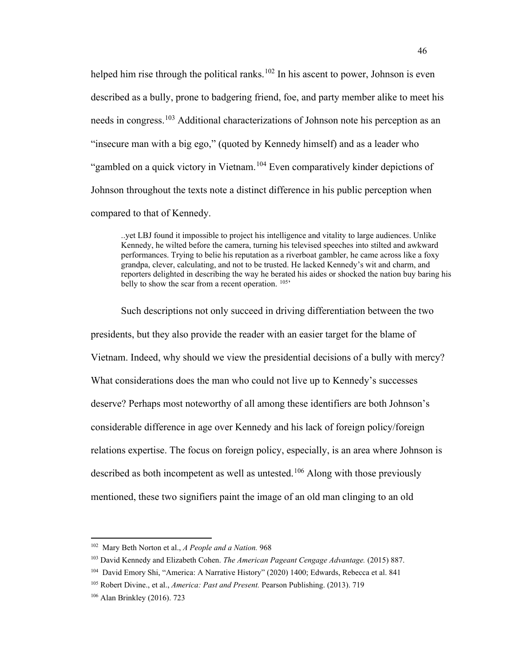helped him rise through the political ranks.<sup>[102](#page-52-0)</sup> In his ascent to power, Johnson is even described as a bully, prone to badgering friend, foe, and party member alike to meet his needs in congress.[103](#page-52-1) Additional characterizations of Johnson note his perception as an "insecure man with a big ego," (quoted by Kennedy himself) and as a leader who "gambled on a quick victory in Vietnam.[104](#page-52-2) Even comparatively kinder depictions of Johnson throughout the texts note a distinct difference in his public perception when compared to that of Kennedy.

..yet LBJ found it impossible to project his intelligence and vitality to large audiences. Unlike Kennedy, he wilted before the camera, turning his televised speeches into stilted and awkward performances. Trying to belie his reputation as a riverboat gambler, he came across like a foxy grandpa, clever, calculating, and not to be trusted. He lacked Kennedy's wit and charm, and reporters delighted in describing the way he berated his aides or shocked the nation buy baring his belly to show the scar from a recent operation.  $105$ <sup>,</sup>

Such descriptions not only succeed in driving differentiation between the two presidents, but they also provide the reader with an easier target for the blame of Vietnam. Indeed, why should we view the presidential decisions of a bully with mercy? What considerations does the man who could not live up to Kennedy's successes deserve? Perhaps most noteworthy of all among these identifiers are both Johnson's considerable difference in age over Kennedy and his lack of foreign policy/foreign relations expertise. The focus on foreign policy, especially, is an area where Johnson is described as both incompetent as well as untested.<sup>[106](#page-52-4)</sup> Along with those previously mentioned, these two signifiers paint the image of an old man clinging to an old

<span id="page-52-0"></span><sup>102</sup> Mary Beth Norton et al., *A People and a Nation.* 968

<span id="page-52-1"></span><sup>103</sup> David Kennedy and Elizabeth Cohen. *The American Pageant Cengage Advantage.* (2015) 887.

<span id="page-52-2"></span><sup>104</sup> David Emory Shi, "America: A Narrative History" (2020) 1400; Edwards, Rebecca et al. 841

<span id="page-52-3"></span><sup>105</sup> Robert Divine., et al., *America: Past and Present.* Pearson Publishing. (2013). 719

<span id="page-52-4"></span><sup>106</sup> Alan Brinkley (2016). 723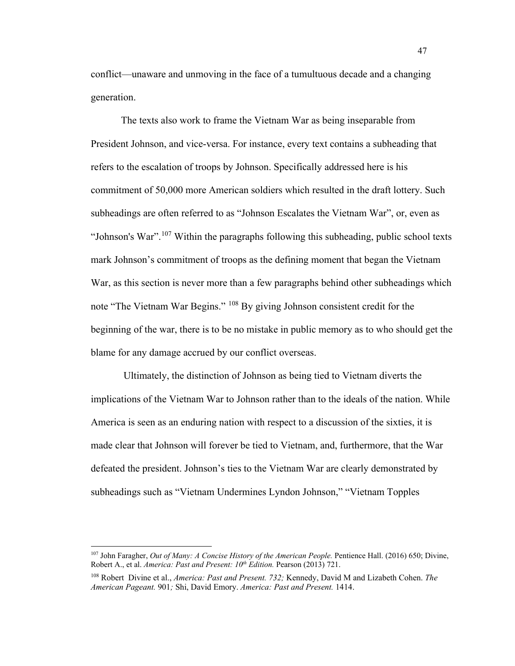conflict—unaware and unmoving in the face of a tumultuous decade and a changing generation.

The texts also work to frame the Vietnam War as being inseparable from President Johnson, and vice-versa. For instance, every text contains a subheading that refers to the escalation of troops by Johnson. Specifically addressed here is his commitment of 50,000 more American soldiers which resulted in the draft lottery. Such subheadings are often referred to as "Johnson Escalates the Vietnam War", or, even as "Johnson's War".<sup>[107](#page-53-0)</sup> Within the paragraphs following this subheading, public school texts mark Johnson's commitment of troops as the defining moment that began the Vietnam War, as this section is never more than a few paragraphs behind other subheadings which note "The Vietnam War Begins." [108](#page-53-1) By giving Johnson consistent credit for the beginning of the war, there is to be no mistake in public memory as to who should get the blame for any damage accrued by our conflict overseas.

Ultimately, the distinction of Johnson as being tied to Vietnam diverts the implications of the Vietnam War to Johnson rather than to the ideals of the nation. While America is seen as an enduring nation with respect to a discussion of the sixties, it is made clear that Johnson will forever be tied to Vietnam, and, furthermore, that the War defeated the president. Johnson's ties to the Vietnam War are clearly demonstrated by subheadings such as "Vietnam Undermines Lyndon Johnson," "Vietnam Topples

<span id="page-53-0"></span><sup>107</sup> John Faragher, *Out of Many: A Concise History of the American People.* Pentience Hall. (2016) 650; Divine, Robert A., et al. *America: Past and Present: 10<sup>th</sup> Edition*. Pearson (2013) 721.

<span id="page-53-1"></span><sup>108</sup> Robert Divine et al., *America: Past and Present. 732;* Kennedy, David M and Lizabeth Cohen. *The American Pageant.* 901*;* Shi, David Emory. *America: Past and Present.* 1414.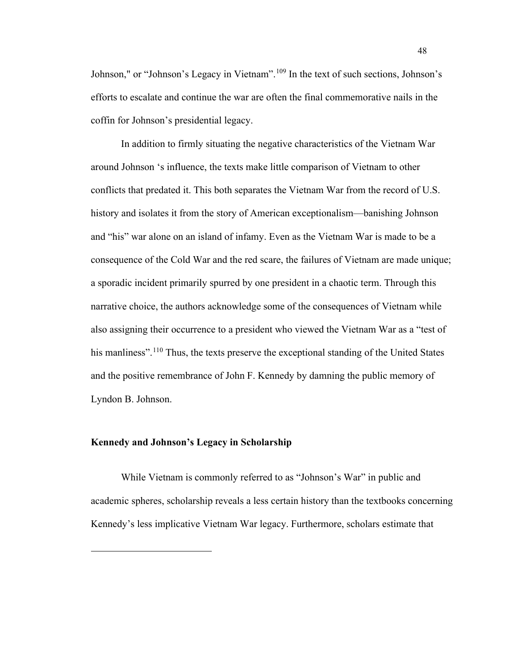Johnson," or "Johnson's Legacy in Vietnam".<sup>[109](#page-54-0)</sup> In the text of such sections, Johnson's efforts to escalate and continue the war are often the final commemorative nails in the coffin for Johnson's presidential legacy.

In addition to firmly situating the negative characteristics of the Vietnam War around Johnson 's influence, the texts make little comparison of Vietnam to other conflicts that predated it. This both separates the Vietnam War from the record of U.S. history and isolates it from the story of American exceptionalism—banishing Johnson and "his" war alone on an island of infamy. Even as the Vietnam War is made to be a consequence of the Cold War and the red scare, the failures of Vietnam are made unique; a sporadic incident primarily spurred by one president in a chaotic term. Through this narrative choice, the authors acknowledge some of the consequences of Vietnam while also assigning their occurrence to a president who viewed the Vietnam War as a "test of his manliness".<sup>[110](#page-54-1)</sup> Thus, the texts preserve the exceptional standing of the United States and the positive remembrance of John F. Kennedy by damning the public memory of Lyndon B. Johnson.

#### **Kennedy and Johnson's Legacy in Scholarship**

<span id="page-54-1"></span><span id="page-54-0"></span>While Vietnam is commonly referred to as "Johnson's War" in public and academic spheres, scholarship reveals a less certain history than the textbooks concerning Kennedy's less implicative Vietnam War legacy. Furthermore, scholars estimate that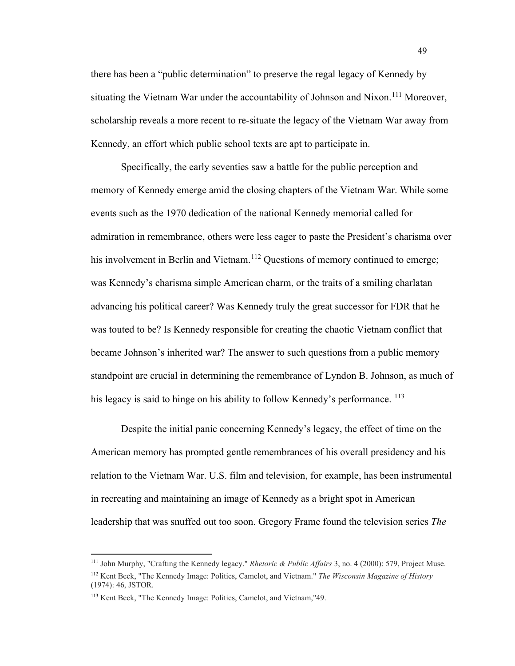there has been a "public determination" to preserve the regal legacy of Kennedy by situating the Vietnam War under the accountability of Johnson and Nixon.<sup>[111](#page-55-0)</sup> Moreover, scholarship reveals a more recent to re-situate the legacy of the Vietnam War away from Kennedy, an effort which public school texts are apt to participate in.

Specifically, the early seventies saw a battle for the public perception and memory of Kennedy emerge amid the closing chapters of the Vietnam War. While some events such as the 1970 dedication of the national Kennedy memorial called for admiration in remembrance, others were less eager to paste the President's charisma over his involvement in Berlin and Vietnam.<sup>[112](#page-55-1)</sup> Questions of memory continued to emerge; was Kennedy's charisma simple American charm, or the traits of a smiling charlatan advancing his political career? Was Kennedy truly the great successor for FDR that he was touted to be? Is Kennedy responsible for creating the chaotic Vietnam conflict that became Johnson's inherited war? The answer to such questions from a public memory standpoint are crucial in determining the remembrance of Lyndon B. Johnson, as much of his legacy is said to hinge on his ability to follow Kennedy's performance.<sup>[113](#page-55-2)</sup>

Despite the initial panic concerning Kennedy's legacy, the effect of time on the American memory has prompted gentle remembrances of his overall presidency and his relation to the Vietnam War. U.S. film and television, for example, has been instrumental in recreating and maintaining an image of Kennedy as a bright spot in American leadership that was snuffed out too soon. Gregory Frame found the television series *The* 

<span id="page-55-1"></span><span id="page-55-0"></span><sup>111</sup> John Murphy, "Crafting the Kennedy legacy." *Rhetoric & Public Affairs* 3, no. 4 (2000): 579, Project Muse. <sup>112</sup> Kent Beck, "The Kennedy Image: Politics, Camelot, and Vietnam." *The Wisconsin Magazine of History* (1974): 46, JSTOR.

<span id="page-55-2"></span><sup>113</sup> Kent Beck, "The Kennedy Image: Politics, Camelot, and Vietnam,"49.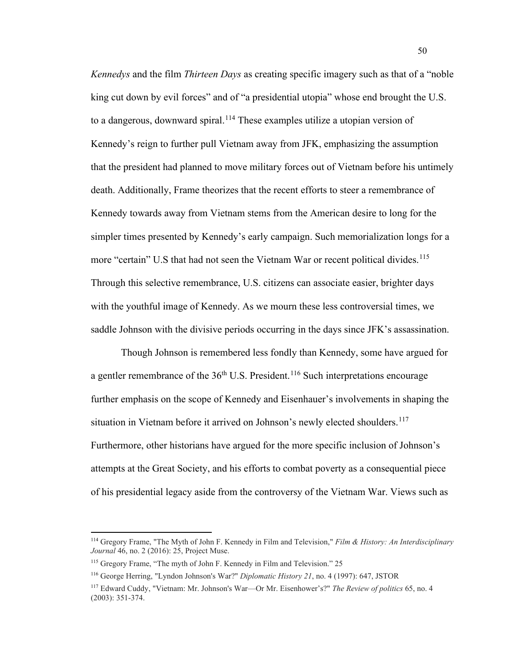*Kennedys* and the film *Thirteen Days* as creating specific imagery such as that of a "noble king cut down by evil forces" and of "a presidential utopia" whose end brought the U.S. to a dangerous, downward spiral.<sup>[114](#page-56-0)</sup> These examples utilize a utopian version of Kennedy's reign to further pull Vietnam away from JFK, emphasizing the assumption that the president had planned to move military forces out of Vietnam before his untimely death. Additionally, Frame theorizes that the recent efforts to steer a remembrance of Kennedy towards away from Vietnam stems from the American desire to long for the simpler times presented by Kennedy's early campaign. Such memorialization longs for a more "certain" U.S that had not seen the Vietnam War or recent political divides.<sup>[115](#page-56-1)</sup> Through this selective remembrance, U.S. citizens can associate easier, brighter days with the youthful image of Kennedy. As we mourn these less controversial times, we saddle Johnson with the divisive periods occurring in the days since JFK's assassination.

Though Johnson is remembered less fondly than Kennedy, some have argued for a gentler remembrance of the  $36<sup>th</sup>$  U.S. President.<sup>[116](#page-56-2)</sup> Such interpretations encourage further emphasis on the scope of Kennedy and Eisenhauer's involvements in shaping the situation in Vietnam before it arrived on Johnson's newly elected shoulders.<sup>[117](#page-56-3)</sup> Furthermore, other historians have argued for the more specific inclusion of Johnson's attempts at the Great Society, and his efforts to combat poverty as a consequential piece of his presidential legacy aside from the controversy of the Vietnam War. Views such as

<span id="page-56-0"></span><sup>114</sup> Gregory Frame, "The Myth of John F. Kennedy in Film and Television," *Film & History: An Interdisciplinary Journal* 46, no. 2 (2016): 25, Project Muse.

<span id="page-56-1"></span><sup>115</sup> Gregory Frame, "The myth of John F. Kennedy in Film and Television." 25

<span id="page-56-2"></span><sup>116</sup> George Herring, "Lyndon Johnson's War?" *Diplomatic History 21*, no. 4 (1997): 647, JSTOR

<span id="page-56-3"></span><sup>117</sup> Edward Cuddy, "Vietnam: Mr. Johnson's War—Or Mr. Eisenhower's?" *The Review of politics* 65, no. 4 (2003): 351-374.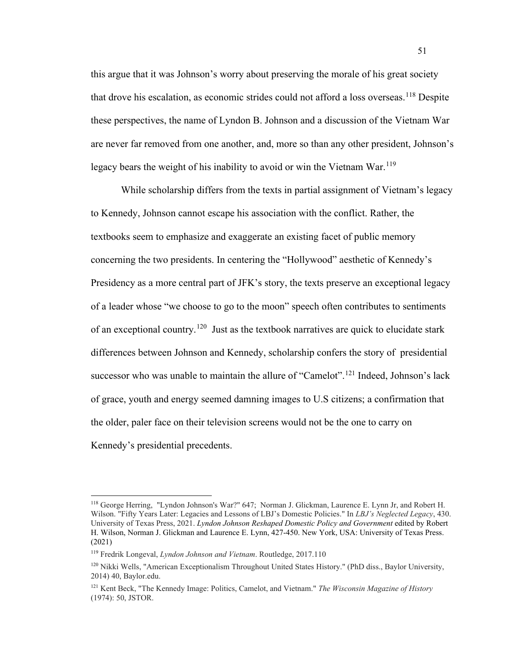this argue that it was Johnson's worry about preserving the morale of his great society that drove his escalation, as economic strides could not afford a loss overseas. [118](#page-57-0) Despite these perspectives, the name of Lyndon B. Johnson and a discussion of the Vietnam War are never far removed from one another, and, more so than any other president, Johnson's legacy bears the weight of his inability to avoid or win the Vietnam War.<sup>[119](#page-57-1)</sup>

While scholarship differs from the texts in partial assignment of Vietnam's legacy to Kennedy, Johnson cannot escape his association with the conflict. Rather, the textbooks seem to emphasize and exaggerate an existing facet of public memory concerning the two presidents. In centering the "Hollywood" aesthetic of Kennedy's Presidency as a more central part of JFK's story, the texts preserve an exceptional legacy of a leader whose "we choose to go to the moon" speech often contributes to sentiments of an exceptional country.<sup>120</sup> Just as the textbook narratives are quick to elucidate stark differences between Johnson and Kennedy, scholarship confers the story of presidential successor who was unable to maintain the allure of "Camelot".<sup>[121](#page-57-3)</sup> Indeed, Johnson's lack of grace, youth and energy seemed damning images to U.S citizens; a confirmation that the older, paler face on their television screens would not be the one to carry on Kennedy's presidential precedents.

<span id="page-57-0"></span><sup>118</sup> George Herring, "Lyndon Johnson's War?" 647; Norman J. Glickman, Laurence E. Lynn Jr, and Robert H. Wilson. "Fifty Years Later: Legacies and Lessons of LBJ's Domestic Policies." In *LBJ's Neglected Legacy*, 430. University of Texas Press, 2021. *Lyndon Johnson Reshaped Domestic Policy and Government* edited by Robert H. Wilson, Norman J. Glickman and Laurence E. Lynn, 427-450. New York, USA: University of Texas Press. (2021)

<span id="page-57-1"></span><sup>119</sup> Fredrik Longeval, *Lyndon Johnson and Vietnam*. Routledge, 2017.110

<span id="page-57-2"></span><sup>&</sup>lt;sup>120</sup> Nikki Wells, "American Exceptionalism Throughout United States History." (PhD diss., Baylor University, 2014) 40, Baylor.edu.

<span id="page-57-3"></span><sup>121</sup> Kent Beck, "The Kennedy Image: Politics, Camelot, and Vietnam." *The Wisconsin Magazine of History* (1974): 50, JSTOR.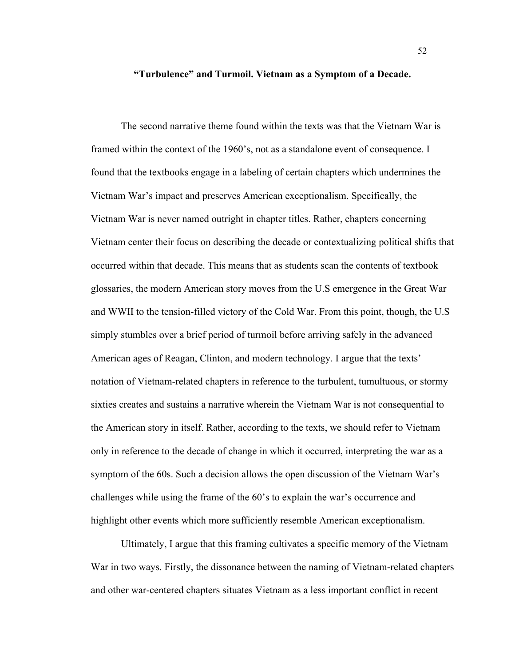**"Turbulence" and Turmoil. Vietnam as a Symptom of a Decade.**

The second narrative theme found within the texts was that the Vietnam War is framed within the context of the 1960's, not as a standalone event of consequence. I found that the textbooks engage in a labeling of certain chapters which undermines the Vietnam War's impact and preserves American exceptionalism. Specifically, the Vietnam War is never named outright in chapter titles. Rather, chapters concerning Vietnam center their focus on describing the decade or contextualizing political shifts that occurred within that decade. This means that as students scan the contents of textbook glossaries, the modern American story moves from the U.S emergence in the Great War and WWII to the tension-filled victory of the Cold War. From this point, though, the U.S simply stumbles over a brief period of turmoil before arriving safely in the advanced American ages of Reagan, Clinton, and modern technology. I argue that the texts' notation of Vietnam-related chapters in reference to the turbulent, tumultuous, or stormy sixties creates and sustains a narrative wherein the Vietnam War is not consequential to the American story in itself. Rather, according to the texts, we should refer to Vietnam only in reference to the decade of change in which it occurred, interpreting the war as a symptom of the 60s. Such a decision allows the open discussion of the Vietnam War's challenges while using the frame of the 60's to explain the war's occurrence and highlight other events which more sufficiently resemble American exceptionalism.

Ultimately, I argue that this framing cultivates a specific memory of the Vietnam War in two ways. Firstly, the dissonance between the naming of Vietnam-related chapters and other war-centered chapters situates Vietnam as a less important conflict in recent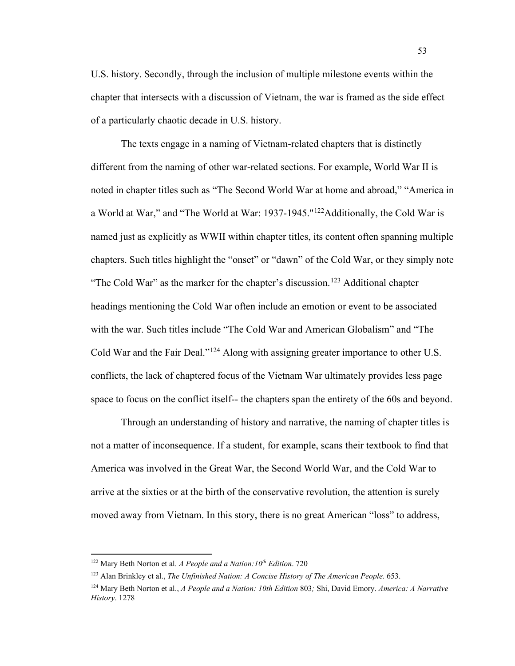U.S. history. Secondly, through the inclusion of multiple milestone events within the chapter that intersects with a discussion of Vietnam, the war is framed as the side effect of a particularly chaotic decade in U.S. history.

The texts engage in a naming of Vietnam-related chapters that is distinctly different from the naming of other war-related sections. For example, World War II is noted in chapter titles such as "The Second World War at home and abroad," "America in a World at War," and "The World at War: 1937-1945."<sup>122</sup>Additionally, the Cold War is named just as explicitly as WWII within chapter titles, its content often spanning multiple chapters. Such titles highlight the "onset" or "dawn" of the Cold War, or they simply note "The Cold War" as the marker for the chapter's discussion.<sup>[123](#page-59-1)</sup> Additional chapter headings mentioning the Cold War often include an emotion or event to be associated with the war. Such titles include "The Cold War and American Globalism" and "The Cold War and the Fair Deal."[124](#page-59-2) Along with assigning greater importance to other U.S. conflicts, the lack of chaptered focus of the Vietnam War ultimately provides less page space to focus on the conflict itself-- the chapters span the entirety of the 60s and beyond.

Through an understanding of history and narrative, the naming of chapter titles is not a matter of inconsequence. If a student, for example, scans their textbook to find that America was involved in the Great War, the Second World War, and the Cold War to arrive at the sixties or at the birth of the conservative revolution, the attention is surely moved away from Vietnam. In this story, there is no great American "loss" to address,

<span id="page-59-0"></span><sup>122</sup> Mary Beth Norton et al. *A People and a Nation:10th Edition*. 720

<span id="page-59-1"></span><sup>123</sup> Alan Brinkley et al., *The Unfinished Nation: A Concise History of The American People.* 653.

<span id="page-59-2"></span><sup>124</sup> Mary Beth Norton et al., *A People and a Nation: 10th Edition* 803*;* Shi, David Emory. *America: A Narrative History*. 1278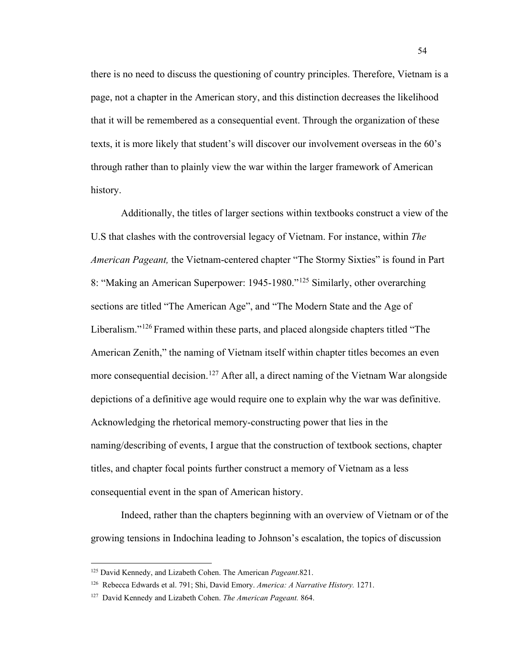there is no need to discuss the questioning of country principles. Therefore, Vietnam is a page, not a chapter in the American story, and this distinction decreases the likelihood that it will be remembered as a consequential event. Through the organization of these texts, it is more likely that student's will discover our involvement overseas in the 60's through rather than to plainly view the war within the larger framework of American history.

Additionally, the titles of larger sections within textbooks construct a view of the U.S that clashes with the controversial legacy of Vietnam. For instance, within *The American Pageant,* the Vietnam-centered chapter "The Stormy Sixties" is found in Part 8: "Making an American Superpower: 1945-1980."[125](#page-60-0) Similarly, other overarching sections are titled "The American Age", and "The Modern State and the Age of Liberalism."<sup>[126](#page-60-1)</sup> Framed within these parts, and placed alongside chapters titled "The American Zenith," the naming of Vietnam itself within chapter titles becomes an even more consequential decision.<sup>[127](#page-60-2)</sup> After all, a direct naming of the Vietnam War alongside depictions of a definitive age would require one to explain why the war was definitive. Acknowledging the rhetorical memory-constructing power that lies in the naming/describing of events, I argue that the construction of textbook sections, chapter titles, and chapter focal points further construct a memory of Vietnam as a less consequential event in the span of American history.

Indeed, rather than the chapters beginning with an overview of Vietnam or of the growing tensions in Indochina leading to Johnson's escalation, the topics of discussion

<span id="page-60-0"></span><sup>125</sup> David Kennedy, and Lizabeth Cohen. The American *Pageant*.821.

<span id="page-60-1"></span><sup>126</sup> Rebecca Edwards et al. 791; Shi, David Emory. *America: A Narrative History.* 1271.

<span id="page-60-2"></span><sup>127</sup> David Kennedy and Lizabeth Cohen. *The American Pageant.* 864.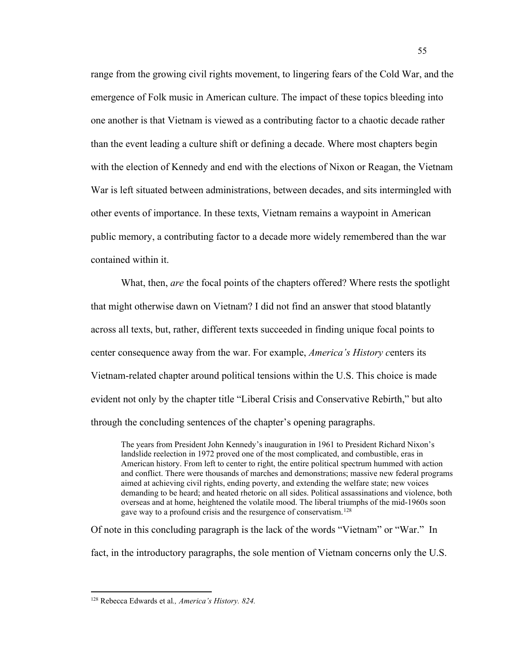range from the growing civil rights movement, to lingering fears of the Cold War, and the emergence of Folk music in American culture. The impact of these topics bleeding into one another is that Vietnam is viewed as a contributing factor to a chaotic decade rather than the event leading a culture shift or defining a decade. Where most chapters begin with the election of Kennedy and end with the elections of Nixon or Reagan, the Vietnam War is left situated between administrations, between decades, and sits intermingled with other events of importance. In these texts, Vietnam remains a waypoint in American public memory, a contributing factor to a decade more widely remembered than the war contained within it.

What, then, *are* the focal points of the chapters offered? Where rests the spotlight that might otherwise dawn on Vietnam? I did not find an answer that stood blatantly across all texts, but, rather, different texts succeeded in finding unique focal points to center consequence away from the war. For example, *America's History c*enters its Vietnam-related chapter around political tensions within the U.S. This choice is made evident not only by the chapter title "Liberal Crisis and Conservative Rebirth," but alto through the concluding sentences of the chapter's opening paragraphs.

The years from President John Kennedy's inauguration in 1961 to President Richard Nixon's landslide reelection in 1972 proved one of the most complicated, and combustible, eras in American history. From left to center to right, the entire political spectrum hummed with action and conflict. There were thousands of marches and demonstrations; massive new federal programs aimed at achieving civil rights, ending poverty, and extending the welfare state; new voices demanding to be heard; and heated rhetoric on all sides. Political assassinations and violence, both overseas and at home, heightened the volatile mood. The liberal triumphs of the mid-1960s soon gave way to a profound crisis and the resurgence of conservatism.[128](#page-61-0)

Of note in this concluding paragraph is the lack of the words "Vietnam" or "War." In fact, in the introductory paragraphs, the sole mention of Vietnam concerns only the U.S.

<span id="page-61-0"></span><sup>128</sup> Rebecca Edwards et al*., America's History. 824.*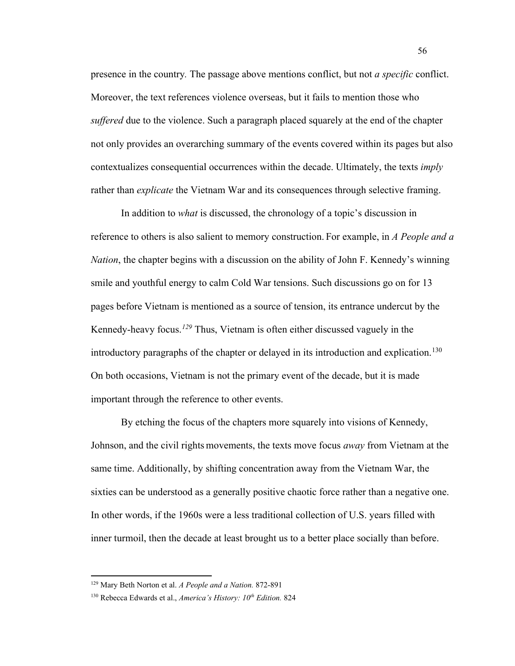presence in the country*.* The passage above mentions conflict, but not *a specific* conflict. Moreover, the text references violence overseas, but it fails to mention those who *suffered* due to the violence. Such a paragraph placed squarely at the end of the chapter not only provides an overarching summary of the events covered within its pages but also contextualizes consequential occurrences within the decade. Ultimately, the texts *imply* rather than *explicate* the Vietnam War and its consequences through selective framing.

In addition to *what* is discussed, the chronology of a topic's discussion in reference to others is also salient to memory construction. For example, in *A People and a Nation*, the chapter begins with a discussion on the ability of John F. Kennedy's winning smile and youthful energy to calm Cold War tensions. Such discussions go on for 13 pages before Vietnam is mentioned as a source of tension, its entrance undercut by the Kennedy-heavy focus.*[129](#page-62-0)* Thus, Vietnam is often either discussed vaguely in the introductory paragraphs of the chapter or delayed in its introduction and explication. [130](#page-62-1) On both occasions, Vietnam is not the primary event of the decade, but it is made important through the reference to other events.

By etching the focus of the chapters more squarely into visions of Kennedy, Johnson, and the civil rights movements, the texts move focus *away* from Vietnam at the same time. Additionally, by shifting concentration away from the Vietnam War, the sixties can be understood as a generally positive chaotic force rather than a negative one. In other words, if the 1960s were a less traditional collection of U.S. years filled with inner turmoil, then the decade at least brought us to a better place socially than before.

<span id="page-62-0"></span><sup>129</sup> Mary Beth Norton et al. *A People and a Nation.* 872-891

<span id="page-62-1"></span><sup>&</sup>lt;sup>130</sup> Rebecca Edwards et al., *America's History: 10<sup>th</sup> Edition.* 824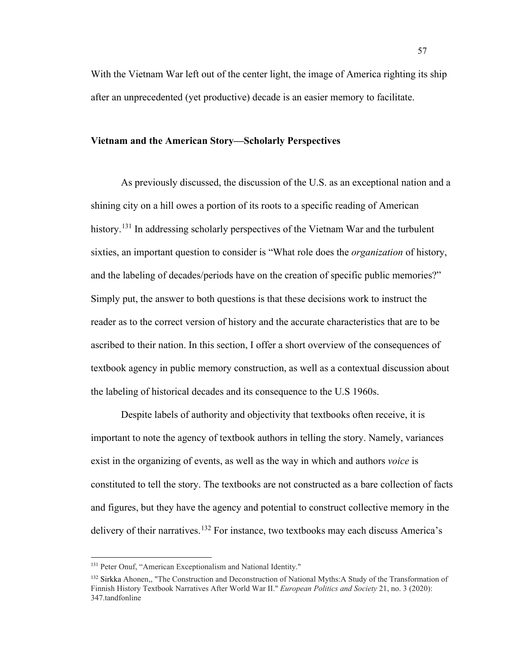With the Vietnam War left out of the center light, the image of America righting its ship after an unprecedented (yet productive) decade is an easier memory to facilitate.

## **Vietnam and the American Story—Scholarly Perspectives**

As previously discussed, the discussion of the U.S. as an exceptional nation and a shining city on a hill owes a portion of its roots to a specific reading of American history.<sup>[131](#page-63-0)</sup> In addressing scholarly perspectives of the Vietnam War and the turbulent sixties, an important question to consider is "What role does the *organization* of history, and the labeling of decades/periods have on the creation of specific public memories?" Simply put, the answer to both questions is that these decisions work to instruct the reader as to the correct version of history and the accurate characteristics that are to be ascribed to their nation. In this section, I offer a short overview of the consequences of textbook agency in public memory construction, as well as a contextual discussion about the labeling of historical decades and its consequence to the U.S 1960s.

Despite labels of authority and objectivity that textbooks often receive, it is important to note the agency of textbook authors in telling the story. Namely, variances exist in the organizing of events, as well as the way in which and authors *voice* is constituted to tell the story. The textbooks are not constructed as a bare collection of facts and figures, but they have the agency and potential to construct collective memory in the delivery of their narratives.<sup>[132](#page-63-1)</sup> For instance, two textbooks may each discuss America's

<span id="page-63-0"></span><sup>&</sup>lt;sup>131</sup> Peter Onuf, "American Exceptionalism and National Identity."

<span id="page-63-1"></span><sup>&</sup>lt;sup>132</sup> Sirkka Ahonen,, "The Construction and Deconstruction of National Myths:A Study of the Transformation of Finnish History Textbook Narratives After World War II." *European Politics and Society* 21, no. 3 (2020): 347.tandfonline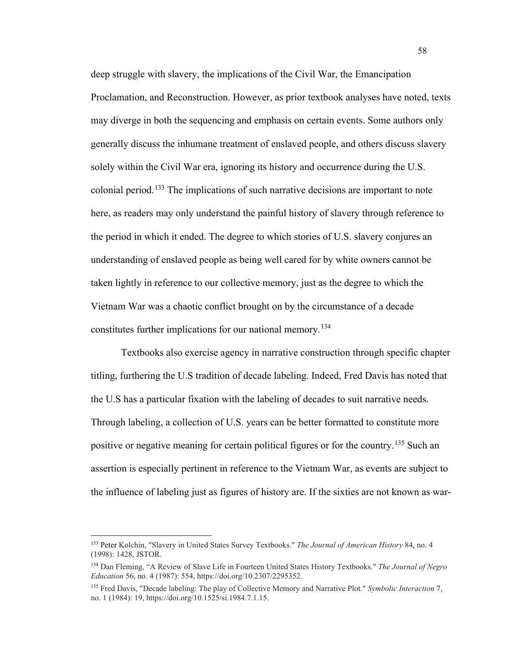deep struggle with slavery, the implications of the Civil War, the Emancipation Proclamation, and Reconstruction. However, as prior textbook analyses have noted, texts may diverge in both the sequencing and emphasis on certain events. Some authors only generally discuss the inhumane treatment of enslaved people, and others discuss slavery solely within the Civil War era, ignoring its history and occurrence during the U.S. colonial period.<sup>[133](#page-64-0)</sup> The implications of such narrative decisions are important to note here, as readers may only understand the painful history of slavery through reference to the period in which it ended. The degree to which stories of U.S. slavery conjures an understanding of enslaved people as being well cared for by white owners cannot be taken lightly in reference to our collective memory, just as the degree to which the Vietnam War was a chaotic conflict brought on by the circumstance of a decade constitutes further implications for our national memory.<sup>[134](#page-64-1)</sup>

Textbooks also exercise agency in narrative construction through specific chapter titling, furthering the U.S tradition of decade labeling. Indeed, Fred Davis has noted that the U.S has a particular fixation with the labeling of decades to suit narrative needs. Through labeling, a collection of U.S. years can be better formatted to constitute more positive or negative meaning for certain political figures or for the country.<sup>[135](#page-64-2)</sup> Such an assertion is especially pertinent in reference to the Vietnam War, as events are subject to the influence of labeling just as figures of history are. If the sixties are not known as war-

<span id="page-64-0"></span><sup>133</sup> Peter Kolchin, "Slavery in United States Survey Textbooks." *The Journal of American History* 84, no. 4 (1998): 1428, JSTOR.

<span id="page-64-1"></span><sup>134</sup> Dan Fleming, "A Review of Slave Life in Fourteen United States History Textbooks." *The Journal of Negro Education* 56, no. 4 (1987): 554, https://doi.org/10.2307/2295352.

<span id="page-64-2"></span><sup>135</sup> Fred Davis, "Decade labeling: The play of Collective Memory and Narrative Plot." *Symbolic Interaction* 7, no. 1 (1984): 19, https://doi.org/10.1525/si.1984.7.1.15.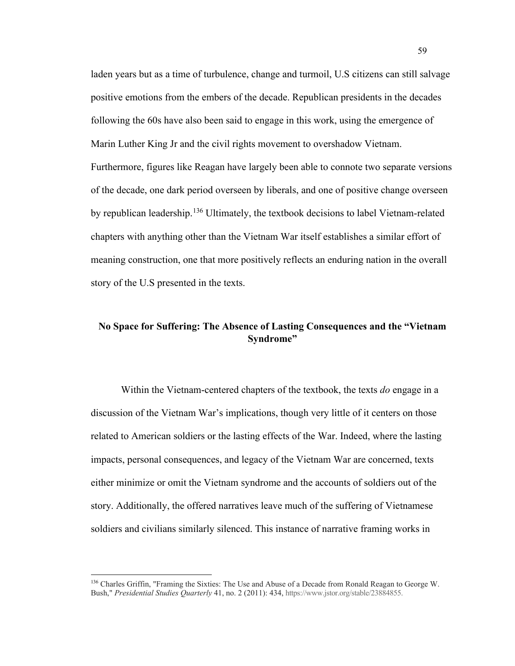laden years but as a time of turbulence, change and turmoil, U.S citizens can still salvage positive emotions from the embers of the decade. Republican presidents in the decades following the 60s have also been said to engage in this work, using the emergence of Marin Luther King Jr and the civil rights movement to overshadow Vietnam. Furthermore, figures like Reagan have largely been able to connote two separate versions of the decade, one dark period overseen by liberals, and one of positive change overseen by republican leadership.<sup>[136](#page-65-0)</sup> Ultimately, the textbook decisions to label Vietnam-related chapters with anything other than the Vietnam War itself establishes a similar effort of meaning construction, one that more positively reflects an enduring nation in the overall story of the U.S presented in the texts.

# **No Space for Suffering: The Absence of Lasting Consequences and the "Vietnam Syndrome"**

Within the Vietnam-centered chapters of the textbook, the texts *do* engage in a discussion of the Vietnam War's implications, though very little of it centers on those related to American soldiers or the lasting effects of the War. Indeed, where the lasting impacts, personal consequences, and legacy of the Vietnam War are concerned, texts either minimize or omit the Vietnam syndrome and the accounts of soldiers out of the story. Additionally, the offered narratives leave much of the suffering of Vietnamese soldiers and civilians similarly silenced. This instance of narrative framing works in

<span id="page-65-0"></span><sup>136</sup> Charles Griffin, "Framing the Sixties: The Use and Abuse of a Decade from Ronald Reagan to George W. Bush," *Presidential Studies Quarterly* 41, no. 2 (2011): 434, https://www.jstor.org/stable/23884855.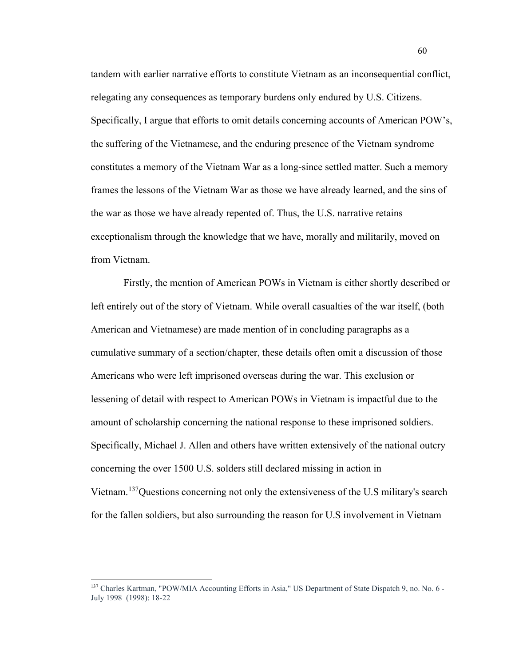tandem with earlier narrative efforts to constitute Vietnam as an inconsequential conflict, relegating any consequences as temporary burdens only endured by U.S. Citizens. Specifically, I argue that efforts to omit details concerning accounts of American POW's, the suffering of the Vietnamese, and the enduring presence of the Vietnam syndrome constitutes a memory of the Vietnam War as a long-since settled matter. Such a memory frames the lessons of the Vietnam War as those we have already learned, and the sins of the war as those we have already repented of. Thus, the U.S. narrative retains exceptionalism through the knowledge that we have, morally and militarily, moved on from Vietnam.

Firstly, the mention of American POWs in Vietnam is either shortly described or left entirely out of the story of Vietnam. While overall casualties of the war itself, (both American and Vietnamese) are made mention of in concluding paragraphs as a cumulative summary of a section/chapter, these details often omit a discussion of those Americans who were left imprisoned overseas during the war. This exclusion or lessening of detail with respect to American POWs in Vietnam is impactful due to the amount of scholarship concerning the national response to these imprisoned soldiers. Specifically, Michael J. Allen and others have written extensively of the national outcry concerning the over 1500 U.S. solders still declared missing in action in Vietnam.<sup>137</sup>Questions concerning not only the extensiveness of the U.S military's search for the fallen soldiers, but also surrounding the reason for U.S involvement in Vietnam

<span id="page-66-0"></span><sup>&</sup>lt;sup>137</sup> Charles Kartman, "POW/MIA Accounting Efforts in Asia," US Department of State Dispatch 9, no. No. 6 -July 1998 (1998): 18-22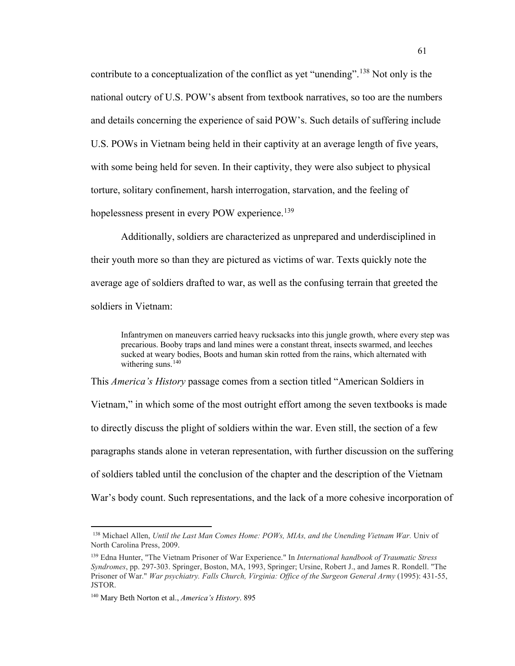contribute to a conceptualization of the conflict as yet "unending".<sup>[138](#page-67-0)</sup> Not only is the national outcry of U.S. POW's absent from textbook narratives, so too are the numbers and details concerning the experience of said POW's. Such details of suffering include U.S. POWs in Vietnam being held in their captivity at an average length of five years, with some being held for seven. In their captivity, they were also subject to physical torture, solitary confinement, harsh interrogation, starvation, and the feeling of hopelessness present in every POW experience.<sup>[139](#page-67-1)</sup>

Additionally, soldiers are characterized as unprepared and underdisciplined in their youth more so than they are pictured as victims of war. Texts quickly note the average age of soldiers drafted to war, as well as the confusing terrain that greeted the soldiers in Vietnam:

Infantrymen on maneuvers carried heavy rucksacks into this jungle growth, where every step was precarious. Booby traps and land mines were a constant threat, insects swarmed, and leeches sucked at weary bodies, Boots and human skin rotted from the rains, which alternated with withering suns.<sup>[140](#page-67-2)</sup>

This *America's History* passage comes from a section titled "American Soldiers in Vietnam," in which some of the most outright effort among the seven textbooks is made to directly discuss the plight of soldiers within the war. Even still, the section of a few paragraphs stands alone in veteran representation, with further discussion on the suffering of soldiers tabled until the conclusion of the chapter and the description of the Vietnam War's body count. Such representations, and the lack of a more cohesive incorporation of

<span id="page-67-0"></span><sup>138</sup> Michael Allen, *Until the Last Man Comes Home: POWs, MIAs, and the Unending Vietnam War.* Univ of North Carolina Press, 2009.

<span id="page-67-1"></span><sup>139</sup> Edna Hunter, "The Vietnam Prisoner of War Experience." In *International handbook of Traumatic Stress Syndromes*, pp. 297-303. Springer, Boston, MA, 1993, Springer; Ursine, Robert J., and James R. Rondell. "The Prisoner of War." *War psychiatry. Falls Church, Virginia: Office of the Surgeon General Army* (1995): 431-55, JSTOR.

<span id="page-67-2"></span><sup>140</sup> Mary Beth Norton et al., *America's History*. 895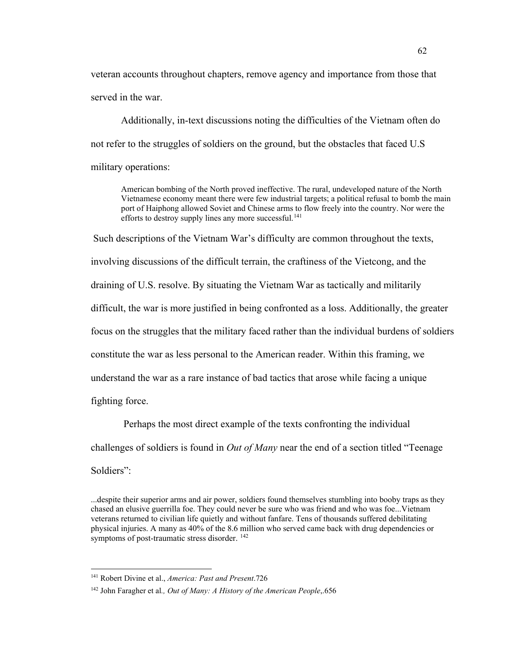veteran accounts throughout chapters, remove agency and importance from those that served in the war.

Additionally, in-text discussions noting the difficulties of the Vietnam often do not refer to the struggles of soldiers on the ground, but the obstacles that faced U.S military operations:

American bombing of the North proved ineffective. The rural, undeveloped nature of the North Vietnamese economy meant there were few industrial targets; a political refusal to bomb the main port of Haiphong allowed Soviet and Chinese arms to flow freely into the country. Nor were the efforts to destroy supply lines any more successful.<sup>[141](#page-68-0)</sup>

Such descriptions of the Vietnam War's difficulty are common throughout the texts, involving discussions of the difficult terrain, the craftiness of the Vietcong, and the draining of U.S. resolve. By situating the Vietnam War as tactically and militarily difficult, the war is more justified in being confronted as a loss. Additionally, the greater focus on the struggles that the military faced rather than the individual burdens of soldiers constitute the war as less personal to the American reader. Within this framing, we understand the war as a rare instance of bad tactics that arose while facing a unique fighting force.

Perhaps the most direct example of the texts confronting the individual challenges of soldiers is found in *Out of Many* near the end of a section titled "Teenage Soldiers":

...despite their superior arms and air power, soldiers found themselves stumbling into booby traps as they chased an elusive guerrilla foe. They could never be sure who was friend and who was foe...Vietnam veterans returned to civilian life quietly and without fanfare. Tens of thousands suffered debilitating physical injuries. A many as 40% of the 8.6 million who served came back with drug dependencies or symptoms of post-traumatic stress disorder.<sup>[142](#page-68-1)</sup>

<span id="page-68-0"></span><sup>141</sup> Robert Divine et al., *America: Past and Present*.726

<span id="page-68-1"></span><sup>142</sup> John Faragher et al*., Out of Many: A History of the American People*,.656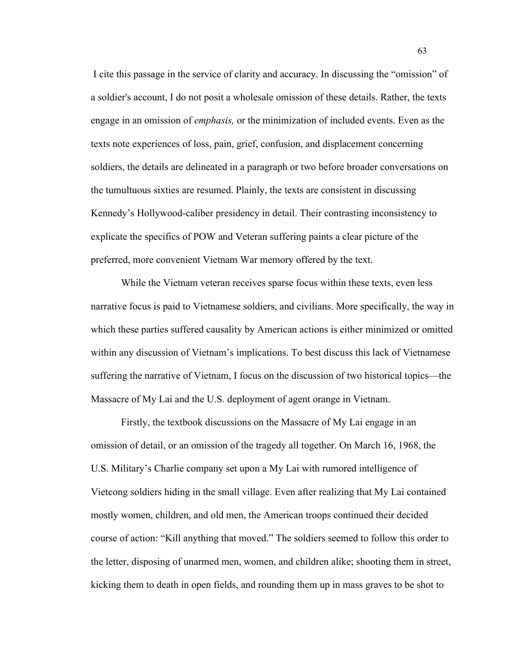I cite this passage in the service of clarity and accuracy. In discussing the "omission" of a soldier's account, I do not posit a wholesale omission of these details. Rather, the texts engage in an omission of *emphasis,* or the minimization of included events. Even as the texts note experiences of loss, pain, grief, confusion, and displacement concerning soldiers, the details are delineated in a paragraph or two before broader conversations on the tumultuous sixties are resumed. Plainly, the texts are consistent in discussing Kennedy's Hollywood-caliber presidency in detail. Their contrasting inconsistency to explicate the specifics of POW and Veteran suffering paints a clear picture of the preferred, more convenient Vietnam War memory offered by the text.

While the Vietnam veteran receives sparse focus within these texts, even less narrative focus is paid to Vietnamese soldiers, and civilians. More specifically, the way in which these parties suffered causality by American actions is either minimized or omitted within any discussion of Vietnam's implications. To best discuss this lack of Vietnamese suffering the narrative of Vietnam, I focus on the discussion of two historical topics—the Massacre of My Lai and the U.S. deployment of agent orange in Vietnam.

Firstly, the textbook discussions on the Massacre of My Lai engage in an omission of detail, or an omission of the tragedy all together. On March 16, 1968, the U.S. Military's Charlie company set upon a My Lai with rumored intelligence of Vietcong soldiers hiding in the small village. Even after realizing that My Lai contained mostly women, children, and old men, the American troops continued their decided course of action: "Kill anything that moved." The soldiers seemed to follow this order to the letter, disposing of unarmed men, women, and children alike; shooting them in street, kicking them to death in open fields, and rounding them up in mass graves to be shot to

63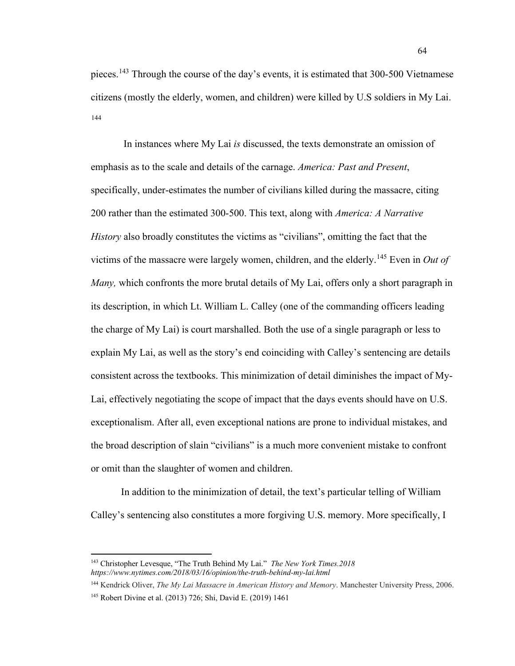pieces.<sup>[143](#page-70-0)</sup> Through the course of the day's events, it is estimated that 300-500 Vietnamese citizens (mostly the elderly, women, and children) were killed by U.S soldiers in My Lai. [144](#page-70-1)

In instances where My Lai *is* discussed, the texts demonstrate an omission of emphasis as to the scale and details of the carnage. *America: Past and Present*, specifically, under-estimates the number of civilians killed during the massacre, citing 200 rather than the estimated 300-500. This text, along with *America: A Narrative History* also broadly constitutes the victims as "civilians", omitting the fact that the victims of the massacre were largely women, children, and the elderly. [145](#page-70-2) Even in *Out of Many,* which confronts the more brutal details of My Lai, offers only a short paragraph in its description, in which Lt. William L. Calley (one of the commanding officers leading the charge of My Lai) is court marshalled. Both the use of a single paragraph or less to explain My Lai, as well as the story's end coinciding with Calley's sentencing are details consistent across the textbooks. This minimization of detail diminishes the impact of My-Lai, effectively negotiating the scope of impact that the days events should have on U.S. exceptionalism. After all, even exceptional nations are prone to individual mistakes, and the broad description of slain "civilians" is a much more convenient mistake to confront or omit than the slaughter of women and children.

In addition to the minimization of detail, the text's particular telling of William Calley's sentencing also constitutes a more forgiving U.S. memory. More specifically, I

<span id="page-70-0"></span><sup>143</sup> Christopher Levesque, "The Truth Behind My Lai." *The New York Times.2018 https://www.nytimes.com/2018/03/16/opinion/the-truth-behind-my-lai.html*

<span id="page-70-1"></span><sup>144</sup> Kendrick Oliver, *The My Lai Massacre in American History and Memory*. Manchester University Press, 2006.

<span id="page-70-2"></span><sup>145</sup> Robert Divine et al. (2013) 726; Shi, David E. (2019) 1461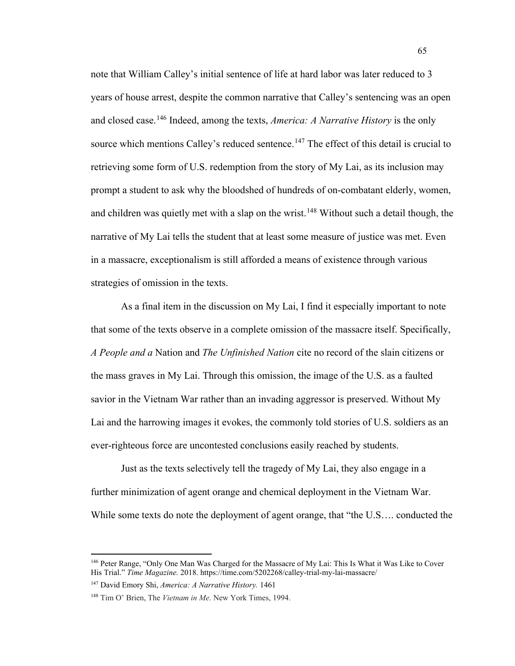note that William Calley's initial sentence of life at hard labor was later reduced to 3 years of house arrest, despite the common narrative that Calley's sentencing was an open and closed case. [146](#page-71-0) Indeed, among the texts, *America: A Narrative History* is the only source which mentions Calley's reduced sentence.<sup>[147](#page-71-1)</sup> The effect of this detail is crucial to retrieving some form of U.S. redemption from the story of My Lai, as its inclusion may prompt a student to ask why the bloodshed of hundreds of on-combatant elderly, women, and children was quietly met with a slap on the wrist.<sup>[148](#page-71-2)</sup> Without such a detail though, the narrative of My Lai tells the student that at least some measure of justice was met. Even in a massacre, exceptionalism is still afforded a means of existence through various strategies of omission in the texts.

As a final item in the discussion on My Lai, I find it especially important to note that some of the texts observe in a complete omission of the massacre itself. Specifically, *A People and a* Nation and *The Unfinished Nation* cite no record of the slain citizens or the mass graves in My Lai. Through this omission, the image of the U.S. as a faulted savior in the Vietnam War rather than an invading aggressor is preserved. Without My Lai and the harrowing images it evokes, the commonly told stories of U.S. soldiers as an ever-righteous force are uncontested conclusions easily reached by students.

Just as the texts selectively tell the tragedy of My Lai, they also engage in a further minimization of agent orange and chemical deployment in the Vietnam War. While some texts do note the deployment of agent orange, that "the U.S…. conducted the

<span id="page-71-0"></span><sup>146</sup> Peter Range, "Only One Man Was Charged for the Massacre of My Lai: This Is What it Was Like to Cover His Trial." *Time Magazine.* 2018. https://time.com/5202268/calley-trial-my-lai-massacre/

<span id="page-71-1"></span><sup>147</sup> David Emory Shi, *America: A Narrative History.* 1461

<span id="page-71-2"></span><sup>148</sup> Tim O' Brien, The *Vietnam in Me*. New York Times, 1994.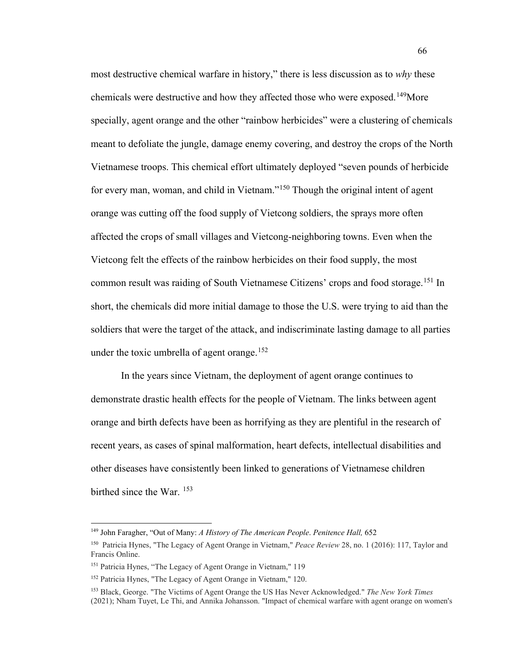most destructive chemical warfare in history," there is less discussion as to *why* these chemicals were destructive and how they affected those who were exposed.<sup>[149](#page-72-0)</sup>More specially, agent orange and the other "rainbow herbicides" were a clustering of chemicals meant to defoliate the jungle, damage enemy covering, and destroy the crops of the North Vietnamese troops. This chemical effort ultimately deployed "seven pounds of herbicide for every man, woman, and child in Vietnam."<sup>[150](#page-72-1)</sup> Though the original intent of agent orange was cutting off the food supply of Vietcong soldiers, the sprays more often affected the crops of small villages and Vietcong-neighboring towns. Even when the Vietcong felt the effects of the rainbow herbicides on their food supply, the most common result was raiding of South Vietnamese Citizens' crops and food storage.<sup>[151](#page-72-2)</sup> In short, the chemicals did more initial damage to those the U.S. were trying to aid than the soldiers that were the target of the attack, and indiscriminate lasting damage to all parties under the toxic umbrella of agent orange.<sup>[152](#page-72-3)</sup>

66

In the years since Vietnam, the deployment of agent orange continues to demonstrate drastic health effects for the people of Vietnam. The links between agent orange and birth defects have been as horrifying as they are plentiful in the research of recent years, as cases of spinal malformation, heart defects, intellectual disabilities and other diseases have consistently been linked to generations of Vietnamese children birthed since the War. <sup>[153](#page-72-4)</sup>

<sup>149</sup> John Faragher, "Out of Many: *A History of The American People*. *Penitence Hall,* 652

<span id="page-72-1"></span><span id="page-72-0"></span><sup>150</sup> Patricia Hynes, "The Legacy of Agent Orange in Vietnam," *Peace Review* 28, no. 1 (2016): 117, Taylor and Francis Online.

<span id="page-72-2"></span><sup>151</sup> Patricia Hynes, "The Legacy of Agent Orange in Vietnam," 119

<span id="page-72-3"></span><sup>152</sup> Patricia Hynes, "The Legacy of Agent Orange in Vietnam," 120.

<span id="page-72-4"></span><sup>153</sup> Black, George. "The Victims of Agent Orange the US Has Never Acknowledged." *The New York Times* (2021); Nham Tuyet, Le Thi, and Annika Johansson. "Impact of chemical warfare with agent orange on women's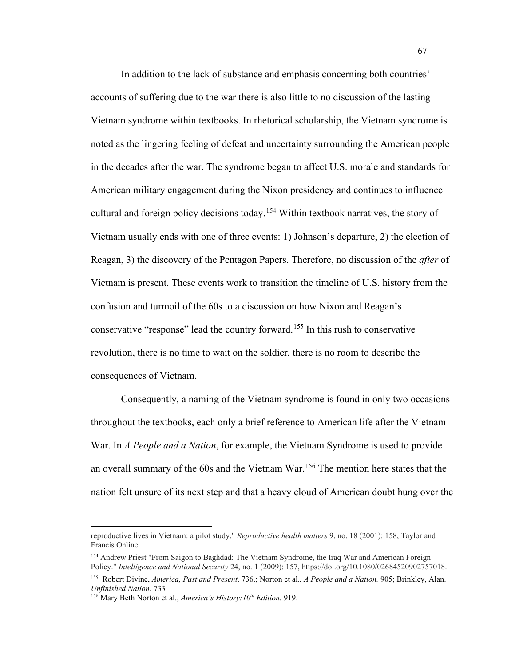In addition to the lack of substance and emphasis concerning both countries' accounts of suffering due to the war there is also little to no discussion of the lasting Vietnam syndrome within textbooks. In rhetorical scholarship, the Vietnam syndrome is noted as the lingering feeling of defeat and uncertainty surrounding the American people in the decades after the war. The syndrome began to affect U.S. morale and standards for American military engagement during the Nixon presidency and continues to influence cultural and foreign policy decisions today.<sup>[154](#page-73-0)</sup> Within textbook narratives, the story of Vietnam usually ends with one of three events: 1) Johnson's departure, 2) the election of Reagan, 3) the discovery of the Pentagon Papers. Therefore, no discussion of the *after* of Vietnam is present. These events work to transition the timeline of U.S. history from the confusion and turmoil of the 60s to a discussion on how Nixon and Reagan's conservative "response" lead the country forward.[155](#page-73-1) In this rush to conservative revolution, there is no time to wait on the soldier, there is no room to describe the consequences of Vietnam.

Consequently, a naming of the Vietnam syndrome is found in only two occasions throughout the textbooks, each only a brief reference to American life after the Vietnam War. In *A People and a Nation*, for example, the Vietnam Syndrome is used to provide an overall summary of the 60s and the Vietnam War.<sup>[156](#page-73-2)</sup> The mention here states that the nation felt unsure of its next step and that a heavy cloud of American doubt hung over the

reproductive lives in Vietnam: a pilot study." *Reproductive health matters* 9, no. 18 (2001): 158, Taylor and Francis Online

<span id="page-73-0"></span><sup>154</sup> Andrew Priest "From Saigon to Baghdad: The Vietnam Syndrome, the Iraq War and American Foreign Policy." *Intelligence and National Security* 24, no. 1 (2009): 157, https://doi.org/10.1080/02684520902757018.

<span id="page-73-1"></span><sup>155</sup> Robert Divine, *America, Past and Present*. 736.; Norton et al., *A People and a Nation.* 905; Brinkley, Alan. *Unfinished Nation.* 733

<span id="page-73-2"></span><sup>156</sup> Mary Beth Norton et al., *America's History:10th Edition.* 919.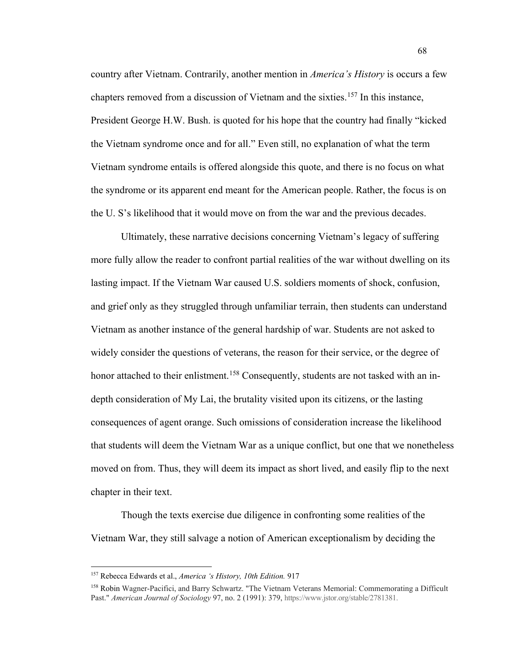country after Vietnam. Contrarily, another mention in *America's History* is occurs a few chapters removed from a discussion of Vietnam and the sixties.[157](#page-74-0) In this instance, President George H.W. Bush. is quoted for his hope that the country had finally "kicked the Vietnam syndrome once and for all." Even still, no explanation of what the term Vietnam syndrome entails is offered alongside this quote, and there is no focus on what the syndrome or its apparent end meant for the American people. Rather, the focus is on the U. S's likelihood that it would move on from the war and the previous decades.

Ultimately, these narrative decisions concerning Vietnam's legacy of suffering more fully allow the reader to confront partial realities of the war without dwelling on its lasting impact. If the Vietnam War caused U.S. soldiers moments of shock, confusion, and grief only as they struggled through unfamiliar terrain, then students can understand Vietnam as another instance of the general hardship of war. Students are not asked to widely consider the questions of veterans, the reason for their service, or the degree of honor attached to their enlistment.<sup>[158](#page-74-1)</sup> Consequently, students are not tasked with an indepth consideration of My Lai, the brutality visited upon its citizens, or the lasting consequences of agent orange. Such omissions of consideration increase the likelihood that students will deem the Vietnam War as a unique conflict, but one that we nonetheless moved on from. Thus, they will deem its impact as short lived, and easily flip to the next chapter in their text.

Though the texts exercise due diligence in confronting some realities of the Vietnam War, they still salvage a notion of American exceptionalism by deciding the

<span id="page-74-0"></span><sup>157</sup> Rebecca Edwards et al., *America 's History, 10th Edition.* 917

<span id="page-74-1"></span><sup>158</sup> Robin Wagner-Pacifici, and Barry Schwartz. "The Vietnam Veterans Memorial: Commemorating a Difficult Past." *American Journal of Sociology* 97, no. 2 (1991): 379, https://www.jstor.org/stable/2781381.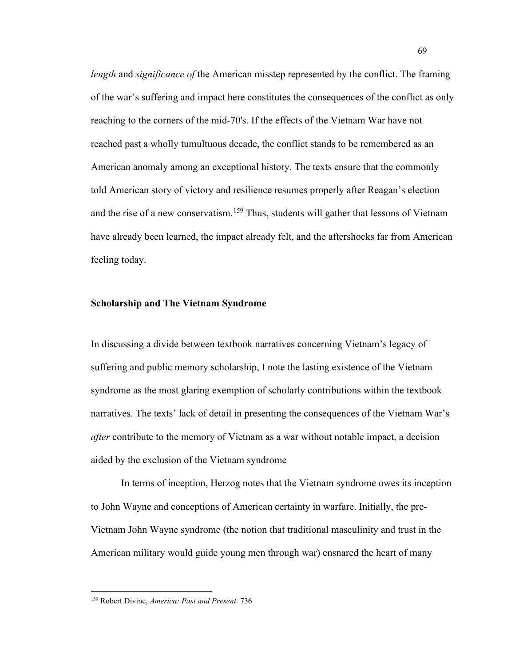*length* and *significance of* the American misstep represented by the conflict. The framing of the war's suffering and impact here constitutes the consequences of the conflict as only reaching to the corners of the mid-70's. If the effects of the Vietnam War have not reached past a wholly tumultuous decade, the conflict stands to be remembered as an American anomaly among an exceptional history. The texts ensure that the commonly told American story of victory and resilience resumes properly after Reagan's election and the rise of a new conservatism.<sup>[159](#page-75-0)</sup> Thus, students will gather that lessons of Vietnam have already been learned, the impact already felt, and the aftershocks far from American feeling today.

## **Scholarship and The Vietnam Syndrome**

In discussing a divide between textbook narratives concerning Vietnam's legacy of suffering and public memory scholarship, I note the lasting existence of the Vietnam syndrome as the most glaring exemption of scholarly contributions within the textbook narratives. The texts' lack of detail in presenting the consequences of the Vietnam War's *after* contribute to the memory of Vietnam as a war without notable impact, a decision aided by the exclusion of the Vietnam syndrome

In terms of inception, Herzog notes that the Vietnam syndrome owes its inception to John Wayne and conceptions of American certainty in warfare. Initially, the pre-Vietnam John Wayne syndrome (the notion that traditional masculinity and trust in the American military would guide young men through war) ensnared the heart of many

<span id="page-75-0"></span><sup>159</sup> Robert Divine, *America: Past and Present*. 736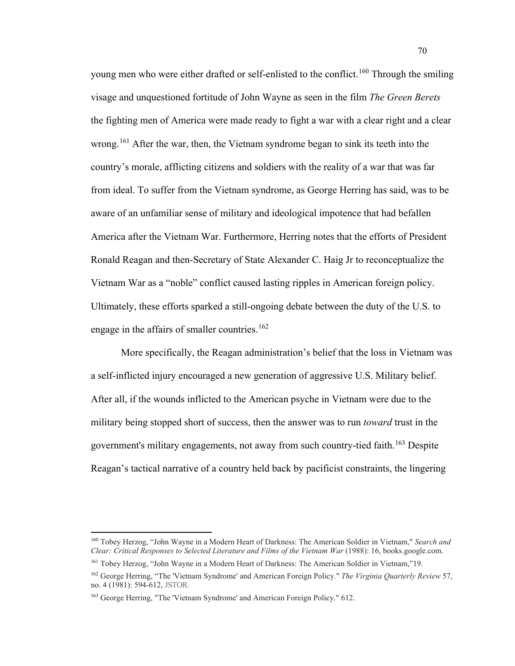young men who were either drafted or self-enlisted to the conflict.<sup>[160](#page-76-0)</sup> Through the smiling visage and unquestioned fortitude of John Wayne as seen in the film *The Green Berets* the fighting men of America were made ready to fight a war with a clear right and a clear wrong.<sup>[161](#page-76-1)</sup> After the war, then, the Vietnam syndrome began to sink its teeth into the country's morale, afflicting citizens and soldiers with the reality of a war that was far from ideal. To suffer from the Vietnam syndrome, as George Herring has said, was to be aware of an unfamiliar sense of military and ideological impotence that had befallen America after the Vietnam War. Furthermore, Herring notes that the efforts of President Ronald Reagan and then-Secretary of State Alexander C. Haig Jr to reconceptualize the Vietnam War as a "noble" conflict caused lasting ripples in American foreign policy. Ultimately, these efforts sparked a still-ongoing debate between the duty of the U.S. to engage in the affairs of smaller countries.<sup>[162](#page-76-2)</sup>

More specifically, the Reagan administration's belief that the loss in Vietnam was a self-inflicted injury encouraged a new generation of aggressive U.S. Military belief. After all, if the wounds inflicted to the American psyche in Vietnam were due to the military being stopped short of success, then the answer was to run *toward* trust in the government's military engagements, not away from such country-tied faith. [163](#page-76-3) Despite Reagan's tactical narrative of a country held back by pacificist constraints, the lingering

<span id="page-76-0"></span><sup>160</sup> Tobey Herzog, "John Wayne in a Modern Heart of Darkness: The American Soldier in Vietnam," *Search and Clear: Critical Responses to Selected Literature and Films of the Vietnam War* (1988): 16, books.google.com.

<span id="page-76-1"></span><sup>161</sup> Tobey Herzog, "John Wayne in a Modern Heart of Darkness: The American Soldier in Vietnam,"19.

<span id="page-76-2"></span><sup>162</sup> George Herring, "The 'Vietnam Syndrome' and American Foreign Policy." *The Virginia Quarterly Review* 57, no. 4 (1981): 594-612, JSTOR.

<span id="page-76-3"></span><sup>163</sup> George Herring, "The 'Vietnam Syndrome' and American Foreign Policy." 612.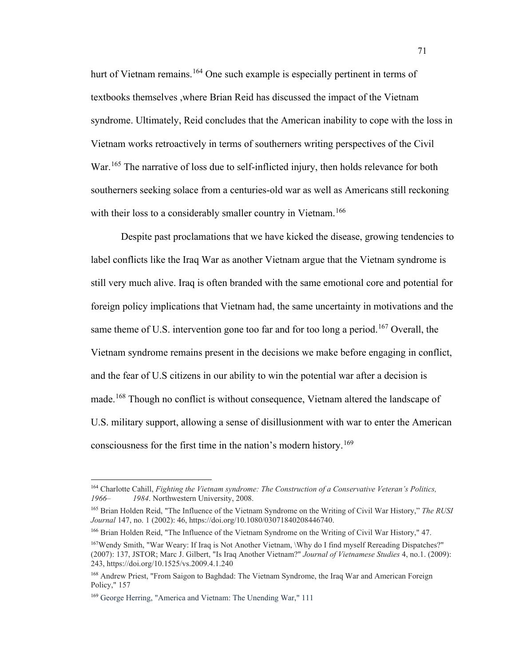hurt of Vietnam remains.<sup>[164](#page-77-0)</sup> One such example is especially pertinent in terms of textbooks themselves ,where Brian Reid has discussed the impact of the Vietnam syndrome. Ultimately, Reid concludes that the American inability to cope with the loss in Vietnam works retroactively in terms of southerners writing perspectives of the Civil War.<sup>[165](#page-77-1)</sup> The narrative of loss due to self-inflicted injury, then holds relevance for both southerners seeking solace from a centuries-old war as well as Americans still reckoning with their loss to a considerably smaller country in Vietnam.<sup>[166](#page-77-2)</sup>

Despite past proclamations that we have kicked the disease, growing tendencies to label conflicts like the Iraq War as another Vietnam argue that the Vietnam syndrome is still very much alive. Iraq is often branded with the same emotional core and potential for foreign policy implications that Vietnam had, the same uncertainty in motivations and the same theme of U.S. intervention gone too far and for too long a period.<sup>[167](#page-77-3)</sup> Overall, the Vietnam syndrome remains present in the decisions we make before engaging in conflict, and the fear of U.S citizens in our ability to win the potential war after a decision is made.<sup>[168](#page-77-4)</sup> Though no conflict is without consequence, Vietnam altered the landscape of U.S. military support, allowing a sense of disillusionment with war to enter the American consciousness for the first time in the nation's modern history.<sup>[169](#page-77-5)</sup>

<span id="page-77-0"></span><sup>164</sup> Charlotte Cahill, *Fighting the Vietnam syndrome: The Construction of a Conservative Veteran's Politics, 1966– 1984*. Northwestern University, 2008.

<span id="page-77-1"></span><sup>165</sup> Brian Holden Reid, "The Influence of the Vietnam Syndrome on the Writing of Civil War History," *The RUSI Journal* 147, no. 1 (2002): 46, https://doi.org/10.1080/03071840208446740.

<span id="page-77-2"></span><sup>166</sup> Brian Holden Reid, "The Influence of the Vietnam Syndrome on the Writing of Civil War History," 47.

<span id="page-77-3"></span><sup>167</sup>Wendy Smith, "War Weary: If Iraq is Not Another Vietnam, \Why do I find myself Rereading Dispatches?" (2007): 137, JSTOR; Marc J. Gilbert, "Is Iraq Another Vietnam?" *Journal of Vietnamese Studies* 4, no.1. (2009): 243, https://doi.org/10.1525/vs.2009.4.1.240

<span id="page-77-4"></span><sup>168</sup> Andrew Priest, "From Saigon to Baghdad: The Vietnam Syndrome, the Iraq War and American Foreign Policy," 157

<span id="page-77-5"></span><sup>169</sup> George Herring, "America and Vietnam: The Unending War," 111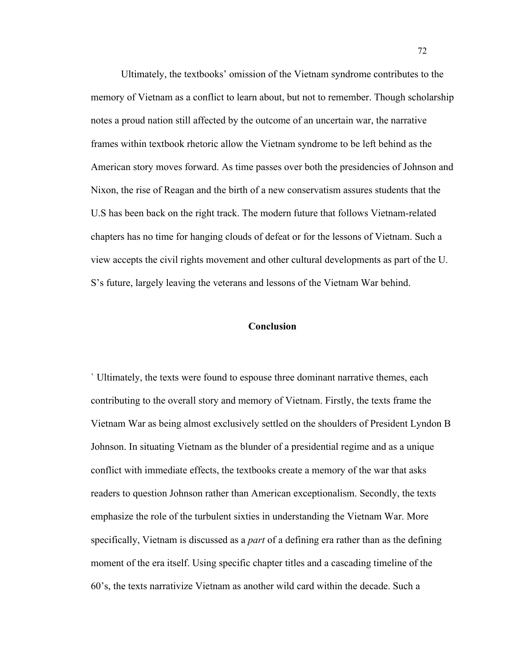Ultimately, the textbooks' omission of the Vietnam syndrome contributes to the memory of Vietnam as a conflict to learn about, but not to remember. Though scholarship notes a proud nation still affected by the outcome of an uncertain war, the narrative frames within textbook rhetoric allow the Vietnam syndrome to be left behind as the American story moves forward. As time passes over both the presidencies of Johnson and Nixon, the rise of Reagan and the birth of a new conservatism assures students that the U.S has been back on the right track. The modern future that follows Vietnam-related chapters has no time for hanging clouds of defeat or for the lessons of Vietnam. Such a view accepts the civil rights movement and other cultural developments as part of the U. S's future, largely leaving the veterans and lessons of the Vietnam War behind.

## **Conclusion**

` Ultimately, the texts were found to espouse three dominant narrative themes, each contributing to the overall story and memory of Vietnam. Firstly, the texts frame the Vietnam War as being almost exclusively settled on the shoulders of President Lyndon B Johnson. In situating Vietnam as the blunder of a presidential regime and as a unique conflict with immediate effects, the textbooks create a memory of the war that asks readers to question Johnson rather than American exceptionalism. Secondly, the texts emphasize the role of the turbulent sixties in understanding the Vietnam War. More specifically, Vietnam is discussed as a *part* of a defining era rather than as the defining moment of the era itself. Using specific chapter titles and a cascading timeline of the 60's, the texts narrativize Vietnam as another wild card within the decade. Such a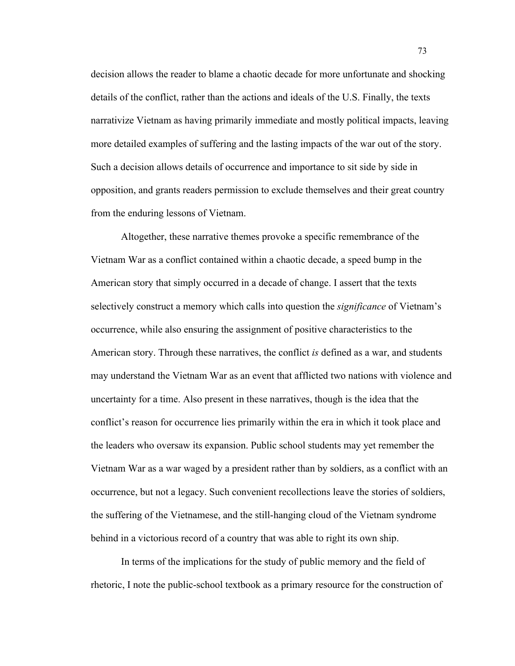decision allows the reader to blame a chaotic decade for more unfortunate and shocking details of the conflict, rather than the actions and ideals of the U.S. Finally, the texts narrativize Vietnam as having primarily immediate and mostly political impacts, leaving more detailed examples of suffering and the lasting impacts of the war out of the story. Such a decision allows details of occurrence and importance to sit side by side in opposition, and grants readers permission to exclude themselves and their great country from the enduring lessons of Vietnam.

Altogether, these narrative themes provoke a specific remembrance of the Vietnam War as a conflict contained within a chaotic decade, a speed bump in the American story that simply occurred in a decade of change. I assert that the texts selectively construct a memory which calls into question the *significance* of Vietnam's occurrence, while also ensuring the assignment of positive characteristics to the American story. Through these narratives, the conflict *is* defined as a war, and students may understand the Vietnam War as an event that afflicted two nations with violence and uncertainty for a time. Also present in these narratives, though is the idea that the conflict's reason for occurrence lies primarily within the era in which it took place and the leaders who oversaw its expansion. Public school students may yet remember the Vietnam War as a war waged by a president rather than by soldiers, as a conflict with an occurrence, but not a legacy. Such convenient recollections leave the stories of soldiers, the suffering of the Vietnamese, and the still-hanging cloud of the Vietnam syndrome behind in a victorious record of a country that was able to right its own ship.

In terms of the implications for the study of public memory and the field of rhetoric, I note the public-school textbook as a primary resource for the construction of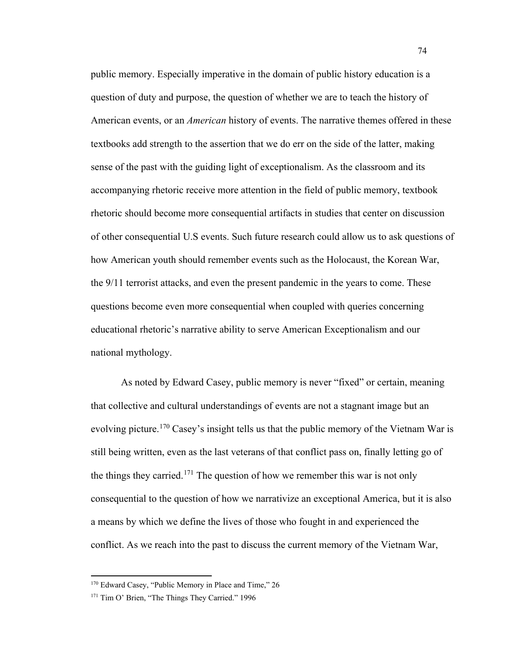public memory. Especially imperative in the domain of public history education is a question of duty and purpose, the question of whether we are to teach the history of American events, or an *American* history of events. The narrative themes offered in these textbooks add strength to the assertion that we do err on the side of the latter, making sense of the past with the guiding light of exceptionalism. As the classroom and its accompanying rhetoric receive more attention in the field of public memory, textbook rhetoric should become more consequential artifacts in studies that center on discussion of other consequential U.S events. Such future research could allow us to ask questions of how American youth should remember events such as the Holocaust, the Korean War, the 9/11 terrorist attacks, and even the present pandemic in the years to come. These questions become even more consequential when coupled with queries concerning educational rhetoric's narrative ability to serve American Exceptionalism and our national mythology.

As noted by Edward Casey, public memory is never "fixed" or certain, meaning that collective and cultural understandings of events are not a stagnant image but an evolving picture.<sup>[170](#page-80-0)</sup> Casey's insight tells us that the public memory of the Vietnam War is still being written, even as the last veterans of that conflict pass on, finally letting go of the things they carried.<sup>[171](#page-80-1)</sup> The question of how we remember this war is not only consequential to the question of how we narrativize an exceptional America, but it is also a means by which we define the lives of those who fought in and experienced the conflict. As we reach into the past to discuss the current memory of the Vietnam War,

<span id="page-80-0"></span><sup>&</sup>lt;sup>170</sup> Edward Casey, "Public Memory in Place and Time," 26

<span id="page-80-1"></span><sup>&</sup>lt;sup>171</sup> Tim O' Brien, "The Things They Carried." 1996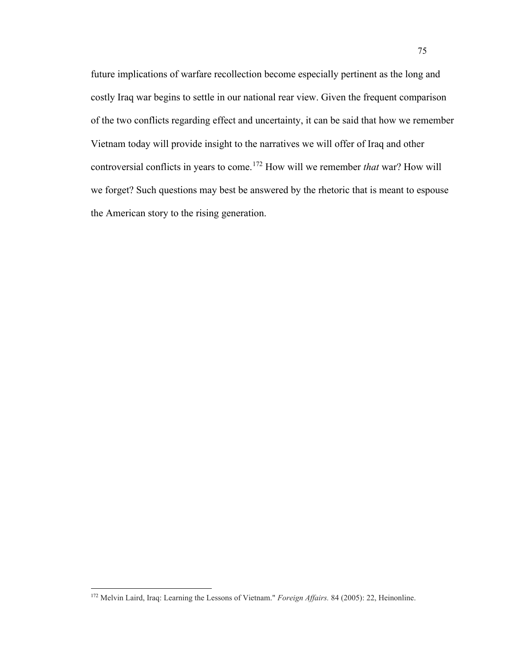future implications of warfare recollection become especially pertinent as the long and costly Iraq war begins to settle in our national rear view. Given the frequent comparison of the two conflicts regarding effect and uncertainty, it can be said that how we remember Vietnam today will provide insight to the narratives we will offer of Iraq and other controversial conflicts in years to come.[172](#page-81-0) How will we remember *that* war? How will we forget? Such questions may best be answered by the rhetoric that is meant to espouse the American story to the rising generation.

<span id="page-81-0"></span><sup>172</sup> Melvin Laird, Iraq: Learning the Lessons of Vietnam." *Foreign Affairs.* 84 (2005): 22, Heinonline.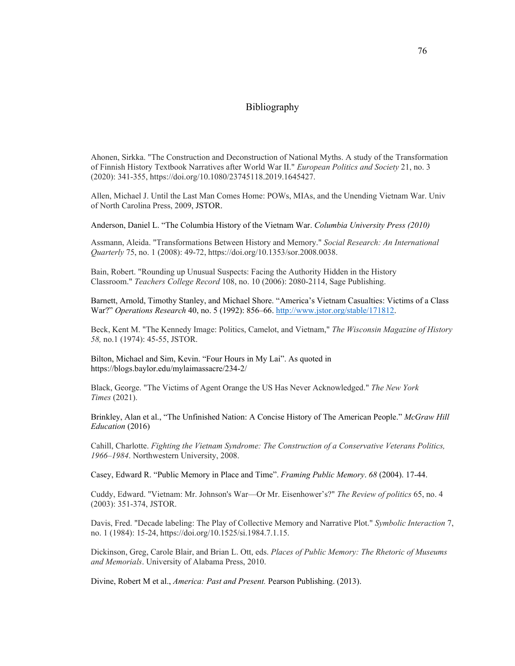## Bibliography

Ahonen, Sirkka. "The Construction and Deconstruction of National Myths. A study of the Transformation of Finnish History Textbook Narratives after World War II." *European Politics and Society* 21, no. 3 (2020): 341-355, https://doi.org/10.1080/23745118.2019.1645427.

Allen, Michael J. Until the Last Man Comes Home: POWs, MIAs, and the Unending Vietnam War. Univ of North Carolina Press, 2009, JSTOR.

Anderson, Daniel L. "The Columbia History of the Vietnam War. *Columbia University Press (2010)*

Assmann, Aleida. "Transformations Between History and Memory." *Social Research: An International Quarterly* 75, no. 1 (2008): 49-72, https://doi.org/10.1353/sor.2008.0038.

Bain, Robert. "Rounding up Unusual Suspects: Facing the Authority Hidden in the History Classroom." *Teachers College Record* 108, no. 10 (2006): 2080-2114, Sage Publishing.

Barnett, Arnold, Timothy Stanley, and Michael Shore. "America's Vietnam Casualties: Victims of a Class War?" *Operations Research* 40, no. 5 (1992): 856–66. [http://www.jstor.org/stable/171812.](http://www.jstor.org/stable/171812)

Beck, Kent M. "The Kennedy Image: Politics, Camelot, and Vietnam," *The Wisconsin Magazine of History 58,* no.1 (1974): 45-55, JSTOR.

Bilton, Michael and Sim, Kevin. "Four Hours in My Lai". As quoted in https://blogs.baylor.edu/mylaimassacre/234-2/

Black, George. "The Victims of Agent Orange the US Has Never Acknowledged." *The New York Times* (2021).

Brinkley, Alan et al., "The Unfinished Nation: A Concise History of The American People." *McGraw Hill Education* (2016)

Cahill, Charlotte. *Fighting the Vietnam Syndrome: The Construction of a Conservative Veterans Politics, 1966–1984*. Northwestern University, 2008.

Casey, Edward R. "Public Memory in Place and Time". *Framing Public Memory*. *68* (2004). 17-44.

Cuddy, Edward. "Vietnam: Mr. Johnson's War—Or Mr. Eisenhower's?" *The Review of politics* 65, no. 4 (2003): 351-374, JSTOR.

Davis, Fred. "Decade labeling: The Play of Collective Memory and Narrative Plot." *Symbolic Interaction* 7, no. 1 (1984): 15-24, https://doi.org/10.1525/si.1984.7.1.15.

Dickinson, Greg, Carole Blair, and Brian L. Ott, eds. *Places of Public Memory: The Rhetoric of Museums and Memorials*. University of Alabama Press, 2010.

Divine, Robert M et al., *America: Past and Present.* Pearson Publishing. (2013).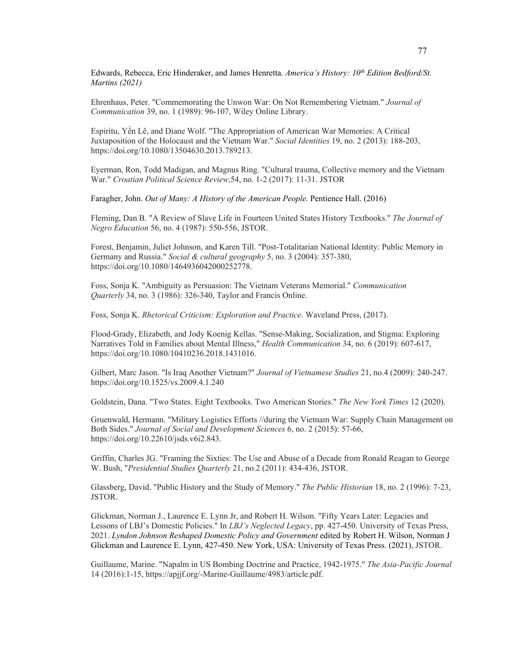Edwards, Rebecca, Eric Hinderaker, and James Henretta. *America's History: 10th Edition Bedford/St. Martins (2021)*

Ehrenhaus, Peter. "Commemorating the Unwon War: On Not Remembering Vietnam." *Journal of Communication* 39, no. 1 (1989): 96-107, Wiley Online Library.

Espiritu, Yến Lê, and Diane Wolf. "The Appropriation of American War Memories: A Critical Juxtaposition of the Holocaust and the Vietnam War." *Social Identities* 19, no. 2 (2013): 188-203, https://doi.org/10.1080/13504630.2013.789213.

Eyerman, Ron, Todd Madigan, and Magnus Ring. "Cultural trauma, Collective memory and the Vietnam War." *Croatian Political Science Review,*54, no. 1-2 (2017): 11-31. JSTOR

Faragher, John. *Out of Many: A History of the American People.* Pentience Hall. (2016)

Fleming, Dan B. "A Review of Slave Life in Fourteen United States History Textbooks." *The Journal of Negro Education* 56, no. 4 (1987): 550-556, JSTOR.

Forest, Benjamin, Juliet Johnson, and Karen Till. "Post‐Totalitarian National Identity: Public Memory in Germany and Russia." *Social & cultural geography* 5, no. 3 (2004): 357-380, https://doi.org/10.1080/1464936042000252778.

Foss, Sonja K. "Ambiguity as Persuasion: The Vietnam Veterans Memorial." *Communication Quarterly* 34, no. 3 (1986): 326-340, Taylor and Francis Online.

Foss, Sonja K. *Rhetorical Criticism: Exploration and Practice*. Waveland Press, (2017).

Flood-Grady, Elizabeth, and Jody Koenig Kellas. "Sense-Making, Socialization, and Stigma: Exploring Narratives Told in Families about Mental Illness," *Health Communication* 34, no. 6 (2019): 607-617, https://doi.org/10.1080/10410236.2018.1431016.

Gilbert, Marc Jason. "Is Iraq Another Vietnam?" *Journal of Vietnamese Studies* 21, no.4 (2009): 240-247. https://doi.org/10.1525/vs.2009.4.1.240

Goldstein, Dana. "Two States. Eight Textbooks. Two American Stories." *The New York Times* 12 (2020).

Gruenwald, Hermann. "Military Logistics Efforts //during the Vietnam War: Supply Chain Management on Both Sides." *Journal of Social and Development Sciences* 6, no. 2 (2015): 57-66, https://doi.org/10.22610/jsds.v6i2.843.

Griffin, Charles JG. "Framing the Sixties: The Use and Abuse of a Decade from Ronald Reagan to George W. Bush, "*Presidential Studies Quarterly* 21, no.2 (2011): 434-436, JSTOR.

Glassberg, David. "Public History and the Study of Memory." *The Public Historian* 18, no. 2 (1996): 7-23, JSTOR.

Glickman, Norman J., Laurence E. Lynn Jr, and Robert H. Wilson. "Fifty Years Later: Legacies and Lessons of LBJ's Domestic Policies." In *LBJ's Neglected Legacy*, pp. 427-450. University of Texas Press, 2021. *Lyndon Johnson Reshaped Domestic Policy and Government* edited by Robert H. Wilson, Norman J Glickman and Laurence E. Lynn, 427-450. New York, USA: University of Texas Press. (2021), JSTOR.

Guillaume, Marine. "Napalm in US Bombing Doctrine and Practice, 1942-1975." *The Asia-Pacific Journal* 14 (2016):1-15, https://apjjf.org/-Marine-Guillaume/4983/article.pdf.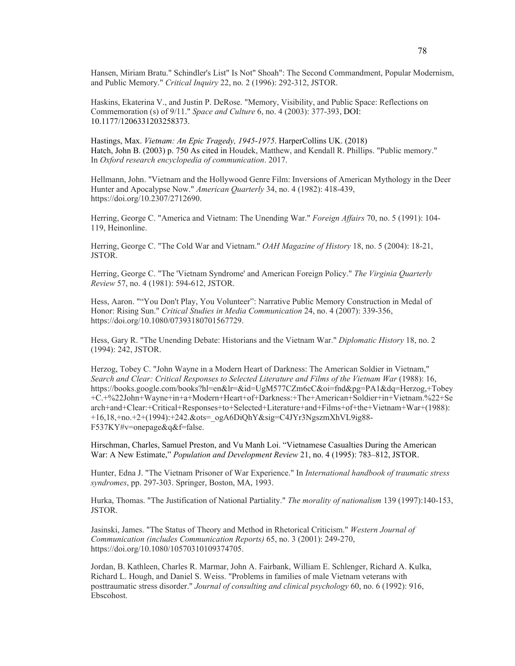Hansen, Miriam Bratu." Schindler's List" Is Not" Shoah": The Second Commandment, Popular Modernism, and Public Memory." *Critical Inquiry* 22, no. 2 (1996): 292-312, JSTOR.

Haskins, Ekaterina V., and Justin P. DeRose. "Memory, Visibility, and Public Space: Reflections on Commemoration (s) of 9/11." *Space and Culture* 6, no. 4 (2003): 377-393, DOI: 10.1177/1206331203258373.

Hastings, Max. *Vietnam: An Epic Tragedy, 1945-1975*. HarperCollins UK. (2018) Hatch, John B. (2003) p. 750 As cited in Houdek, Matthew, and Kendall R. Phillips. "Public memory." In *Oxford research encyclopedia of communication*. 2017.

Hellmann, John. "Vietnam and the Hollywood Genre Film: Inversions of American Mythology in the Deer Hunter and Apocalypse Now." *American Quarterly* 34, no. 4 (1982): 418-439, https://doi.org/10.2307/2712690.

Herring, George C. "America and Vietnam: The Unending War." *Foreign Affairs* 70, no. 5 (1991): 104- 119, Heinonline.

Herring, George C. "The Cold War and Vietnam." *OAH Magazine of History* 18, no. 5 (2004): 18-21, JSTOR.

Herring, George C. "The 'Vietnam Syndrome' and American Foreign Policy." *The Virginia Quarterly Review* 57, no. 4 (1981): 594-612, JSTOR.

Hess, Aaron. ""You Don't Play, You Volunteer": Narrative Public Memory Construction in Medal of Honor: Rising Sun." *Critical Studies in Media Communication* 24, no. 4 (2007): 339-356, https://doi.org/10.1080/07393180701567729.

Hess, Gary R. "The Unending Debate: Historians and the Vietnam War." *Diplomatic History* 18, no. 2 (1994): 242, JSTOR.

Herzog, Tobey C. "John Wayne in a Modern Heart of Darkness: The American Soldier in Vietnam," *Search and Clear: Critical Responses to Selected Literature and Films of the Vietnam War* (1988): 16, https://books.google.com/books?hl=en&lr=&id=UgM577CZm6cC&oi=fnd&pg=PA1&dq=Herzog,+Tobey +C.+%22John+Wayne+in+a+Modern+Heart+of+Darkness:+The+American+Soldier+in+Vietnam.%22+Se arch+and+Clear:+Critical+Responses+to+Selected+Literature+and+Films+of+the+Vietnam+War+(1988): +16,18,+no.+2+(1994):+242.&ots=\_ogA6DiQhY&sig=C4JYr3NgszmXhVL9ig88- F537KY#v=onepage&q&f=false.

Hirschman, Charles, Samuel Preston, and Vu Manh Loi. "Vietnamese Casualties During the American War: A New Estimate," *Population and Development Review* 21, no. 4 (1995): 783–812, JSTOR.

Hunter, Edna J. "The Vietnam Prisoner of War Experience." In *International handbook of traumatic stress syndromes*, pp. 297-303. Springer, Boston, MA, 1993.

Hurka, Thomas. "The Justification of National Partiality." *The morality of nationalism* 139 (1997):140-153, JSTOR.

Jasinski, James. "The Status of Theory and Method in Rhetorical Criticism." *Western Journal of Communication (includes Communication Reports)* 65, no. 3 (2001): 249-270, https://doi.org/10.1080/10570310109374705.

Jordan, B. Kathleen, Charles R. Marmar, John A. Fairbank, William E. Schlenger, Richard A. Kulka, Richard L. Hough, and Daniel S. Weiss. "Problems in families of male Vietnam veterans with posttraumatic stress disorder." *Journal of consulting and clinical psychology* 60, no. 6 (1992): 916, Ebscohost.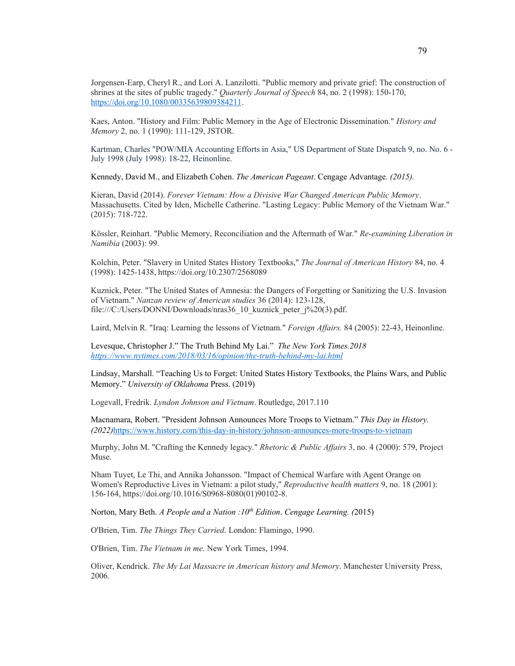Jorgensen‐Earp, Cheryl R., and Lori A. Lanzilotti. "Public memory and private grief: The construction of shrines at the sites of public tragedy." *Quarterly Journal of Speech* 84, no. 2 (1998): 150-170, https://doi.org/10.1080/00335639809384211.

Kaes, Anton. "History and Film: Public Memory in the Age of Electronic Dissemination." *History and Memory* 2, no. 1 (1990): 111-129, JSTOR.

Kartman, Charles "POW/MIA Accounting Efforts in Asia," US Department of State Dispatch 9, no. No. 6 - July 1998 (July 1998): 18-22, Heinonline.

Kennedy, David M., and Elizabeth Cohen. *The American Pageant*. Cengage Advantage. *(2015).*

Kieran, David (2014). *Forever Vietnam: How a Divisive War Changed American Public Memory*. Massachusetts. Cited by Iden, Michelle Catherine. "Lasting Legacy: Public Memory of the Vietnam War." (2015): 718-722.

Kössler, Reinhart. "Public Memory, Reconciliation and the Aftermath of War." *Re-examining Liberation in Namibia* (2003): 99.

Kolchin, Peter. "Slavery in United States History Textbooks," *The Journal of American History* 84, no. 4 (1998): 1425-1438, https://doi.org/10.2307/2568089

Kuznick, Peter. "The United States of Amnesia: the Dangers of Forgetting or Sanitizing the U.S. Invasion of Vietnam." *Nanzan review of American studies* 36 (2014): 123-128, file:///C:/Users/DONNI/Downloads/nras36\_10\_kuznick\_peter\_j%20(3).pdf.

Laird, Melvin R. "Iraq: Learning the lessons of Vietnam." *Foreign Affairs.* 84 (2005): 22-43, Heinonline.

Levesque, Christopher J." The Truth Behind My Lai." *The New York Times.2018 https://www.nytimes.com/2018/03/16/opinion/the-truth-behind-my-lai.html*

Lindsay, Marshall. "Teaching Us to Forget: United States History Textbooks, the Plains Wars, and Public Memory." *University of Oklahoma* Press. (2019)

Logevall, Fredrik. *Lyndon Johnson and Vietnam*. Routledge, 2017.110

Macnamara, Robert. "President Johnson Announces More Troops to Vietnam." *This Day in History. (2022)*https://www.history.com/this-day-in-history/johnson-announces-more-troops-to-vietnam

Murphy, John M. "Crafting the Kennedy legacy." *Rhetoric & Public Affairs* 3, no. 4 (2000): 579, Project Muse.

Nham Tuyet, Le Thi, and Annika Johansson. "Impact of Chemical Warfare with Agent Orange on Women's Reproductive Lives in Vietnam: a pilot study," *Reproductive health matters* 9, no. 18 (2001): 156-164, https://doi.org/10.1016/S0968-8080(01)90102-8.

Norton, Mary Beth. *A People and a Nation :10th Edition*. *Cengage Learning. (*2015)

O'Brien, Tim. *The Things They Carried*. London: Flamingo, 1990.

O'Brien, Tim. *The Vietnam in me*. New York Times, 1994.

Oliver, Kendrick. *The My Lai Massacre in American history and Memory*. Manchester University Press, 2006.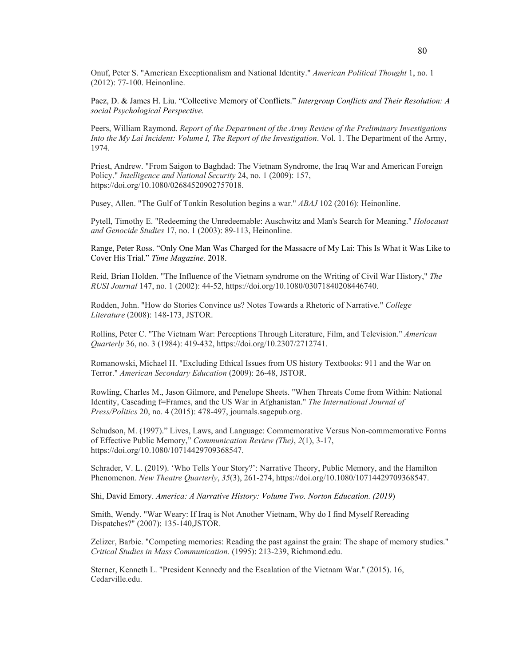Onuf, Peter S. "American Exceptionalism and National Identity." *American Political Thought* 1, no. 1 (2012): 77-100. Heinonline.

Paez, D. & James H. Liu. "Collective Memory of Conflicts." *Intergroup Conflicts and Their Resolution: A social Psychological Perspective.* 

Peers, William Raymond. *Report of the Department of the Army Review of the Preliminary Investigations Into the My Lai Incident: Volume I, The Report of the Investigation*. Vol. 1. The Department of the Army, 1974.

Priest, Andrew. "From Saigon to Baghdad: The Vietnam Syndrome, the Iraq War and American Foreign Policy." *Intelligence and National Security* 24, no. 1 (2009): 157, https://doi.org/10.1080/02684520902757018.

Pusey, Allen. "The Gulf of Tonkin Resolution begins a war." *ABAJ* 102 (2016): Heinonline.

Pytell, Timothy E. "Redeeming the Unredeemable: Auschwitz and Man's Search for Meaning." *Holocaust and Genocide Studies* 17, no. 1 (2003): 89-113, Heinonline.

Range, Peter Ross. "Only One Man Was Charged for the Massacre of My Lai: This Is What it Was Like to Cover His Trial." *Time Magazine.* 2018.

Reid, Brian Holden. "The Influence of the Vietnam syndrome on the Writing of Civil War History," *The RUSI Journal* 147, no. 1 (2002): 44-52, https://doi.org/10.1080/03071840208446740.

Rodden, John. "How do Stories Convince us? Notes Towards a Rhetoric of Narrative." *College Literature* (2008): 148-173, JSTOR.

Rollins, Peter C. "The Vietnam War: Perceptions Through Literature, Film, and Television." *American Quarterly* 36, no. 3 (1984): 419-432, https://doi.org/10.2307/2712741.

Romanowski, Michael H. "Excluding Ethical Issues from US history Textbooks: 911 and the War on Terror." *American Secondary Education* (2009): 26-48, JSTOR.

Rowling, Charles M., Jason Gilmore, and Penelope Sheets. "When Threats Come from Within: National Identity, Cascading f=Frames, and the US War in Afghanistan." *The International Journal of Press/Politics* 20, no. 4 (2015): 478-497, journals.sagepub.org.

Schudson, M. (1997)." Lives, Laws, and Language: Commemorative Versus Non‐commemorative Forms of Effective Public Memory," *Communication Review (The)*, *2*(1), 3-17, https://doi.org/10.1080/10714429709368547.

Schrader, V. L. (2019). 'Who Tells Your Story?': Narrative Theory, Public Memory, and the Hamilton Phenomenon. *New Theatre Quarterly*, *35*(3), 261-274, https://doi.org/10.1080/10714429709368547.

Shi, David Emory. *America: A Narrative History: Volume Two. Norton Education. (2019*)

Smith, Wendy. "War Weary: If Iraq is Not Another Vietnam, Why do I find Myself Rereading Dispatches?" (2007): 135-140,JSTOR.

Zelizer, Barbie. "Competing memories: Reading the past against the grain: The shape of memory studies." *Critical Studies in Mass Communication.* (1995): 213-239, Richmond.edu.

Sterner, Kenneth L. "President Kennedy and the Escalation of the Vietnam War." (2015). 16, Cedarville.edu.